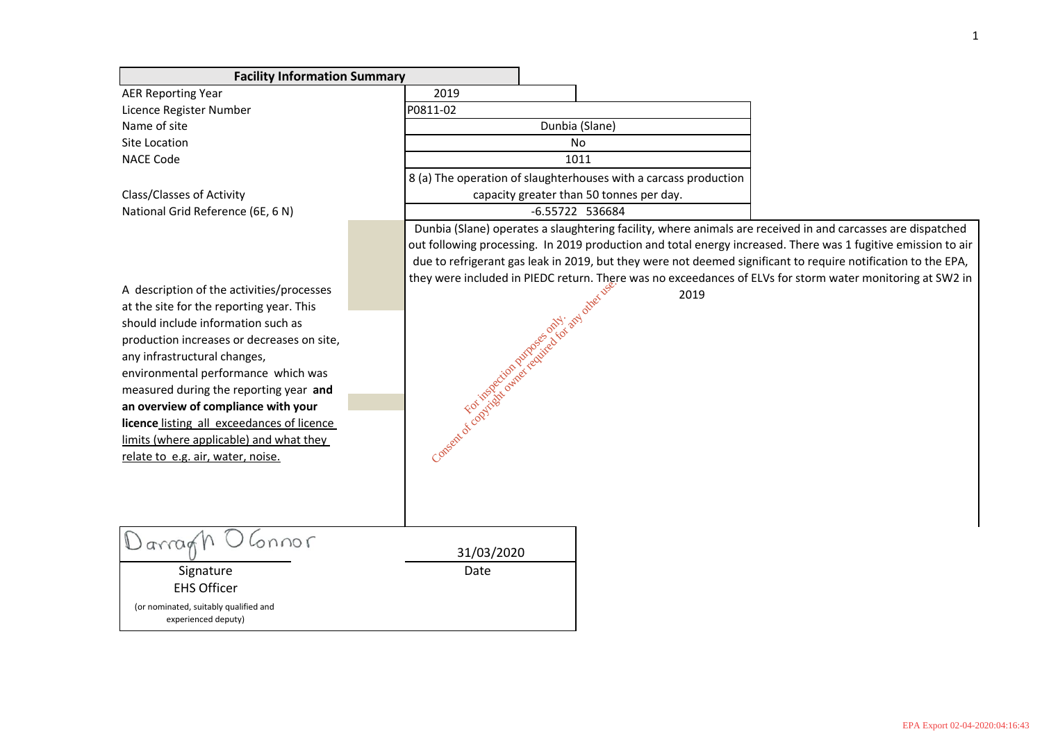**Facility Information Summary** AER Reporting Year 2019 Licence Register Number P0811-02 Name of site Dunbia (Slane) Site Location No NACE Code 1011 8 (a) The operation of slaughterhouses with a carcass production Class/Classes of Activity capacity greater than 50 tonnes per day. National Grid Reference (6E, 6 N) -6.55722 536684 Dunbia (Slane) operates a slaughtering facility, where animals are received in and carcasses are dispatched out following processing. In 2019 production and total energy increased. There was 1 fugitive emission to air due to refrigerant gas leak in 2019, but they were not deemed significant to require notification to the EPA, they were included in PIEDC return. There was no exceedances of ELVs for storm water monitoring at SW2 in A description of the activities/processes Consent of copyright owner required for any other use. 2019 at the site for the reporting year. This should include information such as For inspection purposes only. production increases or decreases on site, any infrastructural changes, environmental performance which was measured during the reporting year **and an overview of compliance with your licence** listing all exceedances of licence limits (where applicable) and what they relate to e.g. air, water, noise. 31/03/2020 Signature Date EHS Officer (or nominated, suitably qualified and experienced deputy)

 $\mathbb{O}$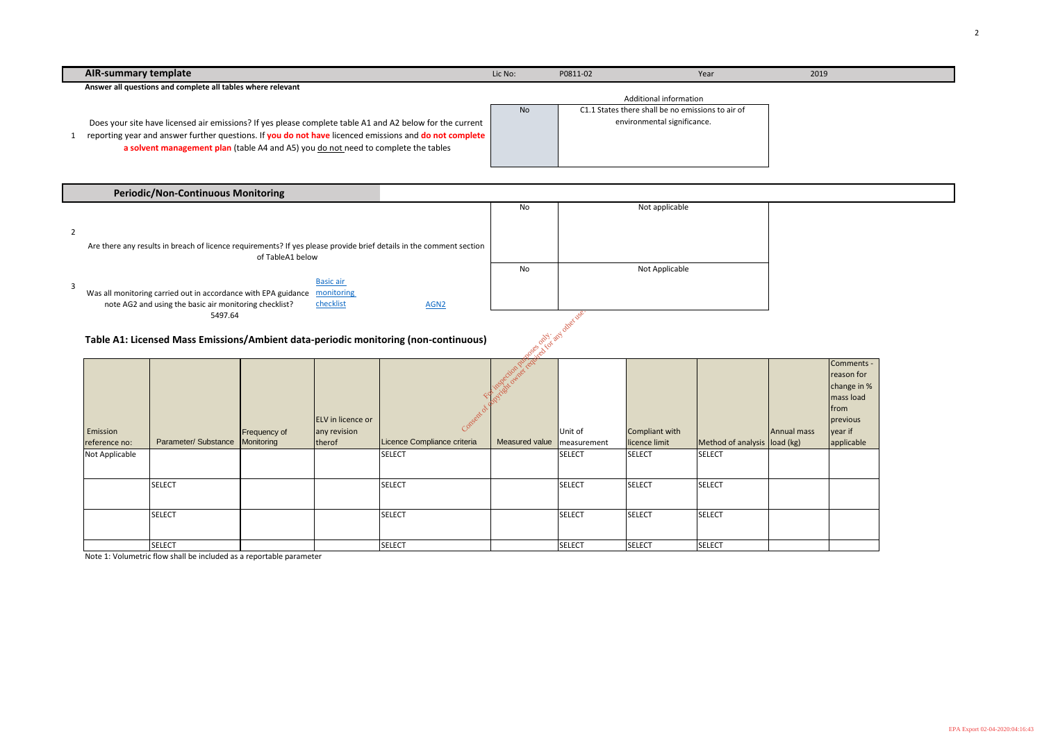| <b>AIR-summary template</b>                                                                                                                                                                                                                                                                              | Lic No: | P0811-02 | Year                                                                                                       | 2019 |
|----------------------------------------------------------------------------------------------------------------------------------------------------------------------------------------------------------------------------------------------------------------------------------------------------------|---------|----------|------------------------------------------------------------------------------------------------------------|------|
| Answer all questions and complete all tables where relevant                                                                                                                                                                                                                                              |         |          |                                                                                                            |      |
| Does your site have licensed air emissions? If yes please complete table A1 and A2 below for the current<br>reporting year and answer further questions. If you do not have licenced emissions and do not complete<br>a solvent management plan (table A4 and A5) you do not need to complete the tables | No      |          | Additional information<br>C1.1 States there shall be no emissions to air of<br>environmental significance. |      |
| <b>Periodic/Non-Continuous Monitoring</b>                                                                                                                                                                                                                                                                |         |          |                                                                                                            |      |
|                                                                                                                                                                                                                                                                                                          | No      |          | Not applicable                                                                                             |      |
| Are there any results in breach of licence requirements? If yes please provide brief details in the comment section<br>of TableA1 below                                                                                                                                                                  | No      |          | Not Applicable                                                                                             |      |
| <b>Basic air</b><br>Was all monitoring carried out in accordance with FPA guidance monitoring                                                                                                                                                                                                            |         |          |                                                                                                            |      |

# **Table A1: Licensed Mass Emissions/Ambient data-periodic monitoring (non-continuous)**

Note 1: Volumetric flow shall be included as a reportable parameter

|   | Periodic/Non-Continuous Monitoring                                                                                                      |                  |                  |    |                |
|---|-----------------------------------------------------------------------------------------------------------------------------------------|------------------|------------------|----|----------------|
| 2 | Are there any results in breach of licence requirements? If yes please provide brief details in the comment section<br>of TableA1 below |                  |                  | No | Not applicable |
|   |                                                                                                                                         |                  |                  | No | Not Applicable |
| 3 |                                                                                                                                         | <b>Basic air</b> |                  |    |                |
|   | Was all monitoring carried out in accordance with EPA guidance                                                                          | monitoring       |                  |    |                |
|   | note AG2 and using the basic air monitoring checklist?                                                                                  | checklist        | AGN <sub>2</sub> |    |                |
|   | 5497.64                                                                                                                                 |                  |                  |    |                |

|                           | 5497.64                                                                                                      |                            |                                                    |                                        |                                           |                        |                                 |                              |             |                                                                                                    |  |  |  |  |
|---------------------------|--------------------------------------------------------------------------------------------------------------|----------------------------|----------------------------------------------------|----------------------------------------|-------------------------------------------|------------------------|---------------------------------|------------------------------|-------------|----------------------------------------------------------------------------------------------------|--|--|--|--|
|                           | ce and ind other use.<br>Table A1: Licensed Mass Emissions/Ambient data-periodic monitoring (non-continuous) |                            |                                                    |                                        |                                           |                        |                                 |                              |             |                                                                                                    |  |  |  |  |
| Emission<br>reference no: | Parameter/ Substance                                                                                         | Frequency of<br>Monitoring | <b>ELV</b> in licence or<br>any revision<br>therof | Consent<br>Licence Compliance criteria | <b>MSPECtion pulses</b><br>Measured value | Unit of<br>measurement | Compliant with<br>licence limit | Method of analysis load (kg) | Annual mass | Comments -<br>reason for<br>change in %<br>mass load<br> from<br>previous<br>year if<br>applicable |  |  |  |  |
| Not Applicable            |                                                                                                              |                            |                                                    | SELECT                                 |                                           | <b>SELECT</b>          | SELECT                          | <b>SELECT</b>                |             |                                                                                                    |  |  |  |  |
|                           | <b>SELECT</b>                                                                                                |                            |                                                    | SELECT                                 |                                           | <b>SELECT</b>          | SELECT                          | <b>SELECT</b>                |             |                                                                                                    |  |  |  |  |
|                           | <b>SELECT</b>                                                                                                |                            |                                                    | SELECT                                 |                                           | <b>SELECT</b>          | SELECT                          | <b>SELECT</b>                |             |                                                                                                    |  |  |  |  |
|                           | <b>SELECT</b>                                                                                                |                            |                                                    | <b>SELECT</b>                          |                                           | <b>SELECT</b>          | <b>SELECT</b>                   | <b>SELECT</b>                |             |                                                                                                    |  |  |  |  |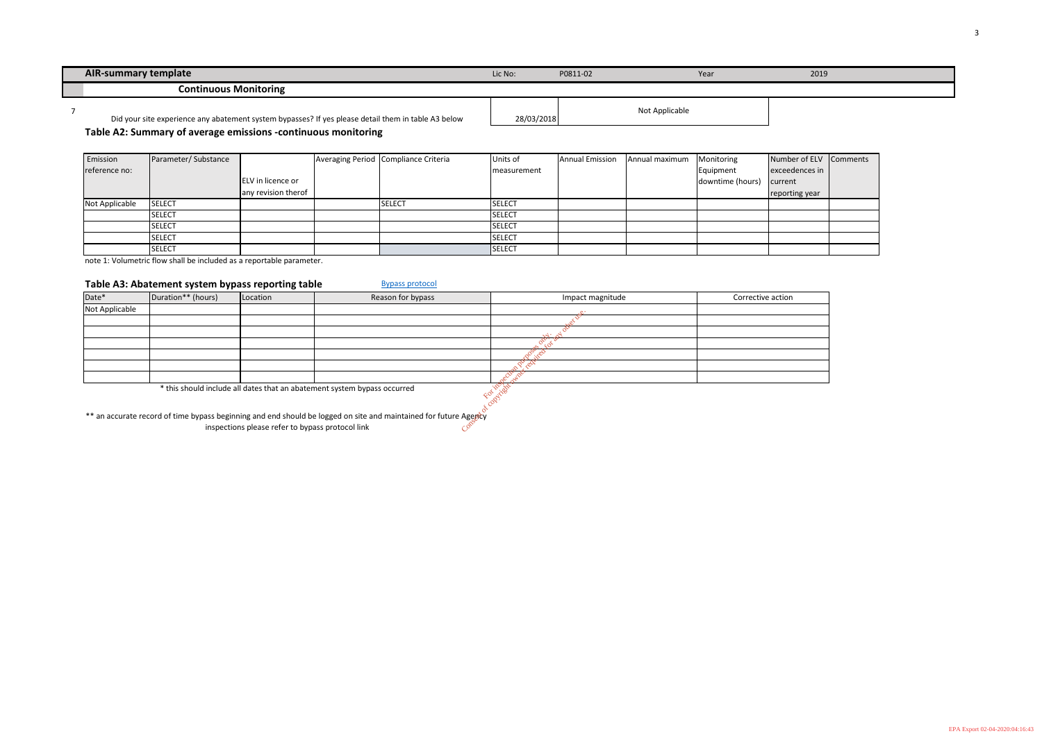| <b>AIR-summary template</b>                                                                         | Lic No:    | P0811-02 | Year           | 2019 |
|-----------------------------------------------------------------------------------------------------|------------|----------|----------------|------|
| <b>Continuous Monitoring</b>                                                                        |            |          |                |      |
| Did your site experience any abatement system bypasses? If yes please detail them in table A3 below | 28/03/2018 |          | Not Applicable |      |

### **Table A2: Summary of average emissions -continuous monitoring**

| Emission       | Parameter/Substance |                     | Averaging Period Compliance Criteria | Units of      | <b>Annual Emission</b> | Annual maximum | Monitoring       | Number of ELV Comments |  |
|----------------|---------------------|---------------------|--------------------------------------|---------------|------------------------|----------------|------------------|------------------------|--|
| reference no:  |                     |                     |                                      | measurement   |                        |                | Equipment        | exceedences in         |  |
|                |                     | ELV in licence or   |                                      |               |                        |                | downtime (hours) | current                |  |
|                |                     | any revision therof |                                      |               |                        |                |                  | reporting year         |  |
| Not Applicable | <b>SELECT</b>       |                     | SELECT                               | <b>SELECT</b> |                        |                |                  |                        |  |
|                | <b>SELECT</b>       |                     |                                      | <b>SELECT</b> |                        |                |                  |                        |  |
|                | <b>SELECT</b>       |                     |                                      | <b>SELECT</b> |                        |                |                  |                        |  |
|                | <b>SELECT</b>       |                     |                                      | <b>SELECT</b> |                        |                |                  |                        |  |
|                | <b>SELECT</b>       |                     |                                      | SELECT        |                        |                |                  |                        |  |

|         |     | ٠ |  |
|---------|-----|---|--|
| ٠<br>۰. | . . |   |  |

note 1: Volumetric flow shall be included as a reportable parameter.

#### **Table A3: Abatement system bypass reporting table** [Bypass protocol](http://www.epa.ie/pubs/advice/licensee/Protocol on bypass Final.pdf)

| <b>TURIC AUTANGLUTULE SYSLUM SYPHSS TUPOLING LUMIC</b> |                    |                                                  |                                                                                                                  |                  |                   |  |  |  |  |  |  |  |
|--------------------------------------------------------|--------------------|--------------------------------------------------|------------------------------------------------------------------------------------------------------------------|------------------|-------------------|--|--|--|--|--|--|--|
| Date*                                                  | Duration** (hours) | Location                                         | Reason for bypass                                                                                                | Impact magnitude | Corrective action |  |  |  |  |  |  |  |
| Not Applicable                                         |                    |                                                  |                                                                                                                  |                  |                   |  |  |  |  |  |  |  |
|                                                        |                    |                                                  |                                                                                                                  |                  |                   |  |  |  |  |  |  |  |
|                                                        |                    |                                                  |                                                                                                                  |                  |                   |  |  |  |  |  |  |  |
|                                                        |                    |                                                  |                                                                                                                  |                  |                   |  |  |  |  |  |  |  |
|                                                        |                    |                                                  |                                                                                                                  |                  |                   |  |  |  |  |  |  |  |
|                                                        |                    |                                                  |                                                                                                                  |                  |                   |  |  |  |  |  |  |  |
|                                                        |                    |                                                  |                                                                                                                  |                  |                   |  |  |  |  |  |  |  |
|                                                        |                    |                                                  | * this should include all dates that an abatement system bypass occurred                                         |                  |                   |  |  |  |  |  |  |  |
|                                                        |                    | inspections please refer to bypass protocol link | ** an accurate record of time bypass beginning and end should be logged on site and maintained for future Agency |                  |                   |  |  |  |  |  |  |  |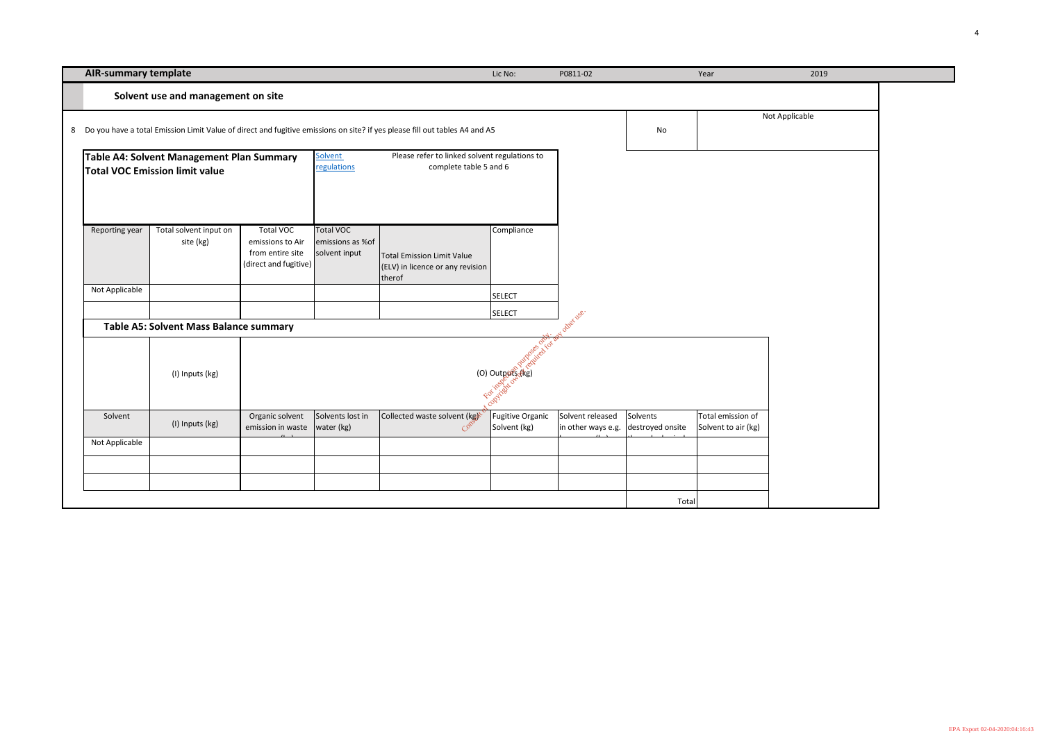| <b>AIR-summary template</b> | Lic No: | P0811-02 |
|-----------------------------|---------|----------|
|                             |         |          |

| <b>AIR-summary template</b> |                                                                                    |                                                                                   |                                                       |                                                                                                                              | Lic No:                          | P0811-02                                                |          | Year                                     | 2019           |  |
|-----------------------------|------------------------------------------------------------------------------------|-----------------------------------------------------------------------------------|-------------------------------------------------------|------------------------------------------------------------------------------------------------------------------------------|----------------------------------|---------------------------------------------------------|----------|------------------------------------------|----------------|--|
|                             | Solvent use and management on site                                                 |                                                                                   |                                                       |                                                                                                                              |                                  |                                                         |          |                                          |                |  |
|                             |                                                                                    |                                                                                   |                                                       | 8 Do you have a total Emission Limit Value of direct and fugitive emissions on site? if yes please fill out tables A4 and A5 |                                  |                                                         | No       |                                          | Not Applicable |  |
|                             | Table A4: Solvent Management Plan Summary<br><b>Total VOC Emission limit value</b> |                                                                                   | Solvent<br>regulations                                | Please refer to linked solvent regulations to<br>complete table 5 and 6                                                      |                                  |                                                         |          |                                          |                |  |
| Reporting year              | Total solvent input on<br>site (kg)                                                | <b>Total VOC</b><br>emissions to Air<br>from entire site<br>(direct and fugitive) | <b>Total VOC</b><br>emissions as %of<br>solvent input | <b>Total Emission Limit Value</b><br>(ELV) in licence or any revision<br>therof                                              | Compliance                       |                                                         |          |                                          |                |  |
| Not Applicable              |                                                                                    |                                                                                   |                                                       |                                                                                                                              | <b>SELECT</b><br><b>SELECT</b>   |                                                         |          |                                          |                |  |
|                             | <b>Table A5: Solvent Mass Balance summary</b>                                      |                                                                                   |                                                       |                                                                                                                              |                                  | other use.                                              |          |                                          |                |  |
|                             | (I) Inputs (kg)                                                                    |                                                                                   |                                                       |                                                                                                                              | For installation                 |                                                         |          |                                          |                |  |
| Solvent                     | (I) Inputs (kg)                                                                    | Organic solvent<br>emission in waste                                              | Solvents lost in<br>water (kg)                        | Collected waste solvent (kg)<br>$C^{\infty}$                                                                                 | Fugitive Organic<br>Solvent (kg) | Solvent released<br>in other ways e.g. destroyed onsite | Solvents | Total emission of<br>Solvent to air (kg) |                |  |
| Not Applicable              |                                                                                    |                                                                                   |                                                       |                                                                                                                              |                                  |                                                         |          |                                          |                |  |
|                             |                                                                                    |                                                                                   |                                                       |                                                                                                                              |                                  |                                                         |          |                                          |                |  |
|                             |                                                                                    |                                                                                   |                                                       |                                                                                                                              |                                  |                                                         |          |                                          |                |  |
|                             |                                                                                    |                                                                                   |                                                       |                                                                                                                              |                                  |                                                         | Total    |                                          |                |  |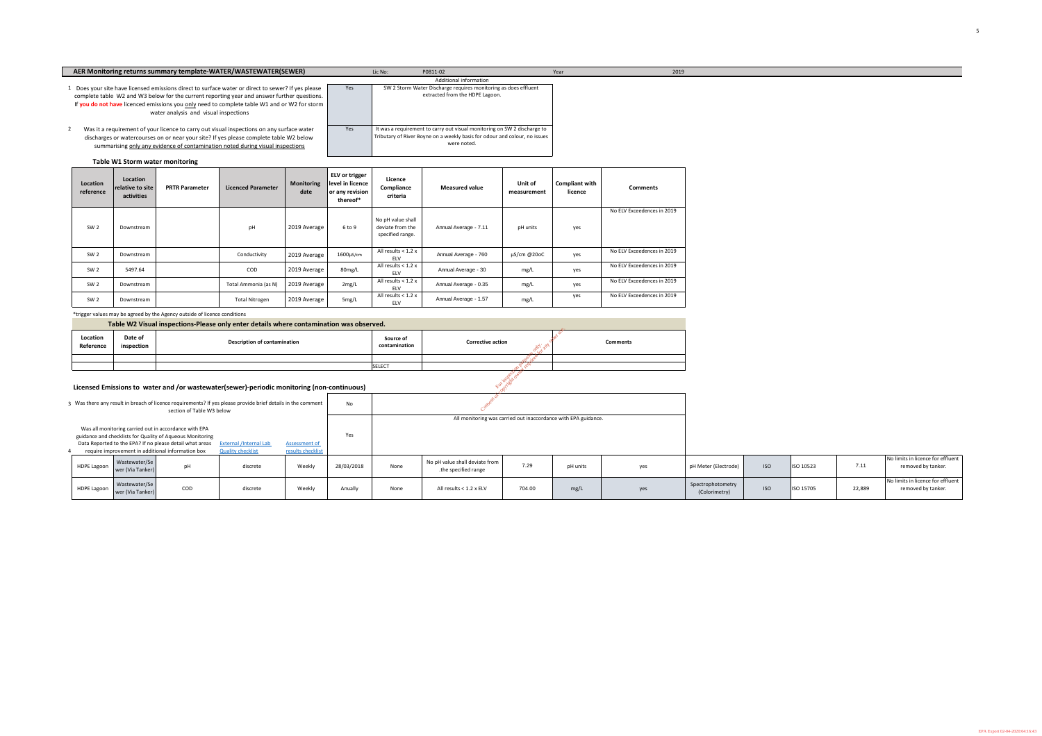| Location<br>reference | Location<br>relative to site<br>activities | <b>PRTR Parameter</b> | <b>Licenced Parameter</b> | <b>Monitoring</b><br>date | <b>ELV</b> or trigger<br>level in licence<br>or any revision<br>thereof* | <b>Licence</b><br>Compliance<br>criteria                  | <b>Measured value</b> | <b>Unit of</b><br>measurement | <b>Compliant with</b><br>licence | <b>Comments</b>            |
|-----------------------|--------------------------------------------|-----------------------|---------------------------|---------------------------|--------------------------------------------------------------------------|-----------------------------------------------------------|-----------------------|-------------------------------|----------------------------------|----------------------------|
| SW <sub>2</sub>       | Downstream                                 |                       | pH                        | 2019 Average              | 6 to 9                                                                   | No pH value shall<br>deviate from the<br>specified range. | Annual Average - 7.11 | pH units                      | yes                              | No ELV Exceedences in 2019 |
| SW <sub>2</sub>       | Downstream                                 |                       | Conductivity              | 2019 Average              | $1600 \mu s/cm$                                                          | All results < 1.2 x<br><b>ELV</b>                         | Annual Average - 760  | $\mu$ S/cm @20oC              | yes                              | No ELV Exceedences in 2019 |
| SW <sub>2</sub>       | 5497.64                                    |                       | COD                       | 2019 Average              | 80mg/L                                                                   | All results < 1.2 x<br><b>ELV</b>                         | Annual Average - 30   | mg/L                          | yes                              | No ELV Exceedences in 2019 |
| SW <sub>2</sub>       | Downstream                                 |                       | Total Ammonia (as N)      | 2019 Average              | 2mg/L                                                                    | All results < 1.2 x<br><b>ELV</b>                         | Annual Average - 0.35 | mg/L                          | yes                              | No ELV Exceedences in 2019 |
| SW <sub>2</sub>       | Downstream                                 |                       | <b>Total Nitrogen</b>     | 2019 Average              | 5mg/L                                                                    | All results $<$ 1.2 x<br><b>ELV</b>                       | Annual Average - 1.57 | mg/L                          | yes                              | No ELV Exceedences in 2019 |

\*trigger values may be agreed by the Agency outside of licence conditions

|                                                                                                                                                                                                                                         |                    |                                   | section of Table W3 below                               | 3 Was there any result in breach of licence requirements? If yes please provide brief details in the comment |                             | No         |                                                                |                                                        |      |          |     |  |  |
|-----------------------------------------------------------------------------------------------------------------------------------------------------------------------------------------------------------------------------------------|--------------------|-----------------------------------|---------------------------------------------------------|--------------------------------------------------------------------------------------------------------------|-----------------------------|------------|----------------------------------------------------------------|--------------------------------------------------------|------|----------|-----|--|--|
| Was all monitoring carried out in accordance with EPA<br>guidance and checklists for Quality of Aqueous Monitoring<br>Data Reported to the EPA? If no please detail what areas<br><b>External /Internal Lab</b><br><b>Assessment of</b> |                    |                                   |                                                         |                                                                                                              |                             | Yes        | All monitoring was carried out inaccordance with EPA guidance. |                                                        |      |          |     |  |  |
|                                                                                                                                                                                                                                         | <b>HDPE Lagoon</b> | Wastewater/Se<br>wer (Via Tanker) | require improvement in additional information box<br>pH | <b>Quality checklist</b><br>discrete                                                                         | results checklist<br>Weekly | 28/03/2018 | None                                                           | No pH value shall deviate from<br>the specified range. | 7.29 | pH units | yes |  |  |
| Wastewater/Se<br>COD<br><b>HDPE Lagoon</b><br>Weekly<br>discrete<br>wer (Via Tanker)                                                                                                                                                    |                    |                                   |                                                         |                                                                                                              | Anually                     | None       | All results < 1.2 x ELV                                        | 704.00                                                 | mg/L | yes      |     |  |  |

# It was a requirement on the inductional monitoring on SW 2 discharge to DPE Lagoon.

| I value shall deviate from  <br>the specified range. | 7.29   | pH units | yes | pH Meter (Electrode)               | <b>ISO</b> | <b>ISO 10523</b> | 7.11   | No limits in licence for effluent<br>removed by tanker. |
|------------------------------------------------------|--------|----------|-----|------------------------------------|------------|------------------|--------|---------------------------------------------------------|
| Il results $< 1.2$ x ELV                             | 704.00 | mg/L     | yes | Spectrophotometry<br>(Colorimetry) | <b>ISO</b> | <b>ISO 15705</b> | 22,889 | No limits in licence for effluent<br>removed by tanker. |

# **Licensed Emissions to water and /or wastewater(sewer)-periodic monitoring (non-continuous)**

| Table W2 Visual inspections-Please only enter details where contamination was observed. |                       |                                     |                            |                                |                 |  |  |  |  |  |
|-----------------------------------------------------------------------------------------|-----------------------|-------------------------------------|----------------------------|--------------------------------|-----------------|--|--|--|--|--|
| Location<br>Reference                                                                   | Date of<br>inspection | <b>Description of contamination</b> | Source of<br>contamination | <b>Corrective action</b><br>Ω. | <b>Comments</b> |  |  |  |  |  |
|                                                                                         |                       |                                     |                            |                                |                 |  |  |  |  |  |
|                                                                                         |                       |                                     | <b>SELECT</b>              |                                |                 |  |  |  |  |  |

| AER Monitoring returns summary template-WATER/WASTEWATER(SEWER)                                                                                                                                                                                                                                                                            |     | P0811-02<br>Lic No:                                                                                                                                                   | Year | 2019 |
|--------------------------------------------------------------------------------------------------------------------------------------------------------------------------------------------------------------------------------------------------------------------------------------------------------------------------------------------|-----|-----------------------------------------------------------------------------------------------------------------------------------------------------------------------|------|------|
|                                                                                                                                                                                                                                                                                                                                            |     | <b>Additional information</b>                                                                                                                                         |      |      |
| 1 Does your site have licensed emissions direct to surface water or direct to sewer? If yes please<br>complete table W2 and W3 below for the current reporting year and answer further questions.<br>If you do not have licenced emissions you only need to complete table W1 and or W2 for storm<br>water analysis and visual inspections | Yes | SW 2 Storm Water Discharge requires monitoring as does effluent<br>extracted from the HDPE Lagoon.                                                                    |      |      |
| Was it a requirement of your licence to carry out visual inspections on any surface water<br>discharges or watercourses on or near your site? If yes please complete table W2 below<br>summarising only any evidence of contamination noted during visual inspections                                                                      | Yes | It was a requirement to carry out visual monitoring on SW 2 discharge to<br>Tributary of River Boyne on a weekly basis for odour and colour, no issues<br>were noted. |      |      |

| <b>Table W1 Storm water monitoring</b> |  |
|----------------------------------------|--|
|----------------------------------------|--|



EPA Export 02-04-2020:04:16:43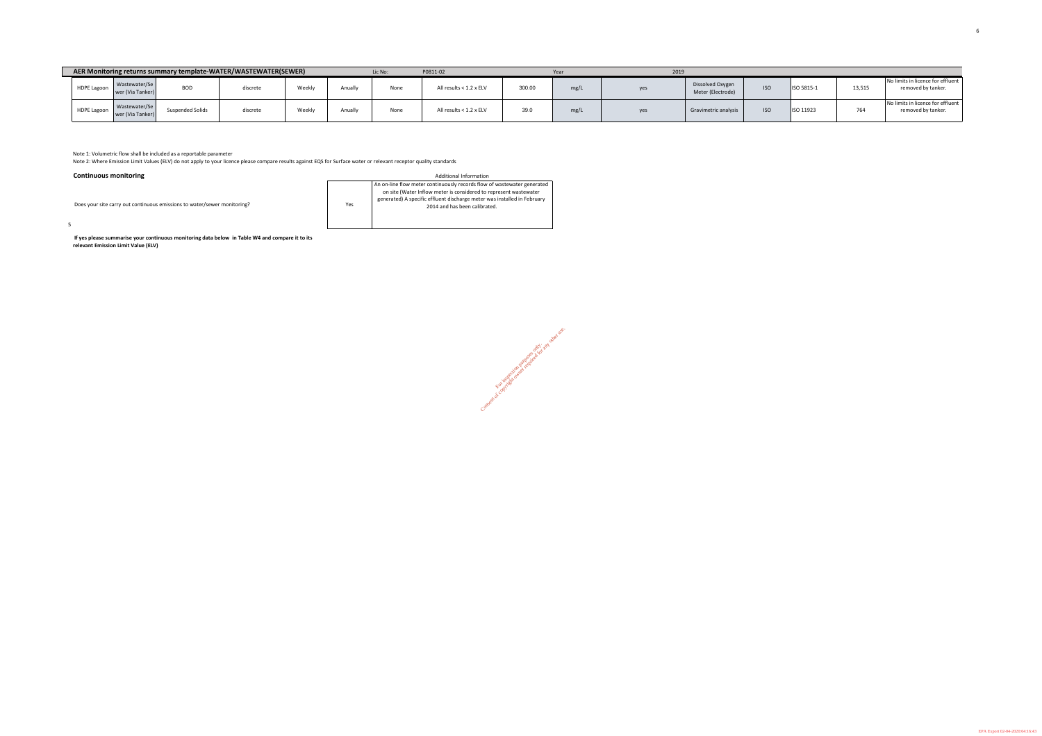|                    |                                   |                         | AER Monitoring returns summary template-WATER/WASTEWATER(SEWER) |                    |         | Lic No: | P0811-02                |                         | Year | 2019 |                                       |            |            |                          |                                                         |
|--------------------|-----------------------------------|-------------------------|-----------------------------------------------------------------|--------------------|---------|---------|-------------------------|-------------------------|------|------|---------------------------------------|------------|------------|--------------------------|---------------------------------------------------------|
| <b>HDPE Lagoon</b> | Wastewater/Se<br>wer (Via Tanker) | <b>BOD</b>              | discrete                                                        | Weekl <sub>y</sub> | Anually | None    | All results < 1.2 x ELV | 300.00                  | mg/L | yes  | Dissolved Oxygen<br>Meter (Electrode) | <b>ISO</b> | ISO 5815-1 | 13,515                   | No limits in licence for effluent<br>removed by tanker. |
| <b>HDPE Lagoon</b> | Wastewater/Se<br>wer (Via Tanker) | <b>Suspended Solids</b> | discrete                                                        | Weekl <sub>y</sub> | Anually | None    | All results < 1.2 x ELV | 20 <sub>1</sub><br>ບອ.ບ | ma   | yes  | Gravimetric analysis                  | <b>ISO</b> | ISO 11923  | $\overline{\phantom{a}}$ | No limits in licence for effluent<br>removed by tanker. |

Consent of copyright owner required for any other use.

Note 1: Volumetric flow shall be included as a reportable parameter

5

Does your site carry out continuous emissions to water/sewer monitoring?

Yes An on-line flow meter continuously records flow of wastewater generated on site (Water Inflow meter is considered to represent wastewater generated) A specific effluent discharge meter was installed in February 2014 and has been calibrated.

 **If yes please summarise your continuous monitoring data below in Table W4 and compare it to its relevant Emission Limit Value (ELV)**

| ٦t |  |
|----|--|
|    |  |
| ٦t |  |
|    |  |
|    |  |

Note 2: Where Emission Limit Values (ELV) do not apply to your licence please compare results against EQS for Surface water or relevant receptor quality standards

#### **Continuous monitoring** and the control of the control of the control of the control of the control of the control of the control of the control of the control of the control of the control of the control of the control of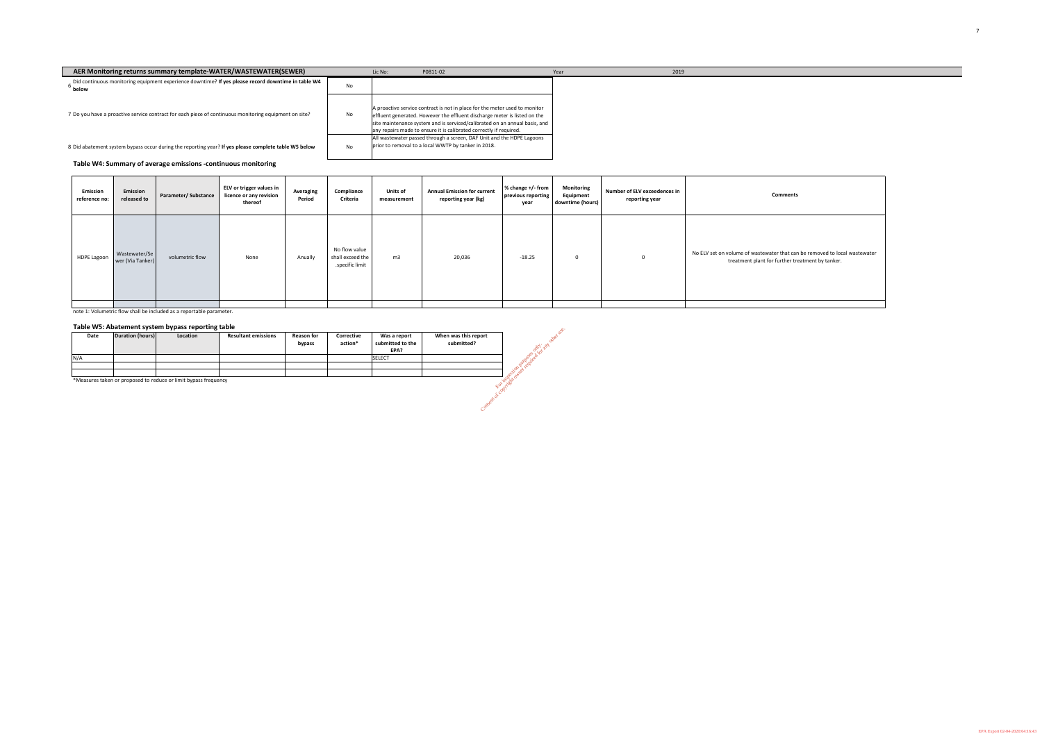**Table W4: Summary of average emissions -continuous monitoring**

note 1: Volumetric flow shall be included as a reportable parameter.

# **Table W5: Abatement system bypass reporting table**

| Date | Duration (hours) | Location | <b>Resultant emissions</b> | <b>Reason for</b><br>bypass | Corrective<br>action* | Was a report<br>submitted to the<br>EPA? | When was this report<br>submitted? |
|------|------------------|----------|----------------------------|-----------------------------|-----------------------|------------------------------------------|------------------------------------|
| N/A  |                  |          |                            |                             |                       | <b>SELECT</b>                            |                                    |
|      |                  |          |                            |                             |                       |                                          |                                    |
|      |                  |          |                            |                             |                       |                                          |                                    |

| AER Monitoring returns summary template-WATER/WASTEWATER(SEWER)                                                          |    | Lic No: | P0811-02                                                                                                                                                                                                                                                                                                    | Year | 2019 |
|--------------------------------------------------------------------------------------------------------------------------|----|---------|-------------------------------------------------------------------------------------------------------------------------------------------------------------------------------------------------------------------------------------------------------------------------------------------------------------|------|------|
| Did continuous monitoring equipment experience downtime? If yes please record downtime in table W4<br><sup>b</sup> below | No |         |                                                                                                                                                                                                                                                                                                             |      |      |
| 7 Do you have a proactive service contract for each piece of continuous monitoring equipment on site?                    | No |         | A proactive service contract is not in place for the meter used to monitor<br>effluent generated. However the effluent discharge meter is listed on the<br>site maintenance system and is serviced/calibrated on an annual basis, and<br>any repairs made to ensure it is calibrated correctly if required. |      |      |
| 8 Did abatement system bypass occur during the reporting year? If yes please complete table W5 below                     | No |         | All wastewater passed through a screen, DAF Unit and the HDPE Lagoons<br>prior to removal to a local WWTP by tanker in 2018.                                                                                                                                                                                |      |      |

\*Measures taken or proposed to reduce or limit bypass frequency

| 2019 |
|------|
|      |
|      |
|      |
|      |
|      |
|      |
|      |
|      |
|      |
|      |
| Year |

| Emission<br>reference no: | Emission<br>released to           | Parameter/Substance | <b>ELV or trigger values in</b><br>licence or any revision<br>thereof | <b>Averaging</b><br>Period | Compliance<br><b>Criteria</b>                        | <b>Units of</b><br>measurement | <b>Annual Emission for current</b><br>reporting year (kg) | % change +/- from<br>previous reporting<br>year | <b>Monitoring</b><br>Equipment<br>downtime (hours) | <b>Number of ELV exceedences in</b><br>reporting year | <b>Comments</b>                                                                                                                |
|---------------------------|-----------------------------------|---------------------|-----------------------------------------------------------------------|----------------------------|------------------------------------------------------|--------------------------------|-----------------------------------------------------------|-------------------------------------------------|----------------------------------------------------|-------------------------------------------------------|--------------------------------------------------------------------------------------------------------------------------------|
| <b>HDPE Lagoon</b>        | Wastewater/Se<br>wer (Via Tanker) | volumetric flow     | None                                                                  | Anually                    | No flow value<br>shall exceed the<br>specific limit. | m3                             | 20,036                                                    | $-18.25$                                        |                                                    |                                                       | No ELV set on volume of wastewater that can be removed to local wastewater<br>treatment plant for further treatment by tanker. |
|                           |                                   |                     |                                                                       |                            |                                                      |                                |                                                           |                                                 |                                                    |                                                       |                                                                                                                                |





EPA Export 02-04-2020:04:16:43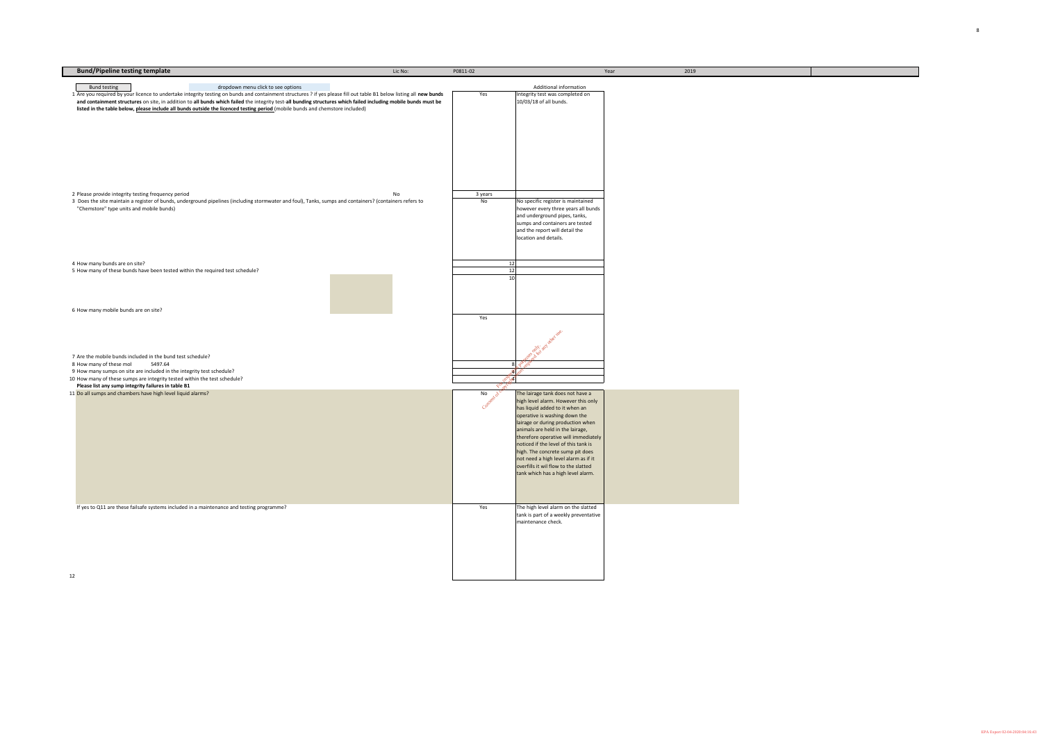| P0811-02                     |                                                                              | Year | 2019 |  |
|------------------------------|------------------------------------------------------------------------------|------|------|--|
|                              |                                                                              |      |      |  |
|                              | Additional information                                                       |      |      |  |
| Yes                          | Integrity test was completed on<br>10/03/18 of all bunds.                    |      |      |  |
|                              |                                                                              |      |      |  |
|                              |                                                                              |      |      |  |
|                              |                                                                              |      |      |  |
|                              |                                                                              |      |      |  |
|                              |                                                                              |      |      |  |
|                              |                                                                              |      |      |  |
|                              |                                                                              |      |      |  |
|                              |                                                                              |      |      |  |
|                              |                                                                              |      |      |  |
|                              |                                                                              |      |      |  |
| 3 years                      |                                                                              |      |      |  |
| $\operatorname{\mathsf{No}}$ | No specific register is maintained                                           |      |      |  |
|                              | however every three years all bunds                                          |      |      |  |
|                              | and underground pipes, tanks,                                                |      |      |  |
|                              | sumps and containers are tested                                              |      |      |  |
|                              | and the report will detail the<br>location and details.                      |      |      |  |
|                              |                                                                              |      |      |  |
|                              |                                                                              |      |      |  |
| 12                           |                                                                              |      |      |  |
| 12                           |                                                                              |      |      |  |
| 10                           |                                                                              |      |      |  |
|                              |                                                                              |      |      |  |
|                              |                                                                              |      |      |  |
|                              |                                                                              |      |      |  |
| Yes                          |                                                                              |      |      |  |
|                              |                                                                              |      |      |  |
|                              |                                                                              |      |      |  |
|                              |                                                                              |      |      |  |
|                              |                                                                              |      |      |  |
|                              | Postal and other use.                                                        |      |      |  |
| 8 <sup>1</sup>               | Pureau                                                                       |      |      |  |
|                              | 1201                                                                         |      |      |  |
| 1098<br><b>AN</b><br>Former  |                                                                              |      |      |  |
| Content of car.              | The lairage tank does not have a                                             |      |      |  |
|                              | high level alarm. However this only                                          |      |      |  |
|                              | has liquid added to it when an                                               |      |      |  |
|                              | operative is washing down the                                                |      |      |  |
|                              | lairage or during production when                                            |      |      |  |
|                              | animals are held in the lairage,<br>therefore operative will immediately     |      |      |  |
|                              | noticed if the level of this tank is                                         |      |      |  |
|                              | high. The concrete sump pit does                                             |      |      |  |
|                              | not need a high level alarm as if it                                         |      |      |  |
|                              | overfills it wil flow to the slatted                                         |      |      |  |
|                              | tank which has a high level alarm.                                           |      |      |  |
|                              |                                                                              |      |      |  |
|                              |                                                                              |      |      |  |
|                              |                                                                              |      |      |  |
| Yes                          | The high level alarm on the slatted<br>tank is part of a weekly preventative |      |      |  |
|                              | maintenance check.                                                           |      |      |  |
|                              |                                                                              |      |      |  |
|                              |                                                                              |      |      |  |
|                              |                                                                              |      |      |  |
|                              |                                                                              |      |      |  |
|                              |                                                                              |      |      |  |
|                              |                                                                              |      |      |  |
|                              |                                                                              |      |      |  |

| <b>Bund/Pipeline testing template</b>                                                                                                                                                                                                                                                                                                                                                                                                                                                                                                | Lic No: | P0811-02      |                                                                                                                                                                                                                                                                                                                                                                                                                                                               | Year | 2019 |
|--------------------------------------------------------------------------------------------------------------------------------------------------------------------------------------------------------------------------------------------------------------------------------------------------------------------------------------------------------------------------------------------------------------------------------------------------------------------------------------------------------------------------------------|---------|---------------|---------------------------------------------------------------------------------------------------------------------------------------------------------------------------------------------------------------------------------------------------------------------------------------------------------------------------------------------------------------------------------------------------------------------------------------------------------------|------|------|
|                                                                                                                                                                                                                                                                                                                                                                                                                                                                                                                                      |         |               | Additional information                                                                                                                                                                                                                                                                                                                                                                                                                                        |      |      |
| dropdown menu click to see options<br><b>Bund testing</b><br>1 Are you required by your licence to undertake integrity testing on bunds and containment structures ? if yes please fill out table B1 below listing all new bunds<br>and containment structures on site, in addition to all bunds which failed the integrity test-all bunding structures which failed including mobile bunds must be<br>listed in the table below, please include all bunds outside the licenced testing period (mobile bunds and chemstore included) |         | Yes           | Integrity test was completed on<br>10/03/18 of all bunds.                                                                                                                                                                                                                                                                                                                                                                                                     |      |      |
| 2 Please provide integrity testing frequency period<br>3 Does the site maintain a register of bunds, underground pipelines (including stormwater and foul), Tanks, sumps and containers? (containers refers to<br>"Chemstore" type units and mobile bunds)                                                                                                                                                                                                                                                                           | No      | 3 years<br>No | No specific register is maintained<br>however every three years all bunds<br>and underground pipes, tanks,<br>sumps and containers are tested<br>and the report will detail the<br>location and details.                                                                                                                                                                                                                                                      |      |      |
| 4 How many bunds are on site?<br>5 How many of these bunds have been tested within the required test schedule?                                                                                                                                                                                                                                                                                                                                                                                                                       |         |               | 12<br>12<br>10                                                                                                                                                                                                                                                                                                                                                                                                                                                |      |      |
| 6 How many mobile bunds are on site?                                                                                                                                                                                                                                                                                                                                                                                                                                                                                                 |         | Yes           |                                                                                                                                                                                                                                                                                                                                                                                                                                                               |      |      |
| 7 Are the mobile bunds included in the bund test schedule?<br>8 How many of these mol<br>5497.64<br>9 How many sumps on site are included in the integrity test schedule?<br>10 How many of these sumps are integrity tested within the test schedule?<br>Please list any sump integrity failures in table B1                                                                                                                                                                                                                        |         | <b>RAYA</b>   | police<br>$\infty$                                                                                                                                                                                                                                                                                                                                                                                                                                            |      |      |
| 11 Do all sumps and chambers have high level liquid alarms?                                                                                                                                                                                                                                                                                                                                                                                                                                                                          |         | Consent of Co | The lairage tank does not have a<br>high level alarm. However this only<br>has liquid added to it when an<br>operative is washing down the<br>lairage or during production when<br>animals are held in the lairage,<br>therefore operative will immediately<br>noticed if the level of this tank is<br>high. The concrete sump pit does<br>not need a high level alarm as if it<br>overfills it wil flow to the slatted<br>tank which has a high level alarm. |      |      |
| If yes to Q11 are these failsafe systems included in a maintenance and testing programme?                                                                                                                                                                                                                                                                                                                                                                                                                                            |         | Yes           | The high level alarm on the slatted<br>tank is part of a weekly preventative<br>maintenance check.                                                                                                                                                                                                                                                                                                                                                            |      |      |

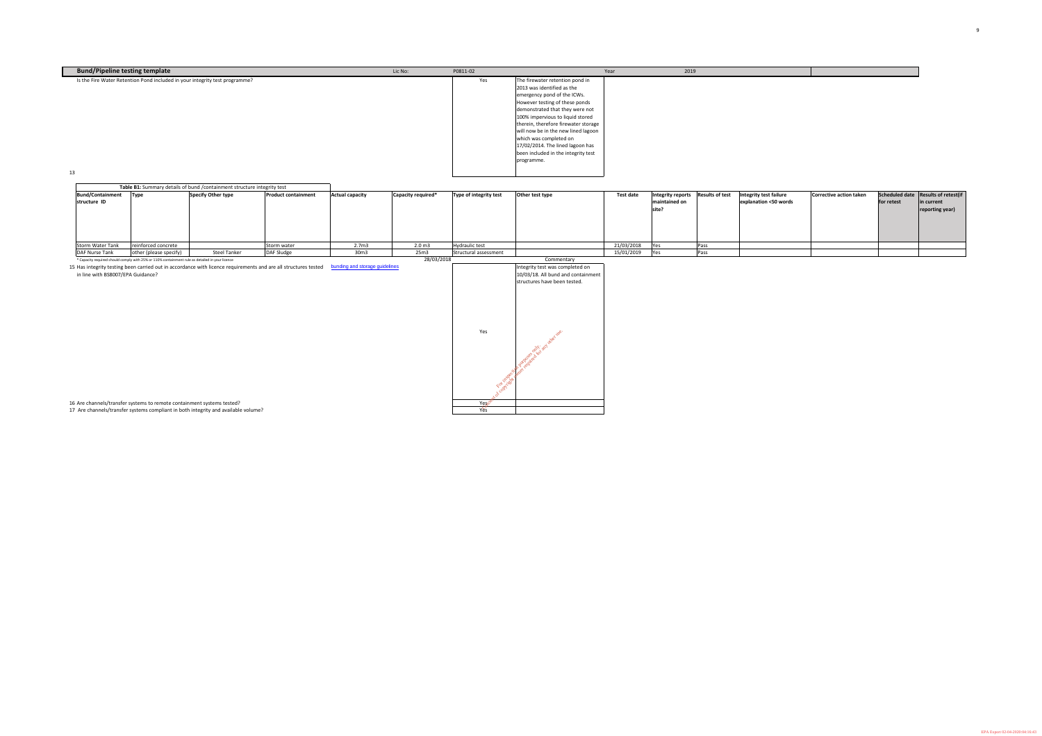| <b>Bund/Pipeline testing template</b>                                       | Lic No: | P0811-02 |                                                                                                                                                                                                                                                                                                                                                                                                            | Year | 2019 |  |
|-----------------------------------------------------------------------------|---------|----------|------------------------------------------------------------------------------------------------------------------------------------------------------------------------------------------------------------------------------------------------------------------------------------------------------------------------------------------------------------------------------------------------------------|------|------|--|
| Is the Fire Water Retention Pond included in your integrity test programme? |         | Yes      | The firewater retention pond in<br>2013 was identified as the<br>emergency pond of the ICWs.<br>However testing of these ponds<br>demonstrated that they were not<br>100% impervious to liquid stored<br>therein, therefore firewater storage<br>will now be in the new lined lagoon<br>which was completed on<br>$17/02/2014$ . The lined lagoon has<br>been included in the integrity test<br>programme. |      |      |  |
| 13                                                                          |         |          |                                                                                                                                                                                                                                                                                                                                                                                                            |      |      |  |

15 Has integrity testing been carried out in accordance with licence requirements and are all structures tested [bunding and storage guidelines](http://www.epa.ie/downloads/advice/general/materials storage.pdf) in line with BS8007/EPA Guidance?

16 Are channels/transfer systems to remote containment systems tested?

17 Are channels/transfer systems compliant in both integrity and available volume?

|                                         |                                                                                                 | Table B1: Summary details of bund / containment structure integrity test |                            |                        |                    |                        |                 |                  |                                             |                        |                                                 |                         |            |                                                                         |
|-----------------------------------------|-------------------------------------------------------------------------------------------------|--------------------------------------------------------------------------|----------------------------|------------------------|--------------------|------------------------|-----------------|------------------|---------------------------------------------|------------------------|-------------------------------------------------|-------------------------|------------|-------------------------------------------------------------------------|
| <b>Bund/Containment</b><br>structure ID | <b>Type</b>                                                                                     | Specify Other type                                                       | <b>Product containment</b> | <b>Actual capacity</b> | Capacity required* | Type of integrity test | Other test type | <b>Test date</b> | Integrity reports<br>maintained on<br>site? | <b>Results of test</b> | Integrity test failure<br>explanation <50 words | Corrective action taken | for retest | Scheduled date   Results of retest(if<br>lin current<br>reporting year) |
| <b>Storm Water Tank</b>                 | reinforced concrete                                                                             |                                                                          | Storm water                | 2.7 <sub>m3</sub>      | 2.0 <sub>m3</sub>  | <b>Hydraulic test</b>  |                 | 21/03/2018       |                                             | Pass                   |                                                 |                         |            |                                                                         |
| <b>DAF Nurse Tank</b>                   | other (please specify)                                                                          | <b>Steel Tanker</b>                                                      | DAF Sludge                 | 30m3                   | 25m3               | Structural assessment  |                 | 15/01/2019       |                                             | Pass                   |                                                 |                         |            |                                                                         |
|                                         | * Capacity required should comply with 25% or 110% containment rule as detailed in your licence |                                                                          |                            |                        | 28/03/2018         |                        | Commentary      |                  |                                             |                        |                                                 |                         |            |                                                                         |

| Commentary                                                                                                      |
|-----------------------------------------------------------------------------------------------------------------|
| Integrity test was completed on                                                                                 |
| 10/03/18. All bund and containment                                                                              |
| structures have been tested.                                                                                    |
| Test service of the division of the division of the division of the division of the division of the division of |
|                                                                                                                 |
|                                                                                                                 |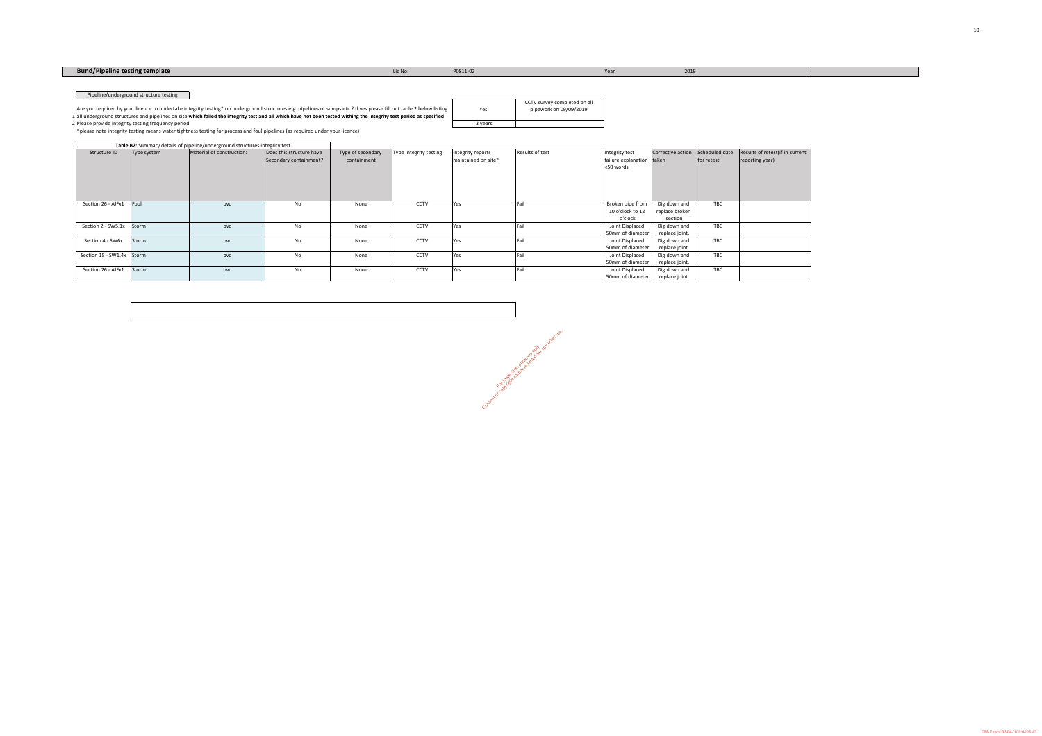| Yes   | CCTV survey completed on all<br>pipework on 09/09/2019. |
|-------|---------------------------------------------------------|
| vears |                                                         |

Consent of copyright owner required for any other use.

\*please note integrity testing means water tightness testing for process and foul pipelines (as required under your licence)

1 all underground structures and pipelines on site **which failed the integrity test and all which have not been tested withing the integrity test period as specified**  2 Please provide integrity testing frequency period Are you required by your licence to undertake integrity testing\* on underground structures e.g. pipelines or sumps etc ? if yes please fill out table 2 below listing

|                           |              | Table B2: Summary details of pipeline/underground structures integrity test |                                                    |                                  |                        |                                          |                        |                                                          |                                           |            |                                                    |
|---------------------------|--------------|-----------------------------------------------------------------------------|----------------------------------------------------|----------------------------------|------------------------|------------------------------------------|------------------------|----------------------------------------------------------|-------------------------------------------|------------|----------------------------------------------------|
| Structure ID              | Type system  | Material of construction:                                                   | Does this structure have<br>Secondary containment? | Type of secondary<br>containment | Type integrity testing | Integrity reports<br>maintained on site? | <b>Results of test</b> | Integrity test<br>failure explanation taken<br><50 words | Corrective action Scheduled date          | for retest | Results of retest(if in current<br>reporting year) |
|                           |              |                                                                             |                                                    |                                  |                        |                                          |                        |                                                          |                                           |            |                                                    |
| Section 26 - AJFx1        | Foul         | pvc                                                                         | No                                                 | None                             | <b>CCTV</b>            | Yes                                      | <b>Fail</b>            | Broken pipe from<br>10 o'clock to 12<br>o'clock          | Dig down and<br>replace broken<br>section | <b>TBC</b> |                                                    |
| Section 2 - SW5.1x        | <b>Storm</b> | pvc                                                                         | No                                                 | None                             | CCTV                   | Yes                                      | lFail                  | Joint Displaced<br>50mm of diameter                      | Dig down and<br>replace joint.            | <b>TBC</b> |                                                    |
| Section 4 - SW6x          | Storm        | pvc                                                                         | No                                                 | None                             | <b>CCTV</b>            | Yes                                      | <b>IFail</b>           | Joint Displaced<br>50mm of diameter                      | Dig down and<br>replace joint.            | <b>TBC</b> |                                                    |
| Section 15 - SW1.4x Storm |              | pvc                                                                         | No                                                 | None                             | CCTV                   | Yes                                      | Fail                   | Joint Displaced<br>50mm of diameter                      | Dig down and<br>replace joint.            | TBC        |                                                    |
| Section 26 - AJFx1        | Storm        | pvc                                                                         | No                                                 | None                             | <b>CCTV</b>            | Yes                                      | Fail                   | Joint Displaced<br>50mm of diameter                      | Dig down and<br>replace joint.            | <b>TBC</b> |                                                    |

# **Bund/Pipeline testing template Lic No:** Lic No: P0811-02 Year Year 2019

Pipeline/underground structure testing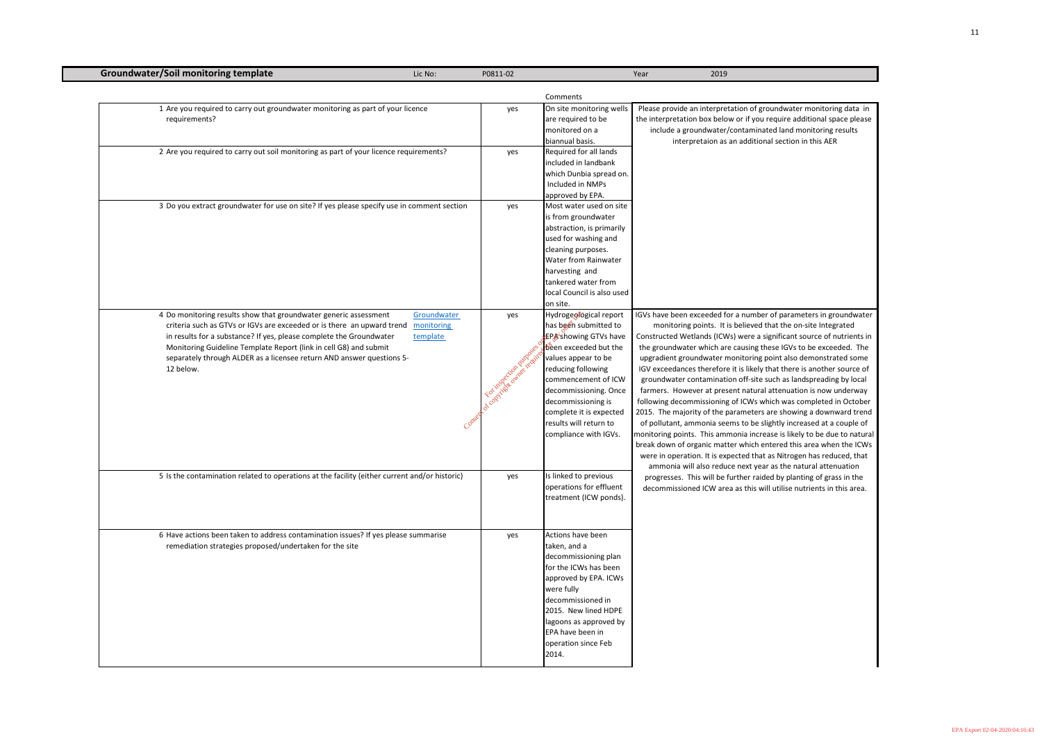| <b>Groundwater/Soil monitoring template</b>                                                                                                                                                                                                                                                                                                                                  | Lic No:                                         | P0811-02                        |                                                                                                                                                                                                                                                                                                   | 2019<br>Year                                                                                                                                                                                                                                                                                                                                                                                                                         |
|------------------------------------------------------------------------------------------------------------------------------------------------------------------------------------------------------------------------------------------------------------------------------------------------------------------------------------------------------------------------------|-------------------------------------------------|---------------------------------|---------------------------------------------------------------------------------------------------------------------------------------------------------------------------------------------------------------------------------------------------------------------------------------------------|--------------------------------------------------------------------------------------------------------------------------------------------------------------------------------------------------------------------------------------------------------------------------------------------------------------------------------------------------------------------------------------------------------------------------------------|
|                                                                                                                                                                                                                                                                                                                                                                              |                                                 |                                 | Comments                                                                                                                                                                                                                                                                                          |                                                                                                                                                                                                                                                                                                                                                                                                                                      |
| 1 Are you required to carry out groundwater monitoring as part of your licence<br>requirements?                                                                                                                                                                                                                                                                              |                                                 | yes                             | On site monitoring wells<br>are required to be<br>monitored on a<br>biannual basis.                                                                                                                                                                                                               | Please provide an interpre<br>the interpretation box belo<br>include a groundwater<br>interpretaion as                                                                                                                                                                                                                                                                                                                               |
| 2 Are you required to carry out soil monitoring as part of your licence requirements?                                                                                                                                                                                                                                                                                        |                                                 | yes                             | Required for all lands<br>included in landbank<br>which Dunbia spread on.<br>Included in NMPs<br>approved by EPA.                                                                                                                                                                                 |                                                                                                                                                                                                                                                                                                                                                                                                                                      |
| 3 Do you extract groundwater for use on site? If yes please specify use in comment section                                                                                                                                                                                                                                                                                   |                                                 | yes                             | Most water used on site<br>is from groundwater<br>abstraction, is primarily<br>used for washing and<br>cleaning purposes.<br><b>Water from Rainwater</b><br>harvesting and<br>tankered water from<br>local Council is also used<br>on site.                                                       |                                                                                                                                                                                                                                                                                                                                                                                                                                      |
| 4 Do monitoring results show that groundwater generic assessment<br>criteria such as GTVs or IGVs are exceeded or is there an upward trend<br>in results for a substance? If yes, please complete the Groundwater<br>Monitoring Guideline Template Report (link in cell G8) and submit<br>separately through ALDER as a licensee return AND answer questions 5-<br>12 below. | Groundwater<br>monitoring<br>template<br>Conser | yes<br>Foodytische organization | Hydrogeofogical report<br>has been submitted to<br>£P&showing GTVs have<br>been exceeded but the<br>values appear to be<br>reducing following<br>commencement of ICW<br>decommissioning. Once<br>decommissioning is<br>complete it is expected<br>results will return to<br>compliance with IGVs. | IGVs have been exceeded f<br>monitoring points. It<br>Constructed Wetlands (ICV<br>the groundwater which ar<br>upgradient groundwater r<br>IGV exceedances therefor<br>groundwater contaminati<br>farmers. However at pres<br>following decommissioning<br>2015. The majority of the<br>of pollutant, ammonia se<br>monitoring points. This am<br>break down of organic mat<br>were in operation. It is ex<br>ammonia will also redu |
| 5 Is the contamination related to operations at the facility (either current and/or historic)                                                                                                                                                                                                                                                                                |                                                 | yes                             | Is linked to previous<br>operations for effluent<br>treatment (ICW ponds).                                                                                                                                                                                                                        | progresses. This will be<br>decommissioned ICW are                                                                                                                                                                                                                                                                                                                                                                                   |
| 6 Have actions been taken to address contamination issues? If yes please summarise<br>remediation strategies proposed/undertaken for the site                                                                                                                                                                                                                                |                                                 | yes                             | Actions have been<br>taken, and a<br>decommissioning plan<br>for the ICWs has been<br>approved by EPA. ICWs<br>were fully<br>decommissioned in<br>2015. New lined HDPE<br>lagoons as approved by<br>EPA have been in<br>operation since Feb<br>2014.                                              |                                                                                                                                                                                                                                                                                                                                                                                                                                      |

le an interpretation of groundwater monitoring data in ttion box below or if you require additional space please groundwater/contaminated land monitoring results erpretaion as an additional section in this AER

In exceeded for a number of parameters in groundwater ing points. It is believed that the on-site Integrated Wetlands (ICWs) were a significant source of nutrients in ater which are causing these IGVs to be exceeded. The roundwater monitoring point also demonstrated some nces therefore it is likely that there is another source of r contamination off-site such as landspreading by local wever at present natural attenuation is now underway ommissioning of ICWs which was completed in October ijority of the parameters are showing a downward trend ammonia seems to be slightly increased at a couple of ints. This ammonia increase is likely to be due to natural f organic matter which entered this area when the ICWs ration. It is expected that as Nitrogen has reduced, that will also reduce next year as the natural attenuation . This will be further raided by planting of grass in the ioned ICW area as this will utilise nutrients in this area.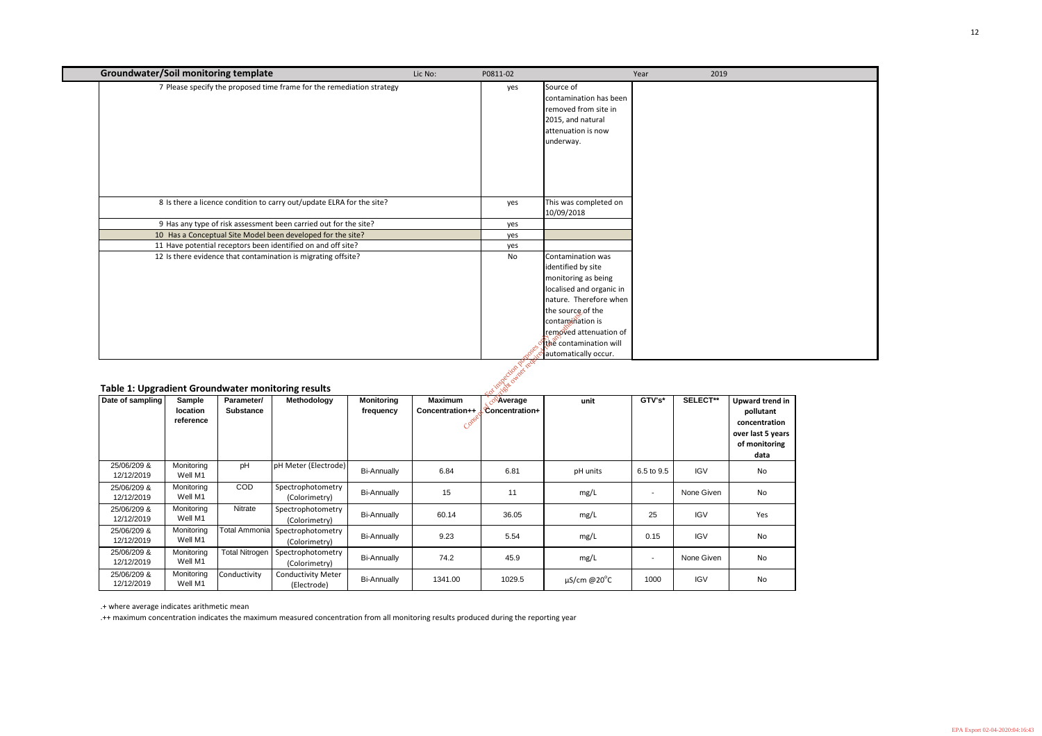| <b>Groundwater/Soil monitoring template</b>                            |                                        |                                |                                                                       |                                | Lic No:                                    | P0811-02                                                        |                                                                                                                                                                                                                                           | Year   | 2019            |
|------------------------------------------------------------------------|----------------------------------------|--------------------------------|-----------------------------------------------------------------------|--------------------------------|--------------------------------------------|-----------------------------------------------------------------|-------------------------------------------------------------------------------------------------------------------------------------------------------------------------------------------------------------------------------------------|--------|-----------------|
|                                                                        |                                        |                                | 7 Please specify the proposed time frame for the remediation strategy |                                |                                            | yes                                                             | Source of<br>contamination has been<br>removed from site in<br>2015, and natural<br>attenuation is now<br>underway.                                                                                                                       |        |                 |
|                                                                        |                                        |                                | 8 Is there a licence condition to carry out/update ELRA for the site? |                                |                                            | yes                                                             | This was completed on<br>10/09/2018                                                                                                                                                                                                       |        |                 |
|                                                                        |                                        |                                | 9 Has any type of risk assessment been carried out for the site?      |                                |                                            | yes                                                             |                                                                                                                                                                                                                                           |        |                 |
|                                                                        |                                        |                                | 10 Has a Conceptual Site Model been developed for the site?           |                                |                                            | yes                                                             |                                                                                                                                                                                                                                           |        |                 |
|                                                                        |                                        |                                | 11 Have potential receptors been identified on and off site?          |                                |                                            | yes                                                             |                                                                                                                                                                                                                                           |        |                 |
|                                                                        |                                        |                                | 12 Is there evidence that contamination is migrating offsite?         |                                |                                            | No                                                              | Contamination was<br>identified by site<br>monitoring as being<br>localised and organic in<br>nature. Therefore when<br>the source of the<br>contamination is<br>removed attenuation of<br>the contamination will<br>automatically occur. |        |                 |
| Table 1: Upgradient Groundwater monitoring results<br>Date of sampling | <b>Sample</b><br>location<br>reference | Parameter/<br><b>Substance</b> | Methodology                                                           | <b>Monitoring</b><br>frequency | <b>Maximum</b><br>Concentration++<br>Const | inspection pu<br>identicatives<br>်လိုAverage<br>Concentration+ | unit                                                                                                                                                                                                                                      | GTV's* | <b>SELECT**</b> |

### **Table 1: Upgradient Groundwater monitoring results**

| $\cdot$<br>Date of sampling | Sample<br>location<br>reference | Parameter/<br><b>Substance</b> | <b>Methodology</b>                       | <b>Monitoring</b><br>frequency | <b>Maximum</b><br>Concentration++<br>Conse | w w<br><sup>R</sup> Average<br>Concentration+ | unit                        | GTV's*                   | <b>SELECT**</b> | Upward trend in<br>pollutant<br>concentration<br>over last 5 years<br>of monitoring<br>data |
|-----------------------------|---------------------------------|--------------------------------|------------------------------------------|--------------------------------|--------------------------------------------|-----------------------------------------------|-----------------------------|--------------------------|-----------------|---------------------------------------------------------------------------------------------|
| 25/06/209 &<br>12/12/2019   | Monitoring<br>Well M1           | pH                             | pH Meter (Electrode)                     | <b>Bi-Annually</b>             | 6.84                                       | 6.81                                          | pH units                    | 6.5 to 9.5               | <b>IGV</b>      | No                                                                                          |
| 25/06/209 &<br>12/12/2019   | Monitoring<br>Well M1           | <b>COD</b>                     | Spectrophotometry<br>(Colorimetry)       | <b>Bi-Annually</b>             | 15                                         | 11                                            | mg/L                        | $\blacksquare$           | None Given      | No                                                                                          |
| 25/06/209 &<br>12/12/2019   | Monitoring<br>Well M1           | Nitrate                        | Spectrophotometry<br>(Colorimetry)       | <b>Bi-Annually</b>             | 60.14                                      | 36.05                                         | mg/L                        | 25                       | <b>IGV</b>      | Yes                                                                                         |
| 25/06/209 &<br>12/12/2019   | Monitoring<br>Well M1           | <b>Total Ammonia</b>           | Spectrophotometry<br>(Colorimetry)       | <b>Bi-Annually</b>             | 9.23                                       | 5.54                                          | mg/L                        | 0.15                     | <b>IGV</b>      | No                                                                                          |
| 25/06/209 &<br>12/12/2019   | Monitoring<br>Well M1           | <b>Total Nitrogen</b>          | Spectrophotometry<br>(Colorimetry)       | <b>Bi-Annually</b>             | 74.2                                       | 45.9                                          | mg/L                        | $\overline{\phantom{a}}$ | None Given      | No                                                                                          |
| 25/06/209 &<br>12/12/2019   | Monitoring<br>Well M1           | Conductivity                   | <b>Conductivity Meter</b><br>(Electrode) | <b>Bi-Annually</b>             | 1341.00                                    | 1029.5                                        | $\mu$ S/cm @20 $^{\circ}$ C | 1000                     | <b>IGV</b>      | No                                                                                          |

.+ where average indicates arithmetic mean

.++ maximum concentration indicates the maximum measured concentration from all monitoring results produced during the reporting year

| 2019 |  |  |
|------|--|--|
|      |  |  |
|      |  |  |
|      |  |  |
|      |  |  |
|      |  |  |
|      |  |  |
|      |  |  |
|      |  |  |
|      |  |  |
|      |  |  |
|      |  |  |
|      |  |  |
|      |  |  |
|      |  |  |
|      |  |  |
|      |  |  |
|      |  |  |
|      |  |  |
|      |  |  |
|      |  |  |
|      |  |  |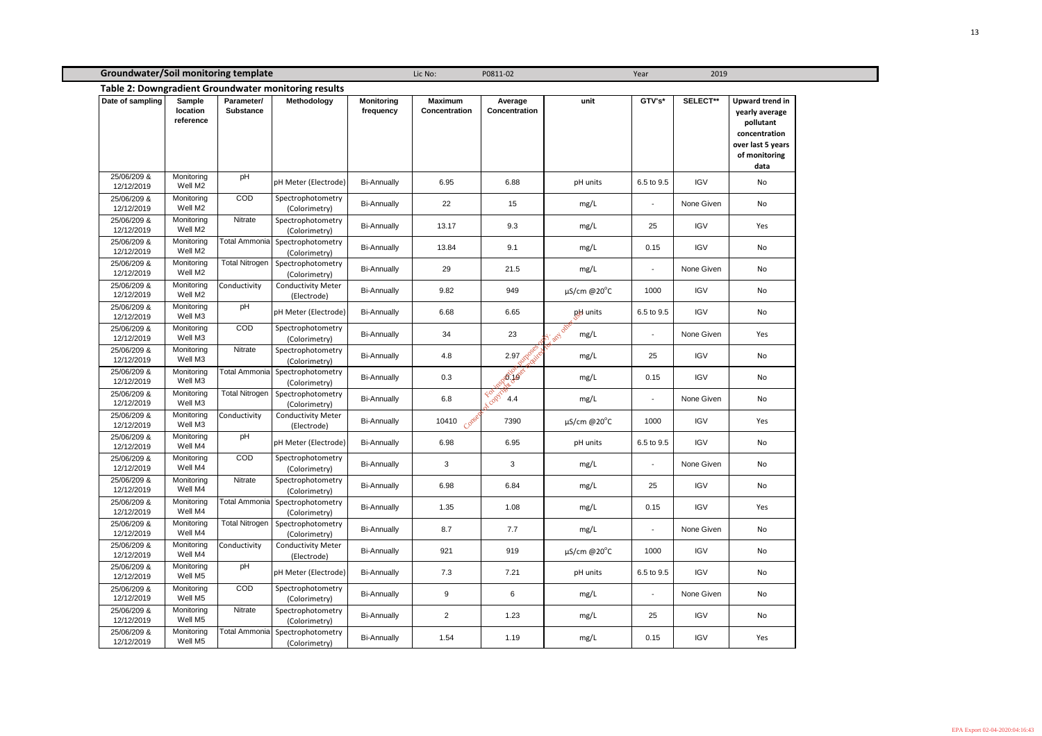| <b>Groundwater/Soil monitoring template</b> |                                        |                                |                                                      |                                |                                        | Lic No:<br>P0811-02                                         |                             |                          | 2019<br>Year |                                                                                                                      |  |
|---------------------------------------------|----------------------------------------|--------------------------------|------------------------------------------------------|--------------------------------|----------------------------------------|-------------------------------------------------------------|-----------------------------|--------------------------|--------------|----------------------------------------------------------------------------------------------------------------------|--|
|                                             |                                        |                                | Table 2: Downgradient Groundwater monitoring results |                                |                                        |                                                             |                             |                          |              |                                                                                                                      |  |
| Date of sampling                            | <b>Sample</b><br>location<br>reference | Parameter/<br><b>Substance</b> | Methodology                                          | <b>Monitoring</b><br>frequency | <b>Maximum</b><br><b>Concentration</b> | Average<br><b>Concentration</b>                             | unit                        | GTV's*                   | SELECT**     | <b>Upward trend in</b><br>yearly average<br>pollutant<br>concentration<br>over last 5 years<br>of monitoring<br>data |  |
| 25/06/209 &<br>12/12/2019                   | Monitoring<br>Well M2                  | pH                             | pH Meter (Electrode)                                 | <b>Bi-Annually</b>             | 6.95                                   | 6.88                                                        | pH units                    | 6.5 to 9.5               | <b>IGV</b>   | No                                                                                                                   |  |
| 25/06/209 &<br>12/12/2019                   | Monitoring<br>Well M2                  | COD                            | Spectrophotometry<br>(Colorimetry)                   | <b>Bi-Annually</b>             | 22                                     | 15                                                          | mg/L                        | $\blacksquare$           | None Given   | No                                                                                                                   |  |
| 25/06/209 &<br>12/12/2019                   | Monitoring<br>Well M2                  | Nitrate                        | Spectrophotometry<br>(Colorimetry)                   | <b>Bi-Annually</b>             | 13.17                                  | 9.3                                                         | mg/L                        | 25                       | <b>IGV</b>   | Yes                                                                                                                  |  |
| 25/06/209 &<br>12/12/2019                   | Monitoring<br>Well M2                  | Total Ammonia                  | Spectrophotometry<br>(Colorimetry)                   | <b>Bi-Annually</b>             | 13.84                                  | 9.1                                                         | mg/L                        | 0.15                     | <b>IGV</b>   | No                                                                                                                   |  |
| 25/06/209 &<br>12/12/2019                   | Monitoring<br>Well M2                  | <b>Total Nitrogen</b>          | Spectrophotometry<br>(Colorimetry)                   | <b>Bi-Annually</b>             | 29                                     | 21.5                                                        | mg/L                        | $\blacksquare$           | None Given   | No                                                                                                                   |  |
| 25/06/209 &<br>12/12/2019                   | Monitoring<br>Well M2                  | Conductivity                   | <b>Conductivity Meter</b><br>(Electrode)             | <b>Bi-Annually</b>             | 9.82                                   | 949                                                         | $\mu$ S/cm @20 $^{\circ}$ C | 1000                     | <b>IGV</b>   | No                                                                                                                   |  |
| 25/06/209 &<br>12/12/2019                   | Monitoring<br>Well M3                  | pH                             | pH Meter (Electrode)                                 | <b>Bi-Annually</b>             | 6.68                                   | 6.65                                                        | pH units                    | 6.5 to 9.5               | <b>IGV</b>   | No                                                                                                                   |  |
| 25/06/209 &<br>12/12/2019                   | Monitoring<br>Well M3                  | COD                            | Spectrophotometry<br>(Colorimetry)                   | <b>Bi-Annually</b>             | 34                                     | 23                                                          | any other<br>mg/L           | $\overline{\phantom{a}}$ | None Given   | Yes                                                                                                                  |  |
| 25/06/209 &<br>12/12/2019                   | Monitoring<br>Well M3                  | Nitrate                        | Spectrophotometry<br>(Colorimetry)                   | <b>Bi-Annually</b>             | 4.8                                    | $2.97 \text{ eV}$                                           | mg/L                        | 25                       | <b>IGV</b>   | No                                                                                                                   |  |
| 25/06/209 &<br>12/12/2019                   | Monitoring<br>Well M3                  | <b>Total Ammonia</b>           | Spectrophotometry<br>(Colorimetry)                   | <b>Bi-Annually</b>             | 0.3                                    | Petides                                                     | mg/L                        | 0.15                     | <b>IGV</b>   | No                                                                                                                   |  |
| 25/06/209 &<br>12/12/2019                   | Monitoring<br>Well M3                  | Total Nitrogen                 | Spectrophotometry<br>(Colorimetry)                   | <b>Bi-Annually</b>             | 6.8                                    | copyrig<br>$\mathcal{R}^{\mathcal{O}^{\mathcal{C}}}$<br>4.4 | mg/L                        | $\sim$                   | None Given   | No                                                                                                                   |  |
| 25/06/209 &<br>12/12/2019                   | Monitoring<br>Well M3                  | Conductivity                   | <b>Conductivity Meter</b><br>(Electrode)             | <b>Bi-Annually</b>             | 10410 Conse                            | 7390                                                        | $\mu$ S/cm @20 $^{\circ}$ C | 1000                     | <b>IGV</b>   | Yes                                                                                                                  |  |
| 25/06/209 &<br>12/12/2019                   | Monitoring<br>Well M4                  | pH                             | pH Meter (Electrode)                                 | <b>Bi-Annually</b>             | 6.98                                   | 6.95                                                        | pH units                    | 6.5 to 9.5               | <b>IGV</b>   | No                                                                                                                   |  |
| 25/06/209 &<br>12/12/2019                   | Monitoring<br>Well M4                  | COD                            | Spectrophotometry<br>(Colorimetry)                   | <b>Bi-Annually</b>             | $\mathbf{3}$                           | 3                                                           | mg/L                        | $\blacksquare$           | None Given   | No                                                                                                                   |  |
| 25/06/209 &<br>12/12/2019                   | Monitoring<br>Well M4                  | Nitrate                        | Spectrophotometry<br>(Colorimetry)                   | <b>Bi-Annually</b>             | 6.98                                   | 6.84                                                        | mg/L                        | 25                       | <b>IGV</b>   | No                                                                                                                   |  |
| 25/06/209 &<br>12/12/2019                   | Monitoring<br>Well M4                  |                                | Total Ammonia Spectrophotometry<br>(Colorimetry)     | <b>Bi-Annually</b>             | 1.35                                   | 1.08                                                        | mg/L                        | 0.15                     | <b>IGV</b>   | Yes                                                                                                                  |  |
| 25/06/209 &<br>12/12/2019                   | Monitoring<br>Well M4                  | Total Nitrogen                 | Spectrophotometry<br>(Colorimetry)                   | <b>Bi-Annually</b>             | 8.7                                    | 7.7                                                         | mg/L                        | $\blacksquare$           | None Given   | No                                                                                                                   |  |
| 25/06/209 &<br>12/12/2019                   | Monitoring<br>Well M4                  | Conductivity                   | <b>Conductivity Meter</b><br>(Electrode)             | <b>Bi-Annually</b>             | 921                                    | 919                                                         | $\mu$ S/cm @20 $^{\circ}$ C | 1000                     | <b>IGV</b>   | No                                                                                                                   |  |
| 25/06/209 &<br>12/12/2019                   | Monitoring<br>Well M5                  | pH                             | pH Meter (Electrode)                                 | <b>Bi-Annually</b>             | 7.3                                    | 7.21                                                        | pH units                    | 6.5 to 9.5               | <b>IGV</b>   | No                                                                                                                   |  |
| 25/06/209 &<br>12/12/2019                   | Monitoring<br>Well M5                  | COD                            | Spectrophotometry<br>(Colorimetry)                   | <b>Bi-Annually</b>             | 9                                      | 6                                                           | mg/L                        | $\blacksquare$           | None Given   | No                                                                                                                   |  |
| 25/06/209 &<br>12/12/2019                   | Monitoring<br>Well M5                  | Nitrate                        | Spectrophotometry<br>(Colorimetry)                   | <b>Bi-Annually</b>             | $\overline{2}$                         | 1.23                                                        | mg/L                        | 25                       | <b>IGV</b>   | No                                                                                                                   |  |
| 25/06/209 &<br>12/12/2019                   | Monitoring<br>Well M5                  | Total Ammonia                  | Spectrophotometry<br>(Colorimetry)                   | <b>Bi-Annually</b>             | 1.54                                   | 1.19                                                        | mg/L                        | 0.15                     | <b>IGV</b>   | Yes                                                                                                                  |  |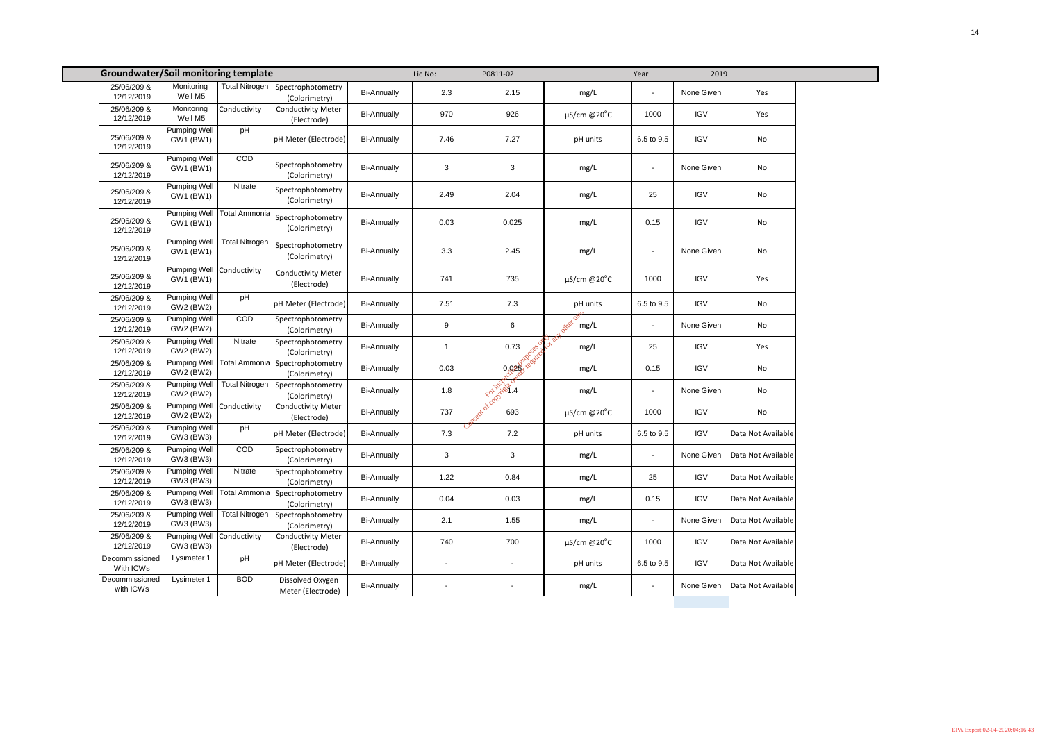| <b>Groundwater/Soil monitoring template</b> |                                        |                       |                                          |                    | Lic No:                       | P0811-02              |                             | Year                     | 2019       |                    |
|---------------------------------------------|----------------------------------------|-----------------------|------------------------------------------|--------------------|-------------------------------|-----------------------|-----------------------------|--------------------------|------------|--------------------|
| 25/06/209 &<br>12/12/2019                   | Monitoring<br>Well M5                  | Total Nitrogen        | Spectrophotometry<br>(Colorimetry)       | <b>Bi-Annually</b> | 2.3                           | 2.15                  | mg/L                        | $\overline{\phantom{a}}$ | None Given | Yes                |
| 25/06/209 &<br>12/12/2019                   | Monitoring<br>Well M5                  | Conductivity          | <b>Conductivity Meter</b><br>(Electrode) | <b>Bi-Annually</b> | 970                           | 926                   | $\mu$ S/cm @20 $^{\circ}$ C | 1000                     | <b>IGV</b> | Yes                |
| 25/06/209 &<br>12/12/2019                   | <b>Pumping Well</b><br>GW1 (BW1)       | pH                    | pH Meter (Electrode)                     | <b>Bi-Annually</b> | 7.46                          | 7.27                  | pH units                    | 6.5 to 9.5               | <b>IGV</b> | No                 |
| 25/06/209 &<br>12/12/2019                   | <b>Pumping Well</b><br>GW1 (BW1)       | COD                   | Spectrophotometry<br>(Colorimetry)       | <b>Bi-Annually</b> | $\mathbf{3}$                  | 3                     | mg/L                        | $\blacksquare$           | None Given | No                 |
| 25/06/209 &<br>12/12/2019                   | <b>Pumping Well</b><br>GW1 (BW1)       | Nitrate               | Spectrophotometry<br>(Colorimetry)       | <b>Bi-Annually</b> | 2.49                          | 2.04                  | mg/L                        | 25                       | <b>IGV</b> | No                 |
| 25/06/209 &<br>12/12/2019                   | Pumping Well<br>GW1 (BW1)              | Total Ammonia         | Spectrophotometry<br>(Colorimetry)       | <b>Bi-Annually</b> | 0.03                          | 0.025                 | mg/L                        | 0.15                     | <b>IGV</b> | No                 |
| 25/06/209 &<br>12/12/2019                   | Pumping Well<br>GW1 (BW1)              | <b>Total Nitrogen</b> | Spectrophotometry<br>(Colorimetry)       | <b>Bi-Annually</b> | 3.3                           | 2.45                  | mg/L                        | $\blacksquare$           | None Given | No                 |
| 25/06/209 &<br>12/12/2019                   | <b>Pumping Well</b><br>GW1 (BW1)       | Conductivity          | <b>Conductivity Meter</b><br>(Electrode) | <b>Bi-Annually</b> | 741                           | 735                   | $\mu$ S/cm @20 $^{\circ}$ C | 1000                     | <b>IGV</b> | Yes                |
| 25/06/209 &<br>12/12/2019                   | <b>Pumping Well</b><br>GW2 (BW2)       | pH                    | pH Meter (Electrode)                     | <b>Bi-Annually</b> | 7.51                          | $7.3$                 | pH units                    | 6.5 to 9.5               | <b>IGV</b> | No                 |
| 25/06/209 &<br>12/12/2019                   | <b>Pumping Well</b><br>GW2 (BW2)       | COD                   | Spectrophotometry<br>(Colorimetry)       | <b>Bi-Annually</b> | 9                             | $\,6$                 | other by mg/L               | $\blacksquare$           | None Given | No                 |
| 25/06/209 &<br>12/12/2019                   | <b>Pumping Well</b><br>GW2 (BW2)       | Nitrate               | Spectrophotometry<br>(Colorimetry)       | <b>Bi-Annually</b> | $\mathbf{1}$                  | 0.73                  | mg/L                        | 25                       | <b>IGV</b> | Yes                |
| 25/06/209 &<br>12/12/2019                   | <b>Pumping Well</b><br>GW2 (BW2)       | Total Ammonia         | Spectrophotometry<br>(Colorimetry)       | <b>Bi-Annually</b> | 0.03                          | 0.028 - 2011          | mg/L                        | 0.15                     | <b>IGV</b> | No                 |
| 25/06/209 &<br>12/12/2019                   | <b>Pumping Well</b><br>GW2 (BW2)       | <b>Total Nitrogen</b> | Spectrophotometry<br>(Colorimetry)       | <b>Bi-Annually</b> | 1.8                           | February 14           | mg/L                        | $\sim$                   | None Given | No                 |
| 25/06/209 &<br>12/12/2019                   | Pumping Well Conductivity<br>GW2 (BW2) |                       | <b>Conductivity Meter</b><br>(Electrode) | <b>Bi-Annually</b> | 737                           | $\hat{\sigma}$<br>693 | $\mu$ S/cm @20 $^{\circ}$ C | 1000                     | <b>IGV</b> | No                 |
| 25/06/209 &<br>12/12/2019                   | <b>Pumping Well</b><br>GW3 (BW3)       | pH                    | pH Meter (Electrode)                     | <b>Bi-Annually</b> | $\mathcal{C}^{\sigma}$<br>7.3 | 7.2                   | pH units                    | 6.5 to 9.5               | <b>IGV</b> | Data Not Available |
| 25/06/209 &<br>12/12/2019                   | <b>Pumping Well</b><br>GW3 (BW3)       | COD                   | Spectrophotometry<br>(Colorimetry)       | <b>Bi-Annually</b> | $\mathbf{3}$                  | $\mathbf{3}$          | mg/L                        | $\blacksquare$           | None Given | Data Not Available |
| 25/06/209 &<br>12/12/2019                   | <b>Pumping Well</b><br>GW3 (BW3)       | Nitrate               | Spectrophotometry<br>(Colorimetry)       | <b>Bi-Annually</b> | 1.22                          | 0.84                  | mg/L                        | 25                       | <b>IGV</b> | Data Not Available |
| 25/06/209 &<br>12/12/2019                   | <b>Pumping Well</b><br>GW3 (BW3)       | Total Ammonia         | Spectrophotometry<br>(Colorimetry)       | <b>Bi-Annually</b> | 0.04                          | 0.03                  | mg/L                        | 0.15                     | <b>IGV</b> | Data Not Available |
| 25/06/209 &<br>12/12/2019                   | <b>Pumping Well</b><br>GW3 (BW3)       | Total Nitrogen        | Spectrophotometry<br>(Colorimetry)       | <b>Bi-Annually</b> | 2.1                           | 1.55                  | mg/L                        | $\overline{\phantom{a}}$ | None Given | Data Not Available |
| 25/06/209 &<br>12/12/2019                   | Pumping Well Conductivity<br>GW3 (BW3) |                       | <b>Conductivity Meter</b><br>(Electrode) | <b>Bi-Annually</b> | 740                           | 700                   | $\mu$ S/cm @20 $^{\circ}$ C | 1000                     | <b>IGV</b> | Data Not Available |
| Decommissioned<br>With ICWs                 | Lysimeter 1                            | pH                    | pH Meter (Electrode)                     | <b>Bi-Annually</b> |                               | $\blacksquare$        | pH units                    | 6.5 to 9.5               | <b>IGV</b> | Data Not Available |
| Decommissioned<br>with ICWs                 | Lysimeter 1                            | <b>BOD</b>            | Dissolved Oxygen<br>Meter (Electrode)    | <b>Bi-Annually</b> |                               |                       | mg/L                        | $\overline{\phantom{a}}$ | None Given | Data Not Available |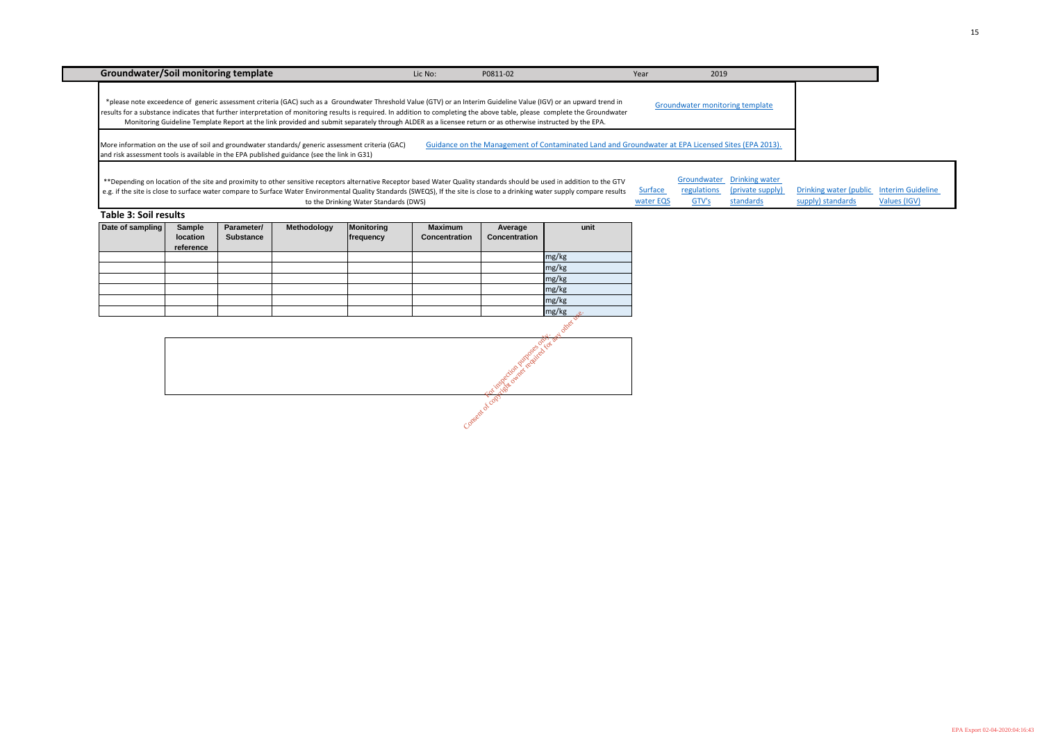| Drinking water (public Interim Guideline<br>regulations (private supply) |       | Groundwater Drinking water |                   |              |  |
|--------------------------------------------------------------------------|-------|----------------------------|-------------------|--------------|--|
|                                                                          |       |                            |                   |              |  |
|                                                                          | GTV's | standards                  | supply) standards | Values (IGV) |  |

| Date of sampling | <b>Sample</b><br>location<br>reference | Parameter/<br><b>Substance</b> | Methodology | Monitoring<br>frequency | <b>Maximum</b><br><b>Concentration</b> | Average<br>Concentration | unit  |
|------------------|----------------------------------------|--------------------------------|-------------|-------------------------|----------------------------------------|--------------------------|-------|
|                  |                                        |                                |             |                         |                                        |                          | mg/kg |
|                  |                                        |                                |             |                         |                                        |                          | mg/kg |
|                  |                                        |                                |             |                         |                                        |                          | mg/kg |
|                  |                                        |                                |             |                         |                                        |                          | mg/kg |
|                  |                                        |                                |             |                         |                                        |                          | mg/kg |
|                  |                                        |                                |             |                         |                                        |                          | mg/kg |

**Mer** vs Consequent of cop, Consent of copyright owner required for any other developed

| 2019                                   |  |
|----------------------------------------|--|
| <b>Groundwater monitoring template</b> |  |
| ater at EPA Licensed Sites (EPA 2013). |  |
|                                        |  |

| <b>Groundwater/Soil monitoring template</b>                                                                                                                                                                                                                                                                                                                                                                                                                                                                    | Lic No: | P0811-02                                                                                          | Year                 | 2019                                |                                                       |
|----------------------------------------------------------------------------------------------------------------------------------------------------------------------------------------------------------------------------------------------------------------------------------------------------------------------------------------------------------------------------------------------------------------------------------------------------------------------------------------------------------------|---------|---------------------------------------------------------------------------------------------------|----------------------|-------------------------------------|-------------------------------------------------------|
| *please note exceedence of generic assessment criteria (GAC) such as a Groundwater Threshold Value (GTV) or an Interim Guideline Value (IGV) or an upward trend in<br>results for a substance indicates that further interpretation of monitoring results is required. In addition to completing the above table, please complete the Groundwater<br>Monitoring Guideline Template Report at the link provided and submit separately through ALDER as a licensee return or as otherwise instructed by the EPA. |         |                                                                                                   |                      | Groundwater monitoring template     |                                                       |
| More information on the use of soil and groundwater standards/ generic assessment criteria (GAC)<br>and risk assessment tools is available in the EPA published guidance (see the link in G31)                                                                                                                                                                                                                                                                                                                 |         | Guidance on the Management of Contaminated Land and Groundwater at EPA Licensed Sites (EPA 2013). |                      |                                     |                                                       |
| **Depending on location of the site and proximity to other sensitive receptors alternative Receptor based Water Quality standards should be used in addition to the GTV<br>e.g. if the site is close to surface water compare to Surface Water Environmental Quality Standards (SWEQS), If the site is close to a drinking water supply compare results<br>to the Drinking Water Standards (DWS)                                                                                                               |         |                                                                                                   | Surface<br>water EQS | Groundwater<br>regulations<br>GTV's | <b>Drinking water</b><br>(private supply<br>standards |
| Table 3: Soil results                                                                                                                                                                                                                                                                                                                                                                                                                                                                                          |         |                                                                                                   |                      |                                     |                                                       |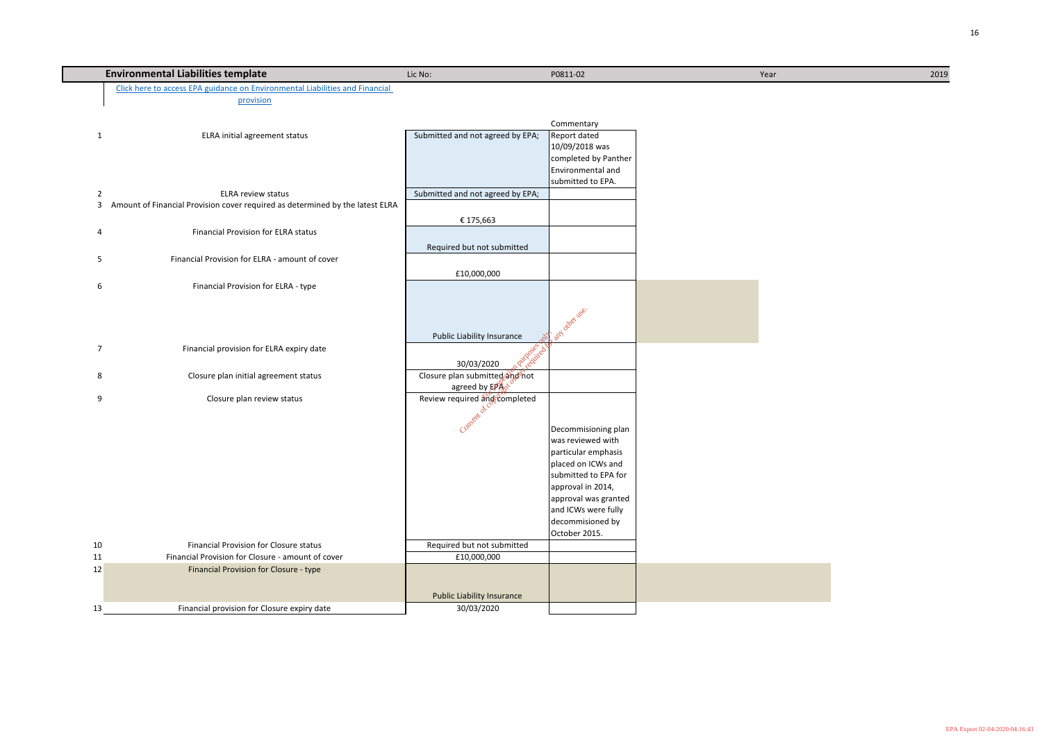|    | <b>Environmental Liabilities template</b>                                                     | Lic No:                           | P0811-02                                 | Year | 2019 |
|----|-----------------------------------------------------------------------------------------------|-----------------------------------|------------------------------------------|------|------|
|    | Click here to access EPA guidance on Environmental Liabilities and Financial                  |                                   |                                          |      |      |
|    | provision                                                                                     |                                   |                                          |      |      |
|    |                                                                                               |                                   |                                          |      |      |
|    |                                                                                               |                                   | Commentary                               |      |      |
|    | ELRA initial agreement status<br>$\mathbf{1}$                                                 | Submitted and not agreed by EPA;  | Report dated                             |      |      |
|    |                                                                                               |                                   | 10/09/2018 was<br>completed by Panther   |      |      |
|    |                                                                                               |                                   | Environmental and                        |      |      |
|    |                                                                                               |                                   | submitted to EPA.                        |      |      |
|    | <b>ELRA review status</b><br>2                                                                | Submitted and not agreed by EPA;  |                                          |      |      |
|    | Amount of Financial Provision cover required as determined by the latest ELRA<br>$\mathbf{3}$ |                                   |                                          |      |      |
|    |                                                                                               | € 175,663                         |                                          |      |      |
|    | <b>Financial Provision for ELRA status</b><br>4                                               |                                   |                                          |      |      |
|    |                                                                                               | Required but not submitted        |                                          |      |      |
|    | Financial Provision for ELRA - amount of cover<br>5                                           |                                   |                                          |      |      |
|    |                                                                                               |                                   |                                          |      |      |
|    | Financial Provision for ELRA - type<br>6                                                      | £10,000,000                       |                                          |      |      |
|    |                                                                                               |                                   |                                          |      |      |
|    |                                                                                               |                                   |                                          |      |      |
|    |                                                                                               |                                   |                                          |      |      |
|    |                                                                                               | Public Liability Insurance        | L. any other use.                        |      |      |
|    | Financial provision for ELRA expiry date<br>$\overline{7}$                                    |                                   |                                          |      |      |
|    |                                                                                               | 30/03/2020                        |                                          |      |      |
|    | Closure plan initial agreement status<br>8                                                    | Closure plan submitted and not    |                                          |      |      |
|    |                                                                                               | agreed by EPAN <sup>O</sup>       |                                          |      |      |
|    | Closure plan review status<br>9                                                               | Review required and completed     |                                          |      |      |
|    |                                                                                               |                                   |                                          |      |      |
|    |                                                                                               | <b>SON</b><br>Cons                |                                          |      |      |
|    |                                                                                               |                                   | Decommisioning plan<br>was reviewed with |      |      |
|    |                                                                                               |                                   | particular emphasis                      |      |      |
|    |                                                                                               |                                   | placed on ICWs and                       |      |      |
|    |                                                                                               |                                   | submitted to EPA for                     |      |      |
|    |                                                                                               |                                   | approval in 2014,                        |      |      |
|    |                                                                                               |                                   | approval was granted                     |      |      |
|    |                                                                                               |                                   | and ICWs were fully                      |      |      |
|    |                                                                                               |                                   | decommisioned by                         |      |      |
|    |                                                                                               |                                   | October 2015.                            |      |      |
| 10 | <b>Financial Provision for Closure status</b>                                                 | Required but not submitted        |                                          |      |      |
| 11 | Financial Provision for Closure - amount of cover                                             | £10,000,000                       |                                          |      |      |
| 12 | Financial Provision for Closure - type                                                        |                                   |                                          |      |      |
|    |                                                                                               |                                   |                                          |      |      |
|    |                                                                                               | <b>Public Liability Insurance</b> |                                          |      |      |
| 13 | Financial provision for Closure expiry date                                                   | 30/03/2020                        |                                          |      |      |

| Year |  |  |
|------|--|--|
|      |  |  |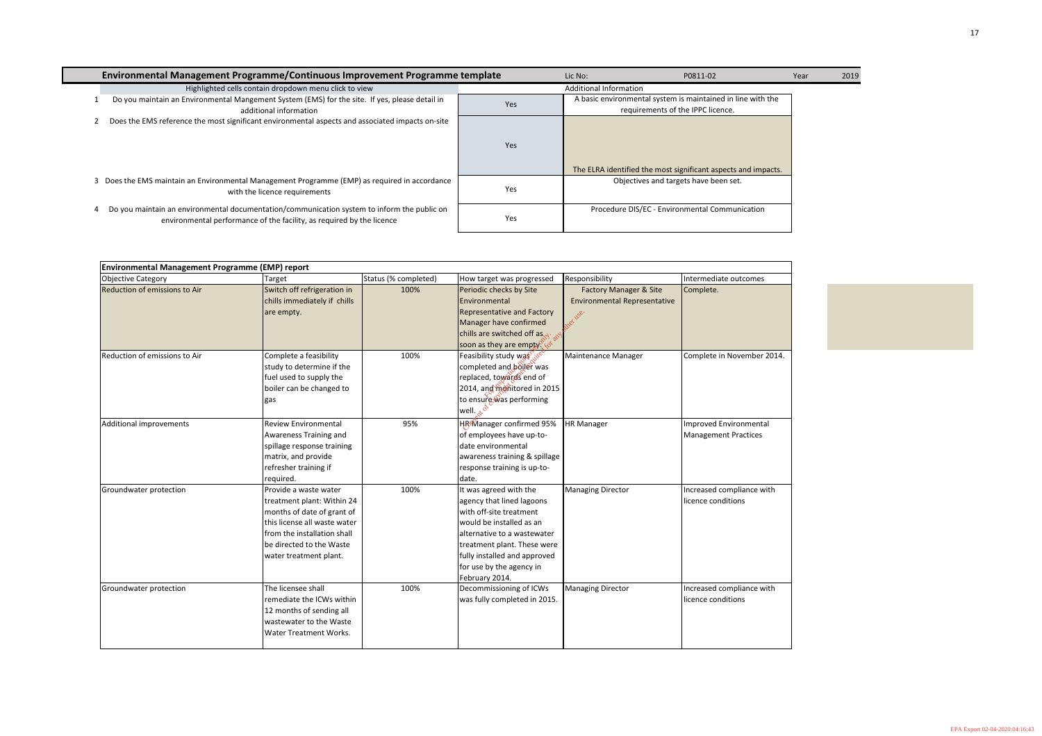| Environmental Management Programme/Continuous Improvement Programme template                     |                                                                                                                                                                                                        |                      |                                                                                                                                                                                                                                                        | Lic No:                                                                                                | P0811-02                                              | 2019<br>Year |
|--------------------------------------------------------------------------------------------------|--------------------------------------------------------------------------------------------------------------------------------------------------------------------------------------------------------|----------------------|--------------------------------------------------------------------------------------------------------------------------------------------------------------------------------------------------------------------------------------------------------|--------------------------------------------------------------------------------------------------------|-------------------------------------------------------|--------------|
|                                                                                                  | Highlighted cells contain dropdown menu click to view                                                                                                                                                  |                      |                                                                                                                                                                                                                                                        | <b>Additional Information</b>                                                                          |                                                       |              |
| Do you maintain an Environmental Mangement System (EMS) for the site. If yes, please detail in   | additional information                                                                                                                                                                                 |                      | Yes                                                                                                                                                                                                                                                    | A basic environmental system is maintained in line with the<br>requirements of the IPPC licence.       |                                                       |              |
| Does the EMS reference the most significant environmental aspects and associated impacts on-site |                                                                                                                                                                                                        |                      | Yes                                                                                                                                                                                                                                                    |                                                                                                        |                                                       |              |
| 3 Does the EMS maintain an Environmental Management Programme (EMP) as required in accordance    | with the licence requirements                                                                                                                                                                          |                      | Yes                                                                                                                                                                                                                                                    | The ELRA identified the most significant aspects and impacts.<br>Objectives and targets have been set. |                                                       |              |
| Do you maintain an environmental documentation/communication system to inform the public on<br>4 | environmental performance of the facility, as required by the licence                                                                                                                                  |                      | Yes                                                                                                                                                                                                                                                    | Procedure DIS/EC - Environmental Communication                                                         |                                                       |              |
|                                                                                                  |                                                                                                                                                                                                        |                      |                                                                                                                                                                                                                                                        |                                                                                                        |                                                       |              |
| <b>Environmental Management Programme (EMP) report</b>                                           |                                                                                                                                                                                                        |                      |                                                                                                                                                                                                                                                        |                                                                                                        |                                                       |              |
| Objective Category                                                                               | Target                                                                                                                                                                                                 | Status (% completed) | How target was progressed                                                                                                                                                                                                                              | Responsibility                                                                                         | Intermediate outcomes                                 |              |
| <b>Reduction of emissions to Air</b>                                                             | Switch off refrigeration in<br>chills immediately if chills<br>are empty.                                                                                                                              | 100%                 | Periodic checks by Site<br>Environmental<br><b>Representative and Factory</b><br>Manager have confirmed<br>chills are switched off as<br>soon as they are empty?                                                                                       | <b>Factory Manager &amp; Site</b><br><b>Environmental Representative</b>                               | Complete.                                             |              |
| Reduction of emissions to Air                                                                    | Complete a feasibility<br>study to determine if the<br>fuel used to supply the<br>boiler can be changed to<br>gas                                                                                      | 100%                 | Feasibility study was<br>completed and boiler was<br>replaced, towards end of<br>2014, and monitored in 2015<br>to ensure was performing<br>well $e^{\phi}$                                                                                            | Maintenance Manager                                                                                    | Complete in November 2014.                            |              |
| Additional improvements                                                                          | <b>Review Environmental</b><br>Awareness Training and<br>spillage response training<br>matrix, and provide<br>refresher training if<br>required.                                                       | 95%                  | HRW anager confirmed 95%<br>of employees have up-to-<br>date environmental<br>awareness training & spillage<br>response training is up-to-<br>date.                                                                                                    | <b>HR Manager</b>                                                                                      | Improved Environmental<br><b>Management Practices</b> |              |
| Groundwater protection                                                                           | Provide a waste water<br>treatment plant: Within 24<br>months of date of grant of<br>this license all waste water<br>from the installation shall<br>be directed to the Waste<br>water treatment plant. | 100%                 | It was agreed with the<br>agency that lined lagoons<br>with off-site treatment<br>would be installed as an<br>alternative to a wastewater<br>treatment plant. These were<br>fully installed and approved<br>for use by the agency in<br>February 2014. | <b>Managing Director</b>                                                                               | Increased compliance with<br>licence conditions       |              |
| Groundwater protection                                                                           | The licensee shall<br>remediate the ICWs within<br>12 months of sending all<br>wastewater to the Waste<br><b>Water Treatment Works.</b>                                                                | 100%                 | Decommissioning of ICWs<br>was fully completed in 2015.                                                                                                                                                                                                | <b>Managing Director</b>                                                                               | Increased compliance with<br>licence conditions       |              |



| Environmental Management Programme/Continuous Improvement Programme template                                                                                         |            | Lic No:                             | P <sub>0</sub>              |
|----------------------------------------------------------------------------------------------------------------------------------------------------------------------|------------|-------------------------------------|-----------------------------|
| Highlighted cells contain dropdown menu click to view                                                                                                                |            | <b>Additional Information</b>       |                             |
| Do you maintain an Environmental Mangement System (EMS) for the site. If yes, please detail in<br>additional information                                             | <b>Yes</b> | A basic environmental system is m   | requirements of the         |
| Does the EMS reference the most significant environmental aspects and associated impacts on-site                                                                     | Yes        | The ELRA identified the most signif |                             |
| Does the EMS maintain an Environmental Management Programme (EMP) as required in accordance<br>with the licence requirements                                         | Yes        |                                     | Objectives and targets      |
| Do you maintain an environmental documentation/communication system to inform the public on<br>environmental performance of the facility, as required by the licence | <b>Yes</b> |                                     | Procedure DIS/EC - Environm |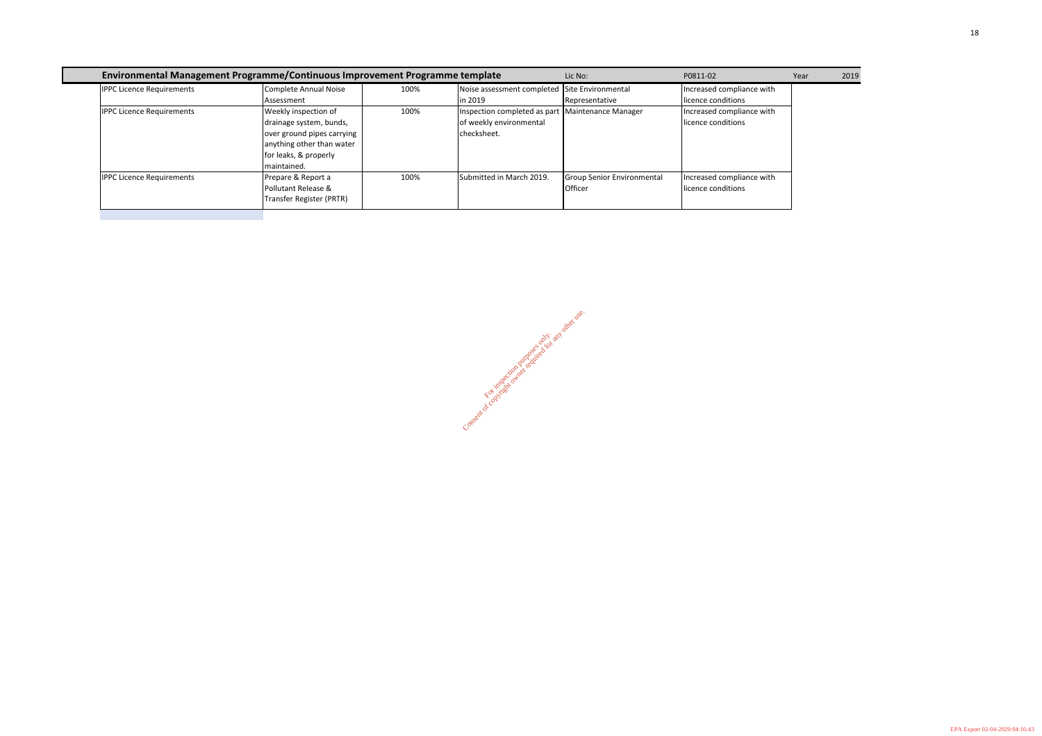|                                  | Environmental Management Programme/Continuous Improvement Programme template |      |                                                  | Lic No:                    | P0811-02                  | Year | 2019 |
|----------------------------------|------------------------------------------------------------------------------|------|--------------------------------------------------|----------------------------|---------------------------|------|------|
| <b>IPPC Licence Requirements</b> | Complete Annual Noise                                                        | 100% | Noise assessment completed Site Environmental    |                            | Increased compliance with |      |      |
|                                  | Assessment                                                                   |      | in 2019                                          | Representative             | licence conditions        |      |      |
| <b>IPPC Licence Requirements</b> | Weekly inspection of                                                         | 100% | Inspection completed as part Maintenance Manager |                            | Increased compliance with |      |      |
|                                  | drainage system, bunds,                                                      |      | of weekly environmental                          |                            | licence conditions        |      |      |
|                                  | over ground pipes carrying                                                   |      | checksheet.                                      |                            |                           |      |      |
|                                  | anything other than water                                                    |      |                                                  |                            |                           |      |      |
|                                  | for leaks, & properly                                                        |      |                                                  |                            |                           |      |      |
|                                  | maintained.                                                                  |      |                                                  |                            |                           |      |      |
| <b>IPPC Licence Requirements</b> | Prepare & Report a                                                           | 100% | Submitted in March 2019.                         | Group Senior Environmental | Increased compliance with |      |      |
|                                  | Pollutant Release &                                                          |      |                                                  | Officer                    | licence conditions        |      |      |
|                                  | Transfer Register (PRTR)                                                     |      |                                                  |                            |                           |      |      |

Consent of constriction purposes only. and other use.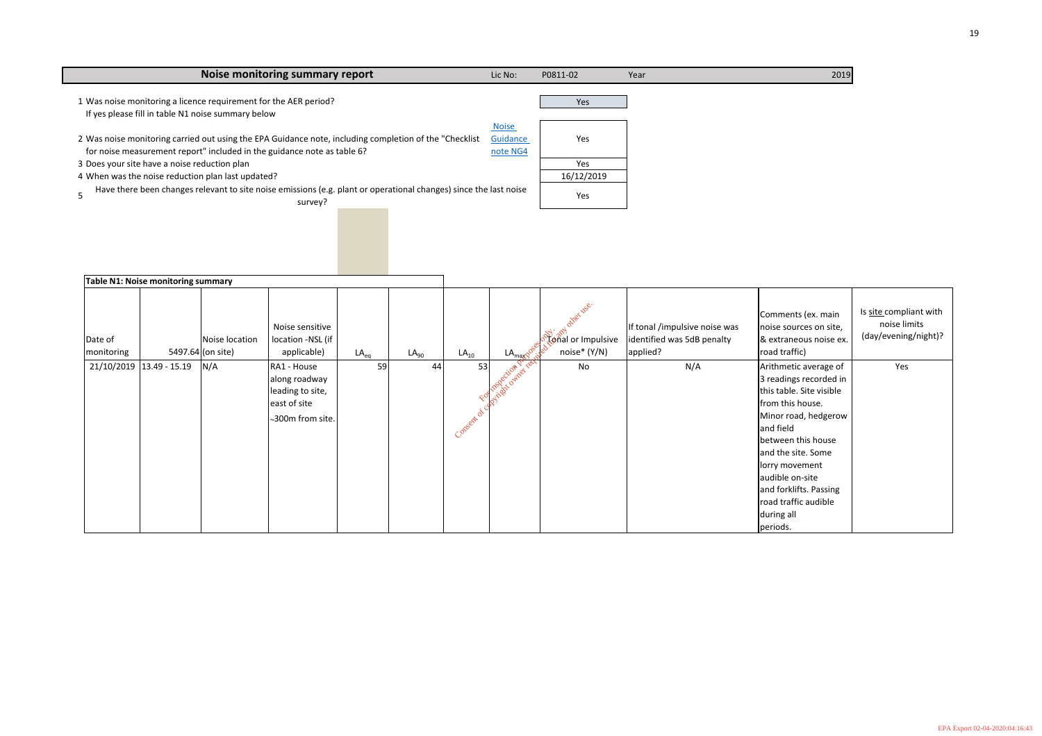| Noise monitoring summary report                                                                                                                                                    | Lic No:                              | P0811-02   | Year | 2019 |
|------------------------------------------------------------------------------------------------------------------------------------------------------------------------------------|--------------------------------------|------------|------|------|
| 1 Was noise monitoring a licence requirement for the AER period?<br>If yes please fill in table N1 noise summary below                                                             |                                      | Yes        |      |      |
| 2 Was noise monitoring carried out using the EPA Guidance note, including completion of the "Checklist"<br>for noise measurement report" included in the guidance note as table 6? | <b>Noise</b><br>Guidance<br>note NG4 | Yes        |      |      |
| 3 Does your site have a noise reduction plan                                                                                                                                       |                                      | Yes        |      |      |
| 4 When was the noise reduction plan last updated?                                                                                                                                  |                                      | 16/12/2019 |      |      |
| Have there been changes relevant to site noise emissions (e.g. plant or operational changes) since the last noise<br>survey?                                                       |                                      | Yes        |      |      |
|                                                                                                                                                                                    |                                      |            |      |      |
|                                                                                                                                                                                    |                                      |            |      |      |

|                       | Table N1: Noise monitoring summary |                                     |                                                                                      |           |           |            |                           |                                                                       |                                                                         |                                                                                                                                                                                                                                                                                                   |                                                                |
|-----------------------|------------------------------------|-------------------------------------|--------------------------------------------------------------------------------------|-----------|-----------|------------|---------------------------|-----------------------------------------------------------------------|-------------------------------------------------------------------------|---------------------------------------------------------------------------------------------------------------------------------------------------------------------------------------------------------------------------------------------------------------------------------------------------|----------------------------------------------------------------|
| Date of<br>monitoring |                                    | Noise location<br>5497.64 (on site) | Noise sensitive<br>location -NSL (if<br>applicable)                                  | $LA_{eq}$ | $LA_{90}$ | $LA_{10}$  | $LA_{\text{max}}$         | inty other use.<br>္လာ္လွာသူ<br>ျဖဴဂ်ီခါ or Impulsive<br>noise* (Y/N) | If tonal /impulsive noise was<br>identified was 5dB penalty<br>applied? | Comments (ex. main<br>noise sources on site,<br>& extraneous noise ex.<br>road traffic)                                                                                                                                                                                                           | Is site compliant with<br>noise limits<br>(day/evening/night)? |
|                       | 21/10/2019 13.49 - 15.19           | N/A                                 | RA1 - House<br>along roadway<br>leading to site,<br>east of site<br>~300m from site. | 59        | 44        | Consent of | Following Cities Ref. com | No                                                                    | N/A                                                                     | Arithmetic average of<br>3 readings recorded in<br>this table. Site visible<br>from this house.<br>Minor road, hedgerow<br>and field<br>between this house<br>and the site. Some<br>lorry movement<br>audible on-site<br>and forklifts. Passing<br>road traffic audible<br>during all<br>periods. | Yes                                                            |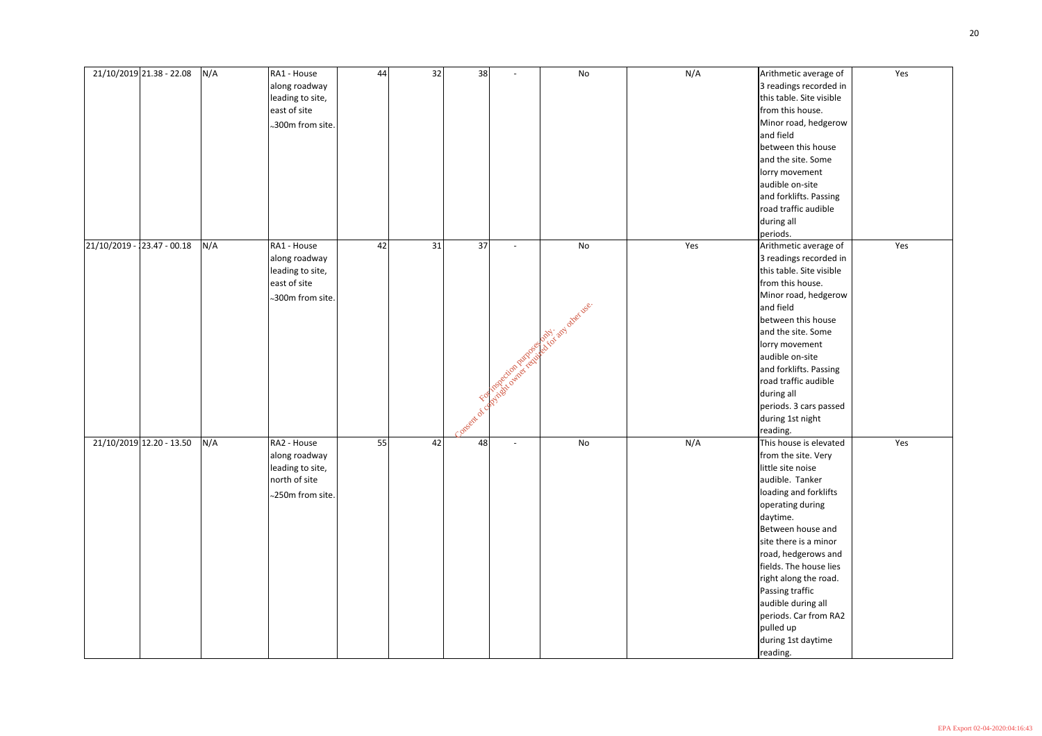| 21/10/2019 21.38 - 22.08         | N/A | RA1 - House<br>along roadway<br>leading to site,<br>east of site<br>$\scriptstyle\mathtt{\sim}$ 300m from site. $ $ | 44 | 32 | 38           |                                  | No                      | N/A | Arithmetic average of<br>3 readings recorded in<br>this table. Site visible<br>from this house.<br>Minor road, hedgerow<br>and field<br>between this house<br>and the site. Some<br>lorry movement<br>audible on-site<br>and forklifts. Passing<br>road traffic audible                                                                                                                 | Yes |
|----------------------------------|-----|---------------------------------------------------------------------------------------------------------------------|----|----|--------------|----------------------------------|-------------------------|-----|-----------------------------------------------------------------------------------------------------------------------------------------------------------------------------------------------------------------------------------------------------------------------------------------------------------------------------------------------------------------------------------------|-----|
| $-23.47 - 00.18$<br>21/10/2019 - | N/A | RA1 - House<br>along roadway<br>leading to site,                                                                    | 42 | 31 | 37           |                                  | No                      | Yes | during all<br>periods.<br>Arithmetic average of<br>3 readings recorded in<br>this table. Site visible                                                                                                                                                                                                                                                                                   | Yes |
|                                  |     | east of site<br>~300m from site.                                                                                    |    |    | Consent of y | Following city of the current of | es droit any directuse. |     | from this house.<br>Minor road, hedgerow<br>and field<br>between this house<br>and the site. Some<br>lorry movement<br>audible on-site<br>and forklifts. Passing<br>road traffic audible<br>during all<br>periods. 3 cars passed<br>during 1st night<br>reading.                                                                                                                        |     |
| 21/10/2019 12.20 - 13.50         | N/A | RA2 - House<br>along roadway<br>leading to site,<br>north of site<br>$\sim$ 250m from site.                         | 55 | 42 | 48           |                                  | No                      | N/A | This house is elevated<br>from the site. Very<br>little site noise<br>audible. Tanker<br>loading and forklifts<br>operating during<br>daytime.<br>Between house and<br>site there is a minor<br>road, hedgerows and<br>fields. The house lies<br>right along the road.<br>Passing traffic<br>audible during all<br>periods. Car from RA2<br>pulled up<br>during 1st daytime<br>reading. | Yes |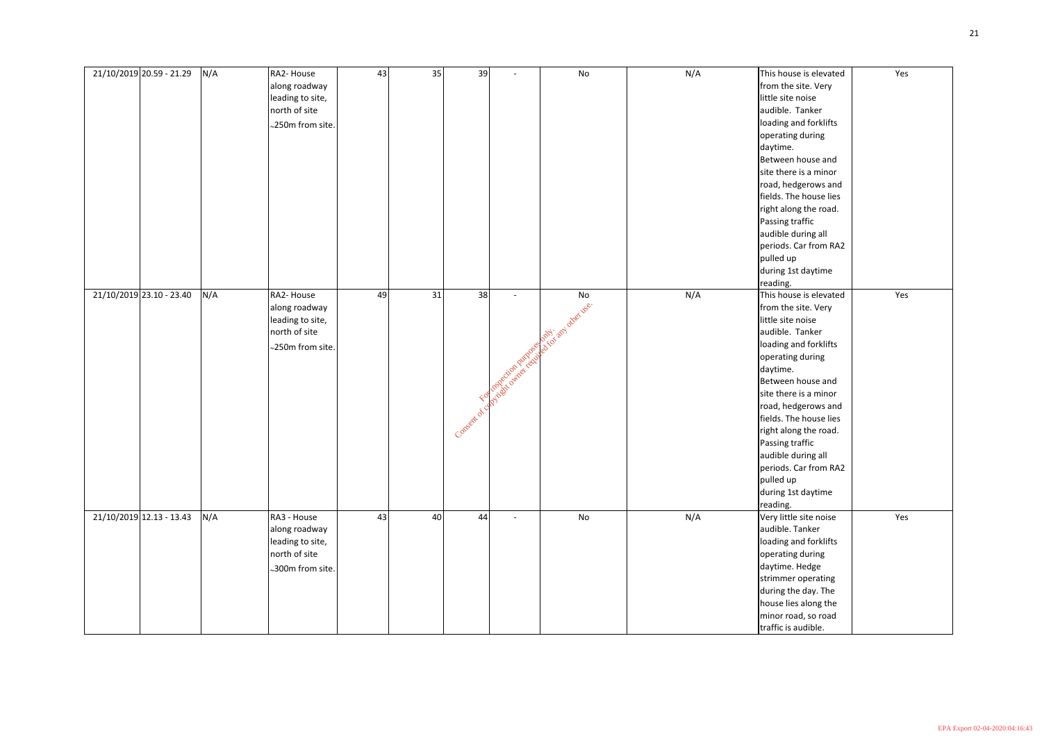| 21/10/2019 20.59 - 21.29 | N/A | RA2- House<br>along roadway<br>leading to site,<br>north of site<br>$\sim$ 250m from site.  | 43 | 35 | 39                   |                                 | No                          | N/A | This house is elevated<br>from the site. Very<br>little site noise<br>audible. Tanker<br>loading and forklifts<br>operating during<br>daytime.<br>Between house and<br>site there is a minor<br>road, hedgerows and<br>fields. The house lies<br>right along the road.<br>Passing traffic<br>audible during all<br>periods. Car from RA2<br>pulled up<br>during 1st daytime<br>reading. | Yes |
|--------------------------|-----|---------------------------------------------------------------------------------------------|----|----|----------------------|---------------------------------|-----------------------------|-----|-----------------------------------------------------------------------------------------------------------------------------------------------------------------------------------------------------------------------------------------------------------------------------------------------------------------------------------------------------------------------------------------|-----|
| 21/10/2019 23.10 - 23.40 | N/A | RA2- House<br>along roadway<br>leading to site,<br>north of site<br>~250m from site.        | 49 | 31 | 38<br>Consent of car | Following city of pixels in the | No<br>A Rich and other use. | N/A | This house is elevated<br>from the site. Very<br>little site noise<br>audible. Tanker<br>loading and forklifts<br>operating during<br>daytime.<br>Between house and<br>site there is a minor<br>road, hedgerows and<br>fields. The house lies<br>right along the road.<br>Passing traffic<br>audible during all<br>periods. Car from RA2<br>pulled up<br>during 1st daytime<br>reading. | Yes |
| 21/10/2019 12.13 - 13.43 | N/A | RA3 - House<br>along roadway<br>leading to site,<br>north of site<br>$\sim$ 300m from site. | 43 | 40 | 44                   | $\overline{\phantom{0}}$        | No                          | N/A | Very little site noise<br>audible. Tanker<br>loading and forklifts<br>operating during<br>daytime. Hedge<br>strimmer operating<br>during the day. The<br>house lies along the<br>minor road, so road<br>traffic is audible.                                                                                                                                                             | Yes |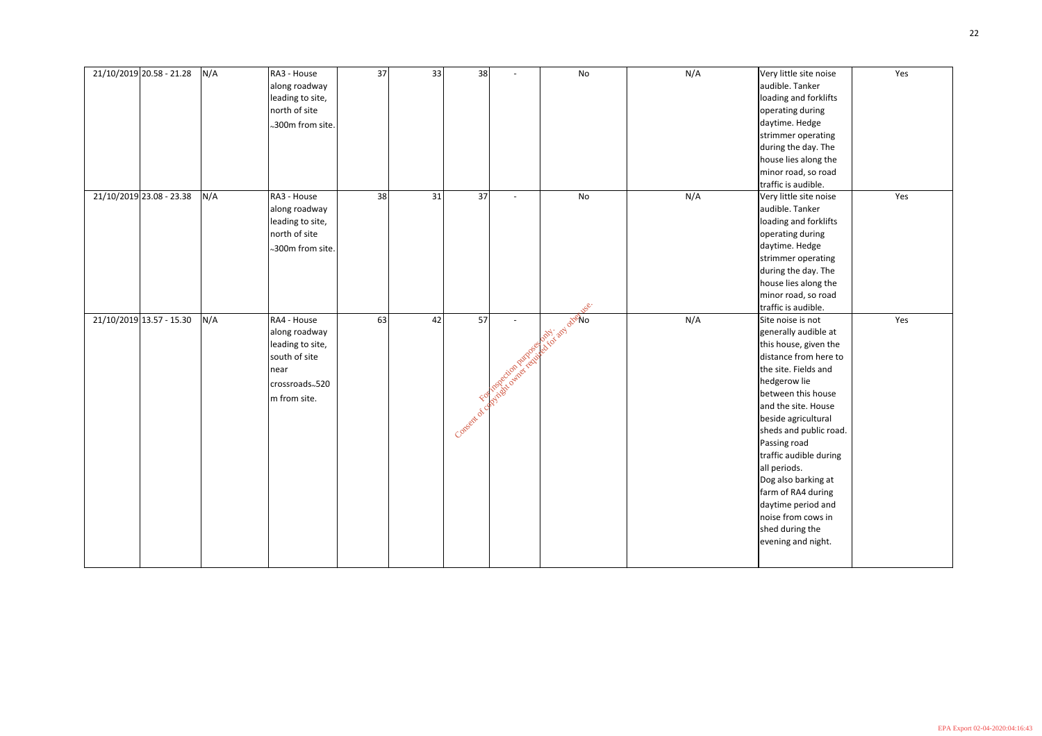| 21/10/2019 20.58 - 21.28 |                          | N/A | RA3 - House                                 | 37 | 33 | 38 |                                             | No                 | N/A | Very little site noise | Yes |
|--------------------------|--------------------------|-----|---------------------------------------------|----|----|----|---------------------------------------------|--------------------|-----|------------------------|-----|
|                          |                          |     | along roadway                               |    |    |    |                                             |                    |     | audible. Tanker        |     |
|                          |                          |     | leading to site,                            |    |    |    |                                             |                    |     | loading and forklifts  |     |
|                          |                          |     | north of site                               |    |    |    |                                             |                    |     | operating during       |     |
|                          |                          |     | $\scriptstyle\mathtt{\sim}$ 300m from site. |    |    |    |                                             |                    |     | daytime. Hedge         |     |
|                          |                          |     |                                             |    |    |    |                                             |                    |     | strimmer operating     |     |
|                          |                          |     |                                             |    |    |    |                                             |                    |     | during the day. The    |     |
|                          |                          |     |                                             |    |    |    |                                             |                    |     | house lies along the   |     |
|                          |                          |     |                                             |    |    |    |                                             |                    |     | minor road, so road    |     |
|                          |                          |     |                                             |    |    |    |                                             |                    |     | traffic is audible.    |     |
|                          | 21/10/2019 23.08 - 23.38 | N/A | RA3 - House                                 | 38 | 31 | 37 | $\overline{\phantom{0}}$                    | No                 | N/A | Very little site noise | Yes |
|                          |                          |     | along roadway                               |    |    |    |                                             |                    |     | audible. Tanker        |     |
|                          |                          |     | leading to site,                            |    |    |    |                                             |                    |     | loading and forklifts  |     |
|                          |                          |     | north of site                               |    |    |    |                                             |                    |     | operating during       |     |
|                          |                          |     | ~300m from site.                            |    |    |    |                                             |                    |     | daytime. Hedge         |     |
|                          |                          |     |                                             |    |    |    |                                             |                    |     | strimmer operating     |     |
|                          |                          |     |                                             |    |    |    |                                             |                    |     | during the day. The    |     |
|                          |                          |     |                                             |    |    |    |                                             |                    |     | house lies along the   |     |
|                          |                          |     |                                             |    |    |    |                                             |                    |     | minor road, so road    |     |
|                          |                          |     |                                             |    |    |    |                                             | <b>NSC.</b>        |     | traffic is audible.    |     |
|                          |                          |     |                                             |    |    |    |                                             |                    |     |                        |     |
|                          |                          |     |                                             |    |    |    | $\overline{\phantom{a}}$                    |                    |     |                        |     |
|                          | 21/10/2019 13.57 - 15.30 | N/A | RA4 - House                                 | 63 | 42 | 57 |                                             |                    | N/A | Site noise is not      | Yes |
|                          |                          |     | along roadway                               |    |    |    |                                             |                    |     | generally audible at   |     |
|                          |                          |     | leading to site,                            |    |    |    |                                             | only and otherbook |     | this house, given the  |     |
|                          |                          |     | south of site                               |    |    |    |                                             |                    |     | distance from here to  |     |
|                          |                          |     | near                                        |    |    |    |                                             |                    |     | the site. Fields and   |     |
|                          |                          |     | crossroads~520                              |    |    |    |                                             |                    |     | hedgerow lie           |     |
|                          |                          |     | m from site.                                |    |    |    |                                             |                    |     | between this house     |     |
|                          |                          |     |                                             |    |    |    |                                             |                    |     | and the site. House    |     |
|                          |                          |     |                                             |    |    |    |                                             |                    |     | beside agricultural    |     |
|                          |                          |     |                                             |    |    |    |                                             |                    |     | sheds and public road. |     |
|                          |                          |     |                                             |    |    |    | Consent of comprisons away from the company |                    |     | Passing road           |     |
|                          |                          |     |                                             |    |    |    |                                             |                    |     | traffic audible during |     |
|                          |                          |     |                                             |    |    |    |                                             |                    |     | all periods.           |     |
|                          |                          |     |                                             |    |    |    |                                             |                    |     | Dog also barking at    |     |
|                          |                          |     |                                             |    |    |    |                                             |                    |     | farm of RA4 during     |     |
|                          |                          |     |                                             |    |    |    |                                             |                    |     | daytime period and     |     |
|                          |                          |     |                                             |    |    |    |                                             |                    |     | noise from cows in     |     |
|                          |                          |     |                                             |    |    |    |                                             |                    |     | shed during the        |     |
|                          |                          |     |                                             |    |    |    |                                             |                    |     | evening and night.     |     |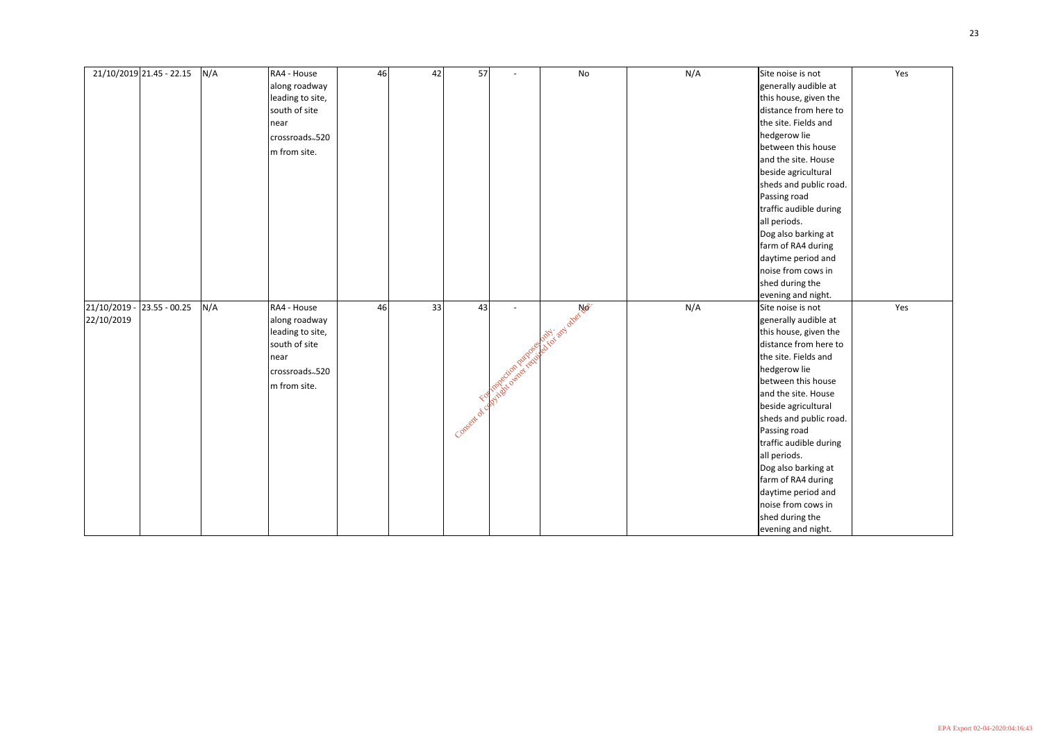|            | 21/10/2019 21.45 - 22.15 | N/A | RA4 - House      | 46 | 42 | 57              |                             | No                    | N/A | Site noise is not      | Yes |
|------------|--------------------------|-----|------------------|----|----|-----------------|-----------------------------|-----------------------|-----|------------------------|-----|
|            |                          |     | along roadway    |    |    |                 |                             |                       |     | generally audible at   |     |
|            |                          |     | leading to site, |    |    |                 |                             |                       |     | this house, given the  |     |
|            |                          |     | south of site    |    |    |                 |                             |                       |     | distance from here to  |     |
|            |                          |     | near             |    |    |                 |                             |                       |     | the site. Fields and   |     |
|            |                          |     | crossroads~520   |    |    |                 |                             |                       |     | hedgerow lie           |     |
|            |                          |     | m from site.     |    |    |                 |                             |                       |     | between this house     |     |
|            |                          |     |                  |    |    |                 |                             |                       |     | and the site. House    |     |
|            |                          |     |                  |    |    |                 |                             |                       |     | beside agricultural    |     |
|            |                          |     |                  |    |    |                 |                             |                       |     | sheds and public road. |     |
|            |                          |     |                  |    |    |                 |                             |                       |     | Passing road           |     |
|            |                          |     |                  |    |    |                 |                             |                       |     | traffic audible during |     |
|            |                          |     |                  |    |    |                 |                             |                       |     | all periods.           |     |
|            |                          |     |                  |    |    |                 |                             |                       |     | Dog also barking at    |     |
|            |                          |     |                  |    |    |                 |                             |                       |     | farm of RA4 during     |     |
|            |                          |     |                  |    |    |                 |                             |                       |     | daytime period and     |     |
|            |                          |     |                  |    |    |                 |                             |                       |     | noise from cows in     |     |
|            |                          |     |                  |    |    |                 |                             |                       |     | shed during the        |     |
|            |                          |     |                  |    |    |                 |                             |                       |     | evening and night.     |     |
| 21/10/2019 | $23.55 - 00.25$          | N/A | RA4 - House      | 46 | 33 | 43              |                             | A Children other Ner. | N/A | Site noise is not      | Yes |
| 22/10/2019 |                          |     | along roadway    |    |    |                 |                             |                       |     | generally audible at   |     |
|            |                          |     | leading to site, |    |    |                 |                             |                       |     | this house, given the  |     |
|            |                          |     | south of site    |    |    |                 |                             |                       |     | distance from here to  |     |
|            |                          |     | near             |    |    |                 |                             |                       |     | the site. Fields and   |     |
|            |                          |     | crossroads~520   |    |    |                 | Formation of the Participal |                       |     | hedgerow lie           |     |
|            |                          |     | m from site.     |    |    |                 |                             |                       |     | between this house     |     |
|            |                          |     |                  |    |    |                 |                             |                       |     | and the site. House    |     |
|            |                          |     |                  |    |    |                 |                             |                       |     | beside agricultural    |     |
|            |                          |     |                  |    |    | Consent of can- |                             |                       |     | sheds and public road. |     |
|            |                          |     |                  |    |    |                 |                             |                       |     | Passing road           |     |
|            |                          |     |                  |    |    |                 |                             |                       |     | traffic audible during |     |
|            |                          |     |                  |    |    |                 |                             |                       |     | all periods.           |     |
|            |                          |     |                  |    |    |                 |                             |                       |     | Dog also barking at    |     |
|            |                          |     |                  |    |    |                 |                             |                       |     | farm of RA4 during     |     |
|            |                          |     |                  |    |    |                 |                             |                       |     | daytime period and     |     |
|            |                          |     |                  |    |    |                 |                             |                       |     | noise from cows in     |     |
|            |                          |     |                  |    |    |                 |                             |                       |     | shed during the        |     |
|            |                          |     |                  |    |    |                 |                             |                       |     | evening and night.     |     |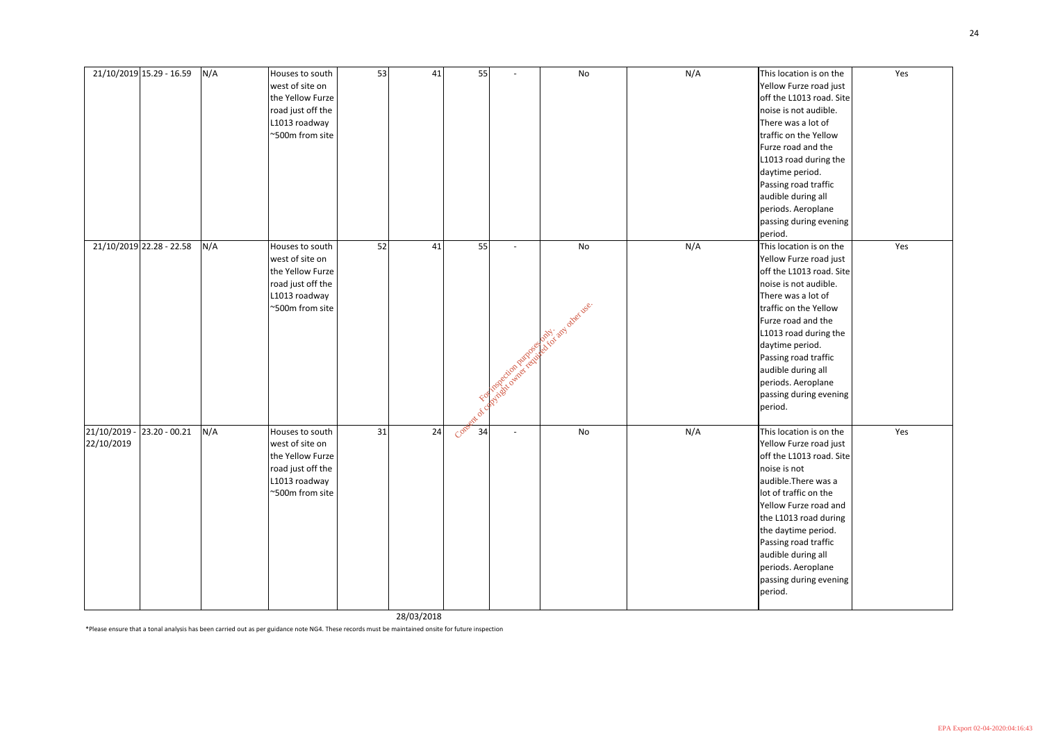|            | 21/10/2019 15.29 - 16.59   | N/A | Houses to south<br>west of site on<br>the Yellow Furze<br>road just off the                                     | 53 | 41 | 55                |                                                            | No                               | N/A | This location is on the<br>Yellow Furze road just<br>off the L1013 road. Site<br>noise is not audible.                                                                                                                                                                                                                           | Yes |
|------------|----------------------------|-----|-----------------------------------------------------------------------------------------------------------------|----|----|-------------------|------------------------------------------------------------|----------------------------------|-----|----------------------------------------------------------------------------------------------------------------------------------------------------------------------------------------------------------------------------------------------------------------------------------------------------------------------------------|-----|
|            |                            |     | L1013 roadway<br>~500m from site                                                                                |    |    |                   |                                                            |                                  |     | There was a lot of<br>traffic on the Yellow<br>Furze road and the<br>L1013 road during the<br>daytime period.<br>Passing road traffic<br>audible during all<br>periods. Aeroplane<br>passing during evening<br>period.                                                                                                           |     |
|            | 21/10/2019 22.28 - 22.58   | N/A | Houses to south<br>west of site on<br>the Yellow Furze<br>road just off the<br>L1013 roadway<br>~500m from site | 52 | 41 | 55<br><b>2011</b> | $\overline{\phantom{a}}$<br>Following citien principles or | No<br>noughborid and driver user | N/A | This location is on the<br>Yellow Furze road just<br>off the L1013 road. Site<br>noise is not audible.<br>There was a lot of<br>traffic on the Yellow<br>Furze road and the<br>L1013 road during the<br>daytime period.<br>Passing road traffic<br>audible during all<br>periods. Aeroplane<br>passing during evening<br>period. | Yes |
| 22/10/2019 | 21/10/2019 - 23.20 - 00.21 | N/A | Houses to south<br>west of site on<br>the Yellow Furze<br>road just off the<br>L1013 roadway<br>~500m from site | 31 | 24 | Cone<br>34        | $\overline{\phantom{a}}$                                   | No                               | N/A | This location is on the<br>Yellow Furze road just<br>off the L1013 road. Site<br>noise is not<br>audible. There was a<br>lot of traffic on the<br>Yellow Furze road and<br>the L1013 road during<br>the daytime period.<br>Passing road traffic<br>audible during all<br>periods. Aeroplane<br>passing during evening<br>period. | Yes |

28/03/2018

\*Please ensure that a tonal analysis has been carried out as per guidance note NG4. These records must be maintained onsite for future inspection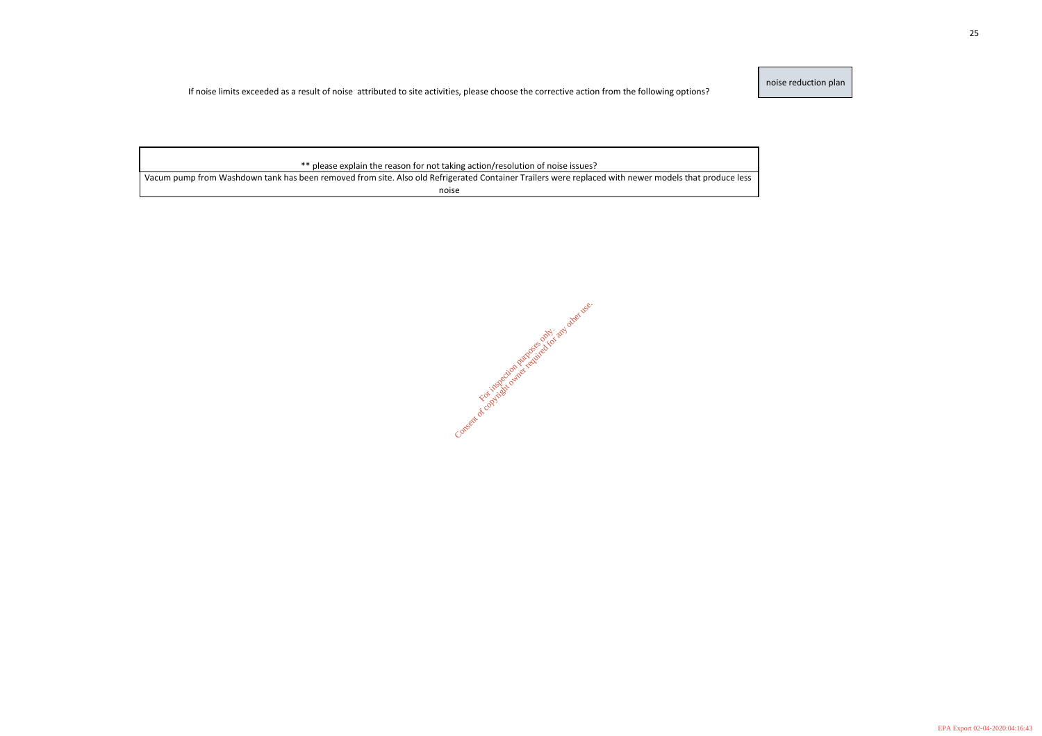noise reduction plan

If noise limits exceeded as a result of noise attributed to site activities, please choose the corrective action from the following options?

\*\* please explain the reason for not taking action/resolution of noise issues?

Vacum pump from Washdown tank has been removed from site. Also old Refrigerated Container Trailers were replaced with newer models that produce less noise

Consent of copyright owner required for any other use.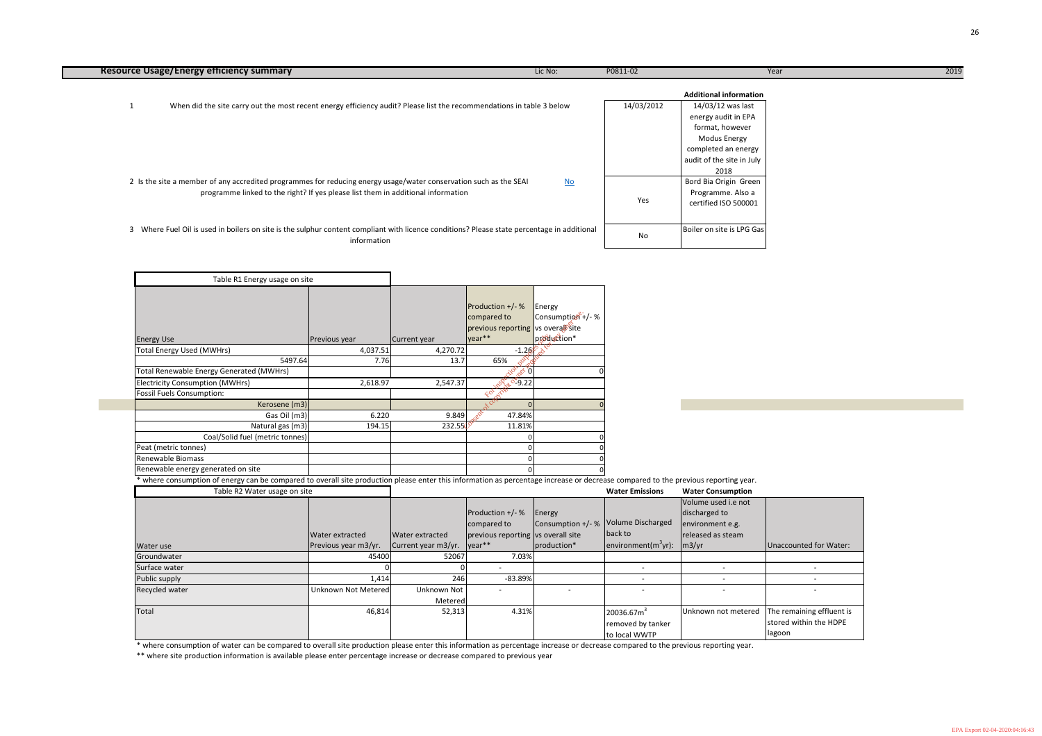|                                                                                                                                                | Year |
|------------------------------------------------------------------------------------------------------------------------------------------------|------|
| <b>Additional information</b>                                                                                                                  |      |
| 14/03/12 was last<br>energy audit in EPA<br>format, however<br><b>Modus Energy</b><br>completed an energy<br>audit of the site in July<br>2018 |      |
| Bord Bia Origin Green<br>Programme. Also a<br>certified ISO 500001                                                                             |      |
| Boiler on site is LPG Gas                                                                                                                      |      |

the previous reporting year.

| <b>Water Emissions</b> | <b>Water Consumption</b> |
|------------------------|--------------------------|
|------------------------|--------------------------|

| <b>Resource Usage/Energy efficiency summary</b>                                                                                                            | Lic No: | P0811-02   | Year                                     | 2019 |
|------------------------------------------------------------------------------------------------------------------------------------------------------------|---------|------------|------------------------------------------|------|
|                                                                                                                                                            |         |            | <b>Additional information</b>            |      |
| When did the site carry out the most recent energy efficiency audit? Please list the recommendations in table 3 below                                      |         | 14/03/2012 | 14/03/12 was last<br>energy audit in EPA |      |
|                                                                                                                                                            |         |            | format, however                          |      |
|                                                                                                                                                            |         |            |                                          |      |
|                                                                                                                                                            |         |            | Modus Energy                             |      |
|                                                                                                                                                            |         |            | completed an energy                      |      |
|                                                                                                                                                            |         |            | audit of the site in July                |      |
|                                                                                                                                                            |         |            | 2018                                     |      |
| 2 Is the site a member of any accredited programmes for reducing energy usage/water conservation such as the SEAI                                          | $No$    |            | Bord Bia Origin Green                    |      |
| programme linked to the right? If yes please list them in additional information                                                                           |         |            | Programme. Also a                        |      |
|                                                                                                                                                            |         | Yes        | certified ISO 500001                     |      |
|                                                                                                                                                            |         |            |                                          |      |
| 3 Where Fuel Oil is used in boilers on site is the sulphur content compliant with licence conditions? Please state percentage in additional<br>information |         | No         | Boiler on site is LPG Gas                |      |
|                                                                                                                                                            |         |            |                                          |      |

|                |                        |                               | Production +/- %<br>compared to    | Energy<br>Consumption +/- % Volume Discharged |                                                  | Volume used i.e not<br>discharged to<br>environment e.g. |                           |
|----------------|------------------------|-------------------------------|------------------------------------|-----------------------------------------------|--------------------------------------------------|----------------------------------------------------------|---------------------------|
|                | <b>Water extracted</b> | Water extracted               | previous reporting vs overall site |                                               | back to                                          | released as steam                                        |                           |
| Water use      | Previous year m3/yr.   | Current year $m3/yr$ . year** |                                    | production*                                   | $\vert$ environment $\vert$ (m <sup>3</sup> yr): | $\left\lfloor m3/yr\right\rfloor$                        | Unaccounted for Water:    |
| Groundwater    | 45400                  | 52067                         | 7.03%                              |                                               |                                                  |                                                          |                           |
| Surface water  |                        |                               |                                    |                                               |                                                  |                                                          |                           |
| Public supply  | 1,414                  | 246                           | $-83.89%$                          |                                               |                                                  |                                                          |                           |
| Recycled water | Unknown Not Metered    | Unknown Not                   |                                    | $\overline{\phantom{0}}$                      |                                                  |                                                          |                           |
|                |                        | Metered                       |                                    |                                               |                                                  |                                                          |                           |
| Total          | 46,814                 | 52,313                        | 4.31%                              |                                               | 20036.67m <sup>3</sup>                           | Unknown not metered                                      | The remaining effluent is |
|                |                        |                               |                                    |                                               | removed by tanker                                |                                                          | stored within the HDPE    |
|                |                        |                               |                                    |                                               | to local WWTP                                    |                                                          | <b>lagoon</b>             |

| Table R1 Energy usage on site                                                                                                                         |                 |                   |                                                                                |                                            |                             |
|-------------------------------------------------------------------------------------------------------------------------------------------------------|-----------------|-------------------|--------------------------------------------------------------------------------|--------------------------------------------|-----------------------------|
| <b>Energy Use</b>                                                                                                                                     | Previous year   | Current year      | Production +/- %<br>compared to<br>previous reporting vs overal site<br>year** | Energy<br>Consumption +/- %<br>production* |                             |
| <b>Total Energy Used (MWHrs)</b>                                                                                                                      | 4,037.51        | 4,270.72          | $-1.265^{\circ}$ $\delta^{\vee}$                                               |                                            |                             |
| 5497.64                                                                                                                                               | 7.76            | 13.7              | 65%                                                                            |                                            |                             |
| Total Renewable Energy Generated (MWHrs)                                                                                                              |                 |                   | ion<br>$\mathcal{L}^{\mathcal{L}}$ 0                                           |                                            |                             |
| <b>Electricity Consumption (MWHrs)</b>                                                                                                                | 2,618.97        | 2,547.37          | $x^{0.9.22}$                                                                   |                                            |                             |
| <b>Fossil Fuels Consumption:</b>                                                                                                                      |                 |                   | For Jive                                                                       |                                            |                             |
| Kerosene (m3)                                                                                                                                         |                 |                   | $\Omega$                                                                       |                                            |                             |
| Gas Oil (m3)                                                                                                                                          | 6.220           | 9.849             | 47.84%                                                                         |                                            |                             |
| Natural gas (m3)                                                                                                                                      | 194.15          | $232.550^{\circ}$ | 11.81%                                                                         |                                            |                             |
| Coal/Solid fuel (metric tonnes)                                                                                                                       |                 |                   |                                                                                |                                            |                             |
| Peat (metric tonnes)                                                                                                                                  |                 |                   |                                                                                |                                            |                             |
| Renewable Biomass                                                                                                                                     |                 |                   | n                                                                              |                                            |                             |
| Renewable energy generated on site                                                                                                                    |                 |                   |                                                                                |                                            |                             |
| where consumption of energy can be compared to overall site production please enter this information as percentage increase or decrease compared to t |                 |                   |                                                                                |                                            |                             |
| Table R2 Water usage on site                                                                                                                          |                 |                   |                                                                                |                                            | <b>Water Emissions</b>      |
|                                                                                                                                                       | Water extracted | Water extracted   | Production +/- %<br>compared to<br>previous reporting vs overall site          | Energy<br>Consumption +/- %                | Volume Discharge<br>back to |

\* where consumption of water can be compared to overall site production please enter this information as percentage increase or decrease compared to the previous reporting year. \*\* where site production information is available please enter percentage increase or decrease compared to previous year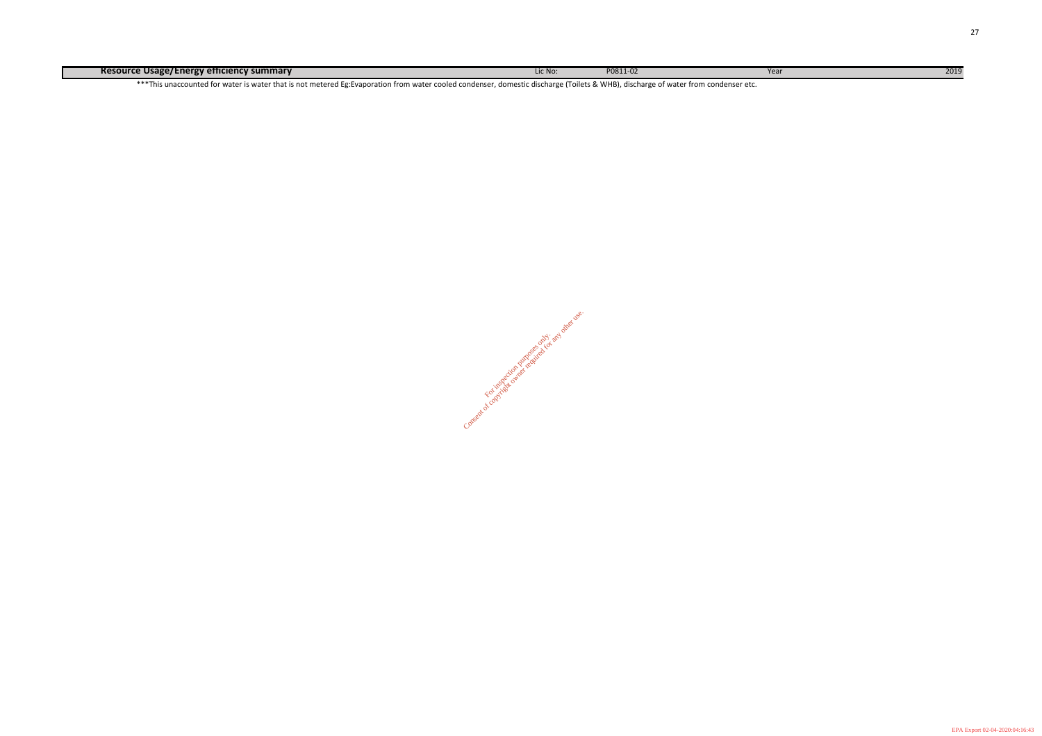**Resource Usage/Energy efficiency summary** 2019

\*\*\*This unaccounted for water is water that is not metered Eg:Evaporation from water cooled condenser, domestic discharge (Toilets & WHB), discharge of water from condenser etc.

Consent of copyright owner required for any other use.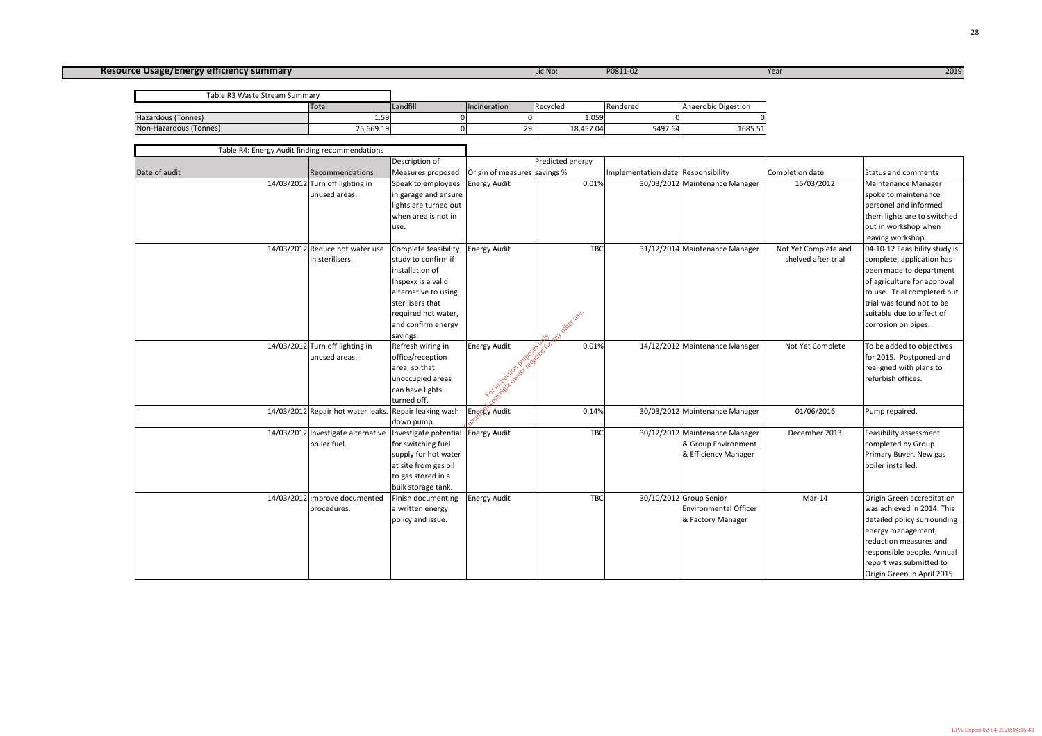# **Resource Usage/Energy efficiency summary** 2019

Total **Incineration** Recycled **Rendered** Rendered Rendered Hazardous (Tonnes) 1.59 0 0 1.059 0 0 Non-Hazardous (Tonnes) 25,669.19 0 29 18,457.04 5497.64 1685.51 Table R3 Waste Stream Summary

| Table R4: Energy Audit finding recommendations |                                                                                         |                                                                                                                                                                                           |                                                 |                                 |                                    |                                                                               |                                             |                                                                                                                                                                                                                                      |
|------------------------------------------------|-----------------------------------------------------------------------------------------|-------------------------------------------------------------------------------------------------------------------------------------------------------------------------------------------|-------------------------------------------------|---------------------------------|------------------------------------|-------------------------------------------------------------------------------|---------------------------------------------|--------------------------------------------------------------------------------------------------------------------------------------------------------------------------------------------------------------------------------------|
|                                                |                                                                                         | Description of                                                                                                                                                                            |                                                 | Predicted energy                |                                    |                                                                               |                                             |                                                                                                                                                                                                                                      |
| Date of audit                                  | Recommendations                                                                         | Measures proposed                                                                                                                                                                         | Origin of measures savings %                    |                                 | Implementation date Responsibility |                                                                               | Completion date                             | Status and comments                                                                                                                                                                                                                  |
|                                                | 14/03/2012 Turn off lighting in<br>unused areas.                                        | Speak to employees<br>in garage and ensure<br>lights are turned out<br>when area is not in<br>use.                                                                                        | <b>Energy Audit</b>                             | 0.01%                           |                                    | 30/03/2012 Maintenance Manager                                                | 15/03/2012                                  | Maintenance Manager<br>spoke to maintenance<br>personel and informed<br>them lights are to switched<br>out in workshop when<br>leaving workshop.                                                                                     |
|                                                | 14/03/2012 Reduce hot water use<br>in sterilisers.                                      | Complete feasibility<br>study to confirm if<br>installation of<br>Inspexx is a valid<br>alternative to using<br>sterilisers that<br>required hot water,<br>and confirm energy<br>savings. | <b>Energy Audit</b>                             | <b>TBC</b><br>J. and other vse. |                                    | 31/12/2014 Maintenance Manager                                                | Not Yet Complete and<br>shelved after trial | 04-10-12 Feasibility study is<br>complete, application has<br>been made to department<br>of agriculture for approval<br>to use. Trial completed but<br>trial was found not to be<br>suitable due to effect of<br>corrosion on pipes. |
|                                                | 14/03/2012 Turn off lighting in<br>unused areas.                                        | Refresh wiring in<br>office/reception<br>area, so that<br>unoccupied areas<br>can have lights<br>turned off.                                                                              | <b>Energy Audit</b><br>Contractor output of the | ov.cor<br>0.01%                 |                                    | 14/12/2012 Maintenance Manager                                                | Not Yet Complete                            | To be added to objectives<br>for 2015. Postponed and<br>realigned with plans to<br>refurbish offices.                                                                                                                                |
|                                                | 14/03/2012 Repair hot water leaks. Repair leaking wash                                  | down pump.                                                                                                                                                                                | Energy Audit                                    | 0.14%                           |                                    | 30/03/2012 Maintenance Manager                                                | 01/06/2016                                  | Pump repaired.                                                                                                                                                                                                                       |
|                                                | 14/03/2012 Investigate alternative   Investigate potential Energy Audit<br>boiler fuel. | for switching fuel<br>supply for hot water<br>at site from gas oil<br>to gas stored in a<br>bulk storage tank.                                                                            |                                                 | <b>TBC</b>                      |                                    | 30/12/2012 Maintenance Manager<br>& Group Environment<br>& Efficiency Manager | December 2013                               | Feasibility assessment<br>completed by Group<br>Primary Buyer. New gas<br>boiler installed.                                                                                                                                          |
|                                                | 14/03/2012 Improve documented<br>procedures.                                            | Finish documenting<br>a written energy<br>policy and issue.                                                                                                                               | <b>Energy Audit</b>                             | <b>TBC</b>                      |                                    | 30/10/2012 Group Senior<br><b>Environmental Officer</b><br>& Factory Manager  | Mar-14                                      | Origin Green accreditation<br>was achieved in 2014. This<br>detailed policy surrounding<br>energy management,<br>reduction measures and<br>responsible people. Annual<br>report was submitted to<br>Origin Green in April 2015.      |

| Anaerobic Digestion |  |
|---------------------|--|
|                     |  |
| 1685.51             |  |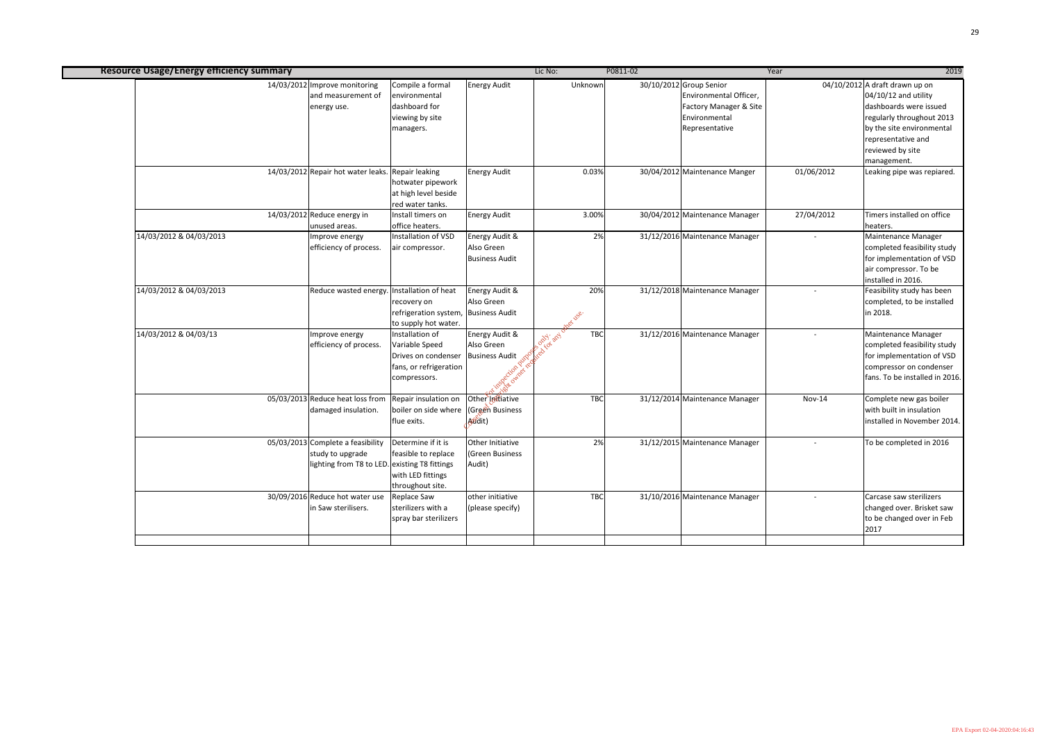| <b>Resource Usage/Energy efficiency summary</b> |                                                                                                        |                                                                                                     |                                                                  | Lic No:                    | P0811-02 |                                                                                                                | Year                     | 2019                                                                                                                                                                                                  |
|-------------------------------------------------|--------------------------------------------------------------------------------------------------------|-----------------------------------------------------------------------------------------------------|------------------------------------------------------------------|----------------------------|----------|----------------------------------------------------------------------------------------------------------------|--------------------------|-------------------------------------------------------------------------------------------------------------------------------------------------------------------------------------------------------|
|                                                 | 14/03/2012 Improve monitoring<br>and measurement of<br>energy use.                                     | Compile a formal<br>environmental<br>dashboard for<br>viewing by site<br>managers.                  | <b>Energy Audit</b>                                              | Unknown                    |          | 30/10/2012 Group Senior<br>Environmental Officer,<br>Factory Manager & Site<br>Environmental<br>Representative |                          | 04/10/2012 A draft drawn up on<br>$04/10/12$ and utility<br>dashboards were issued<br>regularly throughout 2013<br>by the site environmental<br>representative and<br>reviewed by site<br>management. |
|                                                 | 14/03/2012 Repair hot water leaks. Repair leaking                                                      | hotwater pipework<br>at high level beside<br>red water tanks.                                       | <b>Energy Audit</b>                                              | 0.03%                      |          | 30/04/2012 Maintenance Manger                                                                                  | 01/06/2012               | Leaking pipe was repiared.                                                                                                                                                                            |
|                                                 | 14/03/2012 Reduce energy in<br>unused areas.                                                           | Install timers on<br>office heaters.                                                                | <b>Energy Audit</b>                                              | 3.00%                      |          | 30/04/2012 Maintenance Manager                                                                                 | 27/04/2012               | Timers installed on office<br>heaters.                                                                                                                                                                |
| 14/03/2012 & 04/03/2013                         | Improve energy<br>efficiency of process.                                                               | Installation of VSD<br>air compressor.                                                              | <b>Energy Audit &amp;</b><br>Also Green<br><b>Business Audit</b> | 2%                         |          | 31/12/2016 Maintenance Manager                                                                                 |                          | Maintenance Manager<br>completed feasibility study<br>for implementation of VSD<br>air compressor. To be<br>installed in 2016.                                                                        |
| 14/03/2012 & 04/03/2013                         | Reduce wasted energy                                                                                   | Installation of heat<br>recovery on<br>refrigeration system, Business Audit<br>to supply hot water. | Energy Audit &<br>Also Green                                     | 20%<br><b>Next DSE.</b>    |          | 31/12/2018 Maintenance Manager                                                                                 |                          | Feasibility study has been<br>completed, to be installed<br>in 2018.                                                                                                                                  |
| 14/03/2012 & 04/03/13                           | Improve energy<br>efficiency of process.                                                               | Installation of<br>Variable Speed<br>Drives on condenser<br>fans, or refrigeration<br>compressors.  | Energy Audit &<br>Also Green<br><b>Business Audit</b>            | South and on<br><b>TBC</b> |          | 31/12/2016 Maintenance Manager                                                                                 | $\overline{\phantom{a}}$ | Maintenance Manager<br>completed feasibility study<br>for implementation of VSD<br>compressor on condenser<br>fans. To be installed in 2016.                                                          |
|                                                 | 05/03/2013 Reduce heat loss from Repair insulation on Other Intiative<br>damaged insulation.           | boiler on side where (Green Business<br>flue exits.                                                 | Audit)                                                           | <b>TBC</b>                 |          | 31/12/2014 Maintenance Manager                                                                                 | <b>Nov-14</b>            | Complete new gas boiler<br>with built in insulation<br>installed in November 2014.                                                                                                                    |
|                                                 | 05/03/2013 Complete a feasibility<br>study to upgrade<br>lighting from T8 to LED. existing T8 fittings | Determine if it is<br>feasible to replace<br>with LED fittings<br>throughout site.                  | Other Initiative<br>(Green Business<br>Audit)                    | 2%                         |          | 31/12/2015 Maintenance Manager                                                                                 |                          | To be completed in 2016                                                                                                                                                                               |
|                                                 | 30/09/2016 Reduce hot water use<br>in Saw sterilisers.                                                 | <b>Replace Saw</b><br>sterilizers with a<br>spray bar sterilizers                                   | other initiative<br>(please specify)                             | <b>TBC</b>                 |          | 31/10/2016 Maintenance Manager                                                                                 |                          | Carcase saw sterilizers<br>changed over. Brisket saw<br>to be changed over in Feb<br>2017                                                                                                             |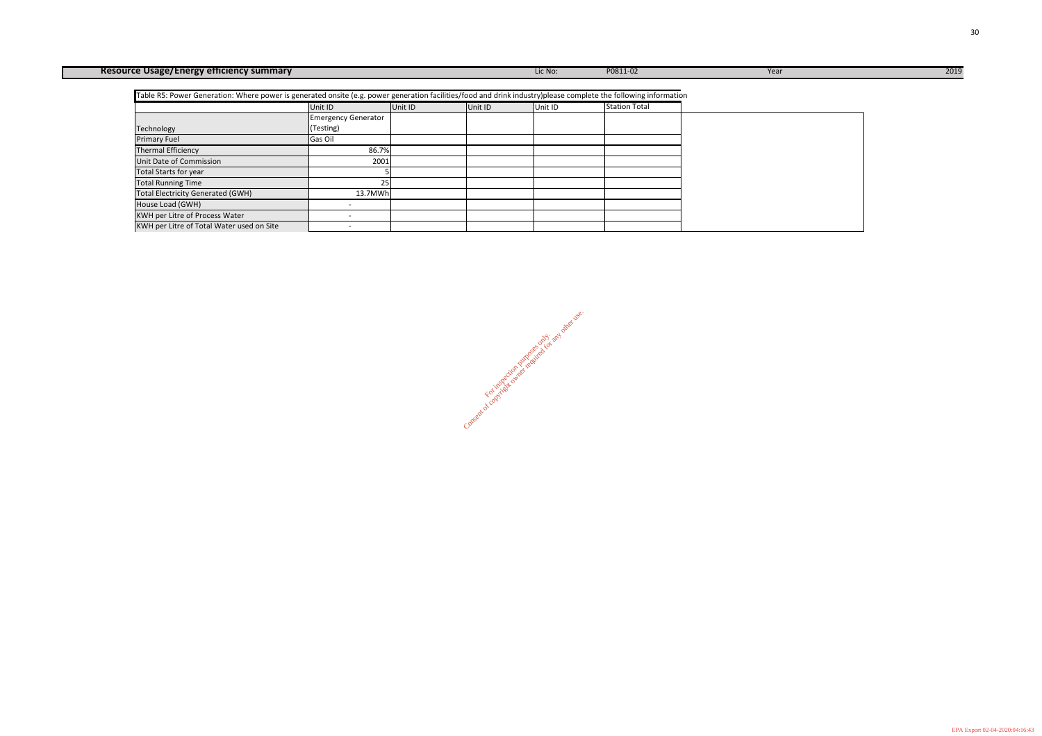Consent of copyright owner required for any other use.

| <b>Resource Usage/Energy efficiency summary</b>                                                                                                                 |                            |         |         | Lic No: | P0811-02             | Year | 2019 |
|-----------------------------------------------------------------------------------------------------------------------------------------------------------------|----------------------------|---------|---------|---------|----------------------|------|------|
| Table R5: Power Generation: Where power is generated onsite (e.g. power generation facilities/food and drink industry)please complete the following information |                            |         |         |         |                      |      |      |
|                                                                                                                                                                 | Unit ID                    | Unit ID | Unit ID | Unit ID | <b>Station Total</b> |      |      |
|                                                                                                                                                                 | <b>Emergency Generator</b> |         |         |         |                      |      |      |
| Technology                                                                                                                                                      | (Testing)                  |         |         |         |                      |      |      |
| <b>Primary Fuel</b>                                                                                                                                             | Gas Oil                    |         |         |         |                      |      |      |
| <b>Thermal Efficiency</b>                                                                                                                                       | 86.7%                      |         |         |         |                      |      |      |
| Unit Date of Commission                                                                                                                                         | 2001                       |         |         |         |                      |      |      |
| <b>Total Starts for year</b>                                                                                                                                    |                            |         |         |         |                      |      |      |
| <b>Total Running Time</b>                                                                                                                                       | 25                         |         |         |         |                      |      |      |
| <b>Total Electricity Generated (GWH)</b>                                                                                                                        | 13.7MWh                    |         |         |         |                      |      |      |
| House Load (GWH)                                                                                                                                                |                            |         |         |         |                      |      |      |
| <b>KWH per Litre of Process Water</b>                                                                                                                           |                            |         |         |         |                      |      |      |
| KWH per Litre of Total Water used on Site                                                                                                                       |                            |         |         |         |                      |      |      |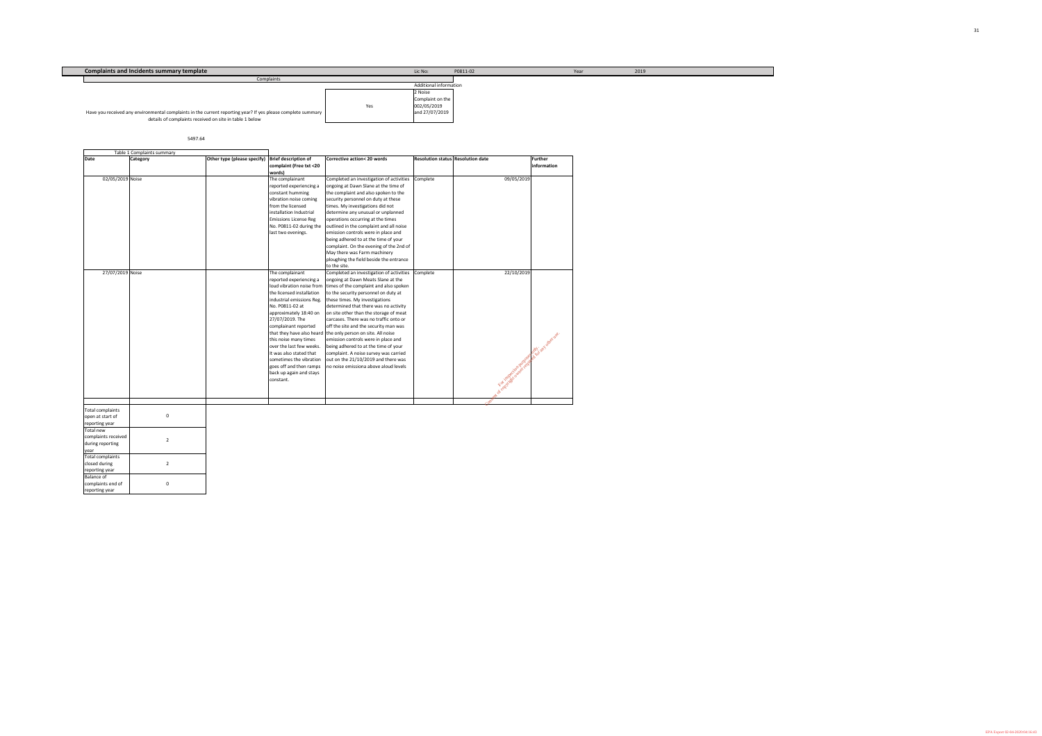5497.64

| <b>Complaints and Incidents summary template</b>                                                             |     | Lic No:                       | P0811-02 | Year | 2019 |
|--------------------------------------------------------------------------------------------------------------|-----|-------------------------------|----------|------|------|
| Complaints                                                                                                   |     |                               |          |      |      |
|                                                                                                              |     | <b>Additional information</b> |          |      |      |
|                                                                                                              |     | 2 Noise                       |          |      |      |
|                                                                                                              |     | Complaint on the              |          |      |      |
|                                                                                                              | Yes | 002/05/2019                   |          |      |      |
| Have you received any environmental complaints in the current reporting year? If yes please complete summary |     | and 27/07/2019                |          |      |      |
| details of complaints received on site in table 1 below                                                      |     |                               |          |      |      |
|                                                                                                              |     |                               |          |      |      |

|                                  | Table 1 Complaints summary |                             |                                                        |                                                                              |                                          |                        |                               |
|----------------------------------|----------------------------|-----------------------------|--------------------------------------------------------|------------------------------------------------------------------------------|------------------------------------------|------------------------|-------------------------------|
| <b>Date</b>                      | <b>Category</b>            | Other type (please specify) | <b>Brief description of</b><br>complaint (Free txt <20 | Corrective action< 20 words                                                  | <b>Resolution status Resolution date</b> |                        | Further<br><i>information</i> |
|                                  |                            |                             | words)                                                 |                                                                              |                                          |                        |                               |
| 02/05/2019 Noise                 |                            |                             | The complainant                                        | Completed an investigation of activities                                     | Complete                                 | 09/05/2019             |                               |
|                                  |                            |                             | reported experiencing a<br>constant humming            | ongoing at Dawn Slane at the time of<br>the complaint and also spoken to the |                                          |                        |                               |
|                                  |                            |                             | vibration noise coming                                 |                                                                              |                                          |                        |                               |
|                                  |                            |                             | from the licensed                                      | security personnel on duty at these<br>times. My investigations did not      |                                          |                        |                               |
|                                  |                            |                             | installation Industrial                                | determine any unusual or unplanned                                           |                                          |                        |                               |
|                                  |                            |                             | <b>Emissions License Reg</b>                           | operations occurring at the times                                            |                                          |                        |                               |
|                                  |                            |                             | No. P0811-02 during the                                | outlined in the complaint and all noise                                      |                                          |                        |                               |
|                                  |                            |                             | last two evenings.                                     | emission controls were in place and                                          |                                          |                        |                               |
|                                  |                            |                             |                                                        | being adhered to at the time of your                                         |                                          |                        |                               |
|                                  |                            |                             |                                                        | complaint. On the evening of the 2nd of                                      |                                          |                        |                               |
|                                  |                            |                             |                                                        | May there was Farm machinery                                                 |                                          |                        |                               |
|                                  |                            |                             |                                                        | ploughing the field beside the entrance                                      |                                          |                        |                               |
|                                  |                            |                             |                                                        | to the site.                                                                 |                                          |                        |                               |
| 27/07/2019 Noise                 |                            |                             | The complainant                                        | Completed an investigation of activities                                     | Complete                                 | 22/10/2019             |                               |
|                                  |                            |                             | reported experiencing a                                | ongoing at Dawn Meats Slane at the                                           |                                          |                        |                               |
|                                  |                            |                             | loud vibration noise from                              | times of the complaint and also spoken                                       |                                          |                        |                               |
|                                  |                            |                             | the licensed installation                              | to the security personnel on duty at                                         |                                          |                        |                               |
|                                  |                            |                             | industrial emissions Reg.                              | these times. My investigations                                               |                                          |                        |                               |
|                                  |                            |                             | No. P0811-02 at                                        | determined that there was no activity                                        |                                          |                        |                               |
|                                  |                            |                             | approximately 18:40 on                                 | on site other than the storage of meat                                       |                                          |                        |                               |
|                                  |                            |                             | 27/07/2019. The                                        | carcases. There was no traffic onto or                                       |                                          |                        |                               |
|                                  |                            |                             | complainant reported                                   | off the site and the security man was                                        |                                          |                        |                               |
|                                  |                            |                             |                                                        | that they have also heard the only person on site. All noise                 |                                          |                        |                               |
|                                  |                            |                             | this noise many times                                  | emission controls were in place and                                          |                                          |                        | land and rate deep            |
|                                  |                            |                             | over the last few weeks.                               | being adhered to at the time of your                                         |                                          |                        |                               |
|                                  |                            |                             | It was also stated that                                | complaint. A noise survey was carried                                        |                                          |                        |                               |
|                                  |                            |                             |                                                        | sometimes the vibration $\vert$ out on the 21/10/2019 and there was          |                                          |                        |                               |
|                                  |                            |                             | goes off and then ramps                                | no noise emissiona above aloud levels                                        |                                          |                        |                               |
|                                  |                            |                             | back up again and stays                                |                                                                              |                                          |                        |                               |
|                                  |                            |                             | constant.                                              |                                                                              |                                          | Foot iteration pureled |                               |
|                                  |                            |                             |                                                        |                                                                              |                                          |                        |                               |
|                                  |                            |                             |                                                        |                                                                              |                                          |                        |                               |
|                                  |                            |                             |                                                        |                                                                              |                                          | ~ 0 RSC                |                               |
|                                  |                            |                             |                                                        |                                                                              |                                          |                        |                               |
| <b>Total complaints</b>          | $\pmb{0}$                  |                             |                                                        |                                                                              |                                          |                        |                               |
| open at start of                 |                            |                             |                                                        |                                                                              |                                          |                        |                               |
| reporting year                   |                            |                             |                                                        |                                                                              |                                          |                        |                               |
| Total new<br>complaints received |                            |                             |                                                        |                                                                              |                                          |                        |                               |
| during reporting                 | $\overline{2}$             |                             |                                                        |                                                                              |                                          |                        |                               |
|                                  |                            |                             |                                                        |                                                                              |                                          |                        |                               |
| year<br>Total complaints         |                            |                             |                                                        |                                                                              |                                          |                        |                               |
| closed during                    |                            |                             |                                                        |                                                                              |                                          |                        |                               |
| reporting year                   | $\overline{2}$             |                             |                                                        |                                                                              |                                          |                        |                               |
| <b>Balance of</b>                |                            |                             |                                                        |                                                                              |                                          |                        |                               |
| complaints end of                | $\pmb{0}$                  |                             |                                                        |                                                                              |                                          |                        |                               |
| reporting year                   |                            |                             |                                                        |                                                                              |                                          |                        |                               |
|                                  |                            |                             |                                                        |                                                                              |                                          |                        |                               |

| :כ | P0811-02 |
|----|----------|
|    |          |
|    |          |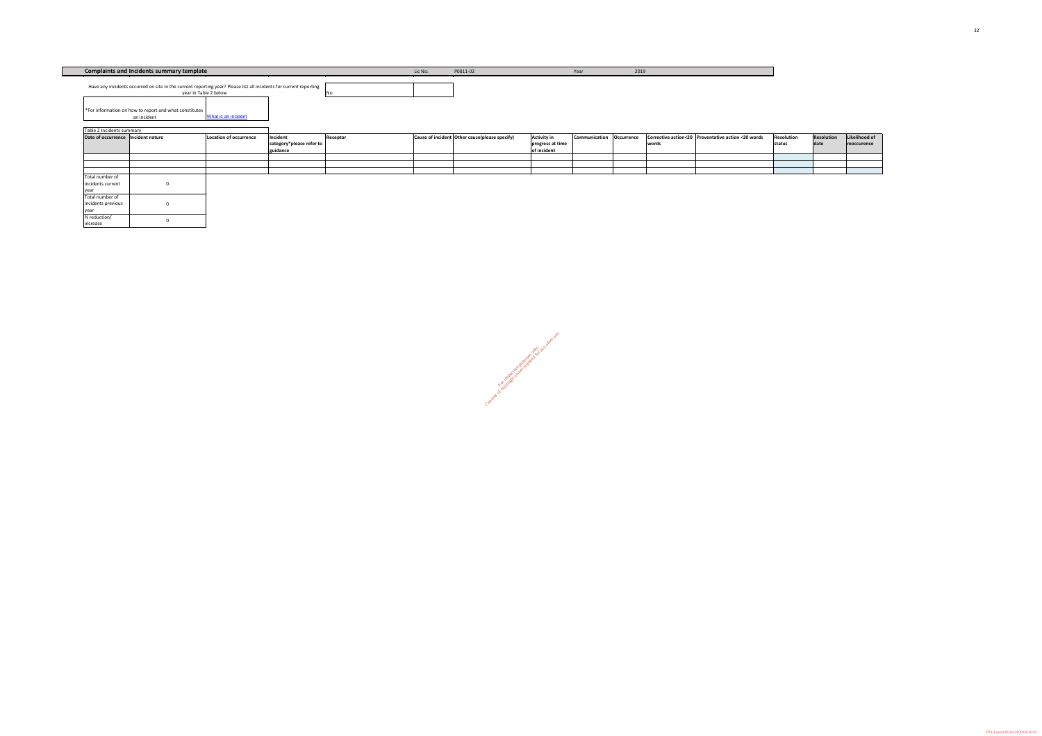No

| Table 2 Incidents summary            |                        |                                                          |          |                                                               |                                                       |                          |       |                                                    |                             |                           |
|--------------------------------------|------------------------|----------------------------------------------------------|----------|---------------------------------------------------------------|-------------------------------------------------------|--------------------------|-------|----------------------------------------------------|-----------------------------|---------------------------|
| Date of occurrence   Incident nature | Location of occurrence | Incident<br>$ $ category*please refer to $ $<br>guidance | Receptor | $\vert$ Cause of incident $\vert$ Other cause(please specify) | <b>Activity in</b><br>progress at time<br>of incident | Communication Occurrence | words | Corrective action<20 Preventative action <20 words | <b>Resolution</b><br>status | <b>Resolution</b><br>date |
|                                      |                        |                                                          |          |                                                               |                                                       |                          |       |                                                    |                             |                           |
|                                      |                        |                                                          |          |                                                               |                                                       |                          |       |                                                    |                             |                           |
| Total number of                      |                        |                                                          |          |                                                               |                                                       |                          |       |                                                    |                             |                           |
| incidents current                    |                        |                                                          |          |                                                               |                                                       |                          |       |                                                    |                             |                           |
| year                                 |                        |                                                          |          |                                                               |                                                       |                          |       |                                                    |                             |                           |
| Total number of                      |                        |                                                          |          |                                                               |                                                       |                          |       |                                                    |                             |                           |
| incidents previous                   |                        |                                                          |          |                                                               |                                                       |                          |       |                                                    |                             |                           |
| year                                 |                        |                                                          |          |                                                               |                                                       |                          |       |                                                    |                             |                           |
| % reduction/                         |                        |                                                          |          |                                                               |                                                       |                          |       |                                                    |                             |                           |
| increase                             |                        |                                                          |          |                                                               |                                                       |                          |       |                                                    |                             |                           |

| lo: | P0811-02 | Year | 2019 |
|-----|----------|------|------|
|     |          |      |      |

These of only inspection purposes only. Consent of copyright owner required for any other use.

[What is an incident](http://www.epa.ie/downloads/advice/licensee/Guidance to licensees.pdf) an incident

> **Likelihood of reoccurence**

**Complaints and Incidents summary template** License License License License License License License License License

Have any incidents occurred on site in the current reporting year? Please list all incidents for current reporting

year in Table 2 below \*For information on how to report and what constitutes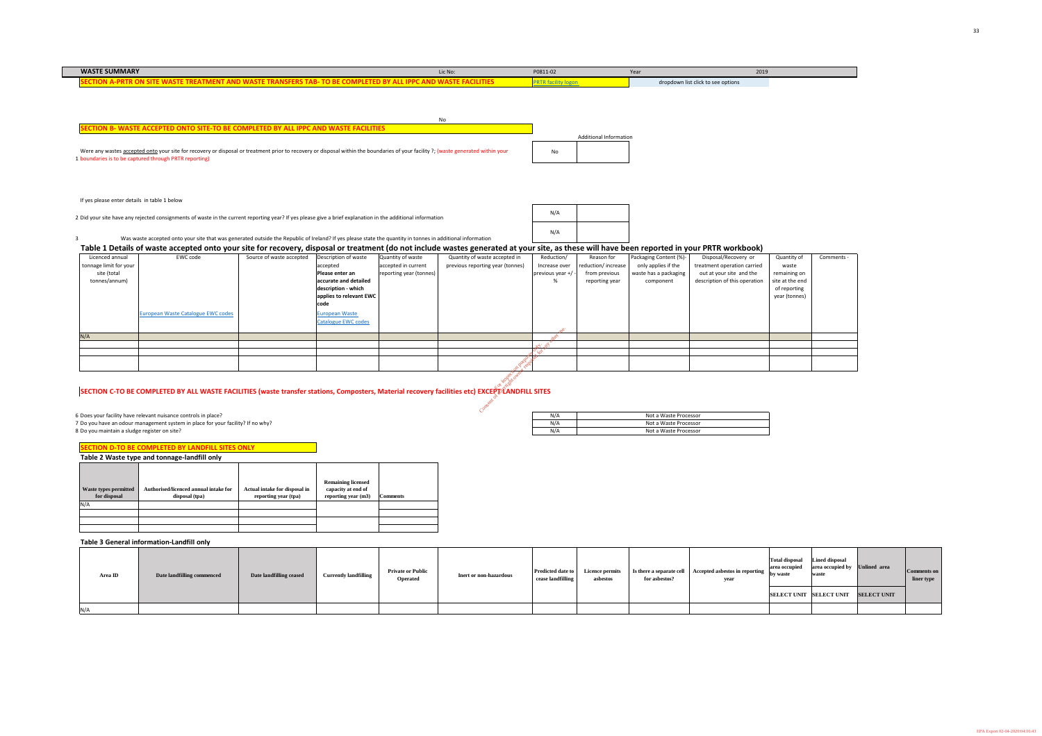| <b>WASTE SUMMARY</b>                                                                                   | Lic No: | P0811-02 | Year | 2019                               |  |
|--------------------------------------------------------------------------------------------------------|---------|----------|------|------------------------------------|--|
| ECTION A-PRTR ON SITE WASTE TREATMENT AND WASTE TRANSFERS TAB- TO BE COMPLETED BY ALL IPPC AND WASTE ! |         |          |      | dropdown list click to see options |  |
|                                                                                                        |         |          |      |                                    |  |
|                                                                                                        |         |          |      |                                    |  |

1 boundaries is to be captured through PRTR reporting) Were any wastes accepted onto your site for recovery or disposal or treatment prior to recovery or disposal within the boundaries of your facility ?; (waste generated within your

No



| N/A |  |
|-----|--|
| N/A |  |

### **Table 3 General information-Landfill only**

2 Did your site have any rejected consignments of waste in the current reporting year? If yes please give a brief explanation in the additional information

3 **Table 1 Details of waste accepted onto your site for recovery, disposal or treatment (do not include wastes generated at your site, as these will have been reported in your PRTR workbook)** Was waste accepted onto your site that was generated outside the Republic of Ireland? If yes please state the quantity in tonnes in additional information

| Area ID | Date landfilling commenced | Date landfilling ceased | <b>Currently landfilling</b> | <b>Private or Public</b><br><b>Operated</b> | Inert or non-hazardous | <b>Predicted date to</b><br>cease landfilling | <b>Licence permits</b><br>asbestos | for asbestos? | $\beta$   Is there a separate cell   Accepted asbestos in reporting   by waste<br>year | <b>Total disposal</b><br>area occupied | <b>Lined disposal</b><br>area occupied by Unlined area<br>waste |                    | Comments on<br>liner type |
|---------|----------------------------|-------------------------|------------------------------|---------------------------------------------|------------------------|-----------------------------------------------|------------------------------------|---------------|----------------------------------------------------------------------------------------|----------------------------------------|-----------------------------------------------------------------|--------------------|---------------------------|
|         |                            |                         |                              |                                             |                        |                                               |                                    |               |                                                                                        |                                        | <b>SELECT UNIT SELECT UNIT</b>                                  | <b>SELECT UNIT</b> |                           |
| N/A     |                            |                         |                              |                                             |                        |                                               |                                    |               |                                                                                        |                                        |                                                                 |                    |                           |

| 6 Does your facility have relevant nuisance controls in place?                  | N/A | Not a Waste Processor |
|---------------------------------------------------------------------------------|-----|-----------------------|
| 7 Do you have an odour management system in place for your facility? If no why? | N/A | Not a Waste Processor |
| 8 Do you maintain a sludge register on site?                                    | N/f | Not a Waste Processor |

|                                              | <b>SECTION D-TO BE COMPLETED BY LANDFILL SITES ONLY</b> |                                                       |                                                                        |                 |
|----------------------------------------------|---------------------------------------------------------|-------------------------------------------------------|------------------------------------------------------------------------|-----------------|
|                                              | Table 2 Waste type and tonnage-landfill only            |                                                       |                                                                        |                 |
| <b>Waste types permitted</b><br>for disposal | Authorised/licenced annual intake for<br>disposal (tpa) | Actual intake for disposal in<br>reporting year (tpa) | <b>Remaining licensed</b><br>capacity at end of<br>reporting year (m3) | <b>Comments</b> |
| N/A                                          |                                                         |                                                       |                                                                        |                 |
|                                              |                                                         |                                                       |                                                                        |                 |
|                                              |                                                         |                                                       |                                                                        |                 |
|                                              |                                                         |                                                       |                                                                        |                 |

| Licenced annual        | EWC code                                                                                                                                        | Source of waste accepted | Description of waste       | Quantity of waste       | Quantity of waste accepted in    | Reduction/         | Reason for         | Packaging Content (%)- | Disposal/Recovery or          | Quantity of     | Comments - |
|------------------------|-------------------------------------------------------------------------------------------------------------------------------------------------|--------------------------|----------------------------|-------------------------|----------------------------------|--------------------|--------------------|------------------------|-------------------------------|-----------------|------------|
|                        |                                                                                                                                                 |                          |                            | accepted in current     |                                  |                    |                    |                        | treatment operation carried   |                 |            |
| tonnage limit for your |                                                                                                                                                 |                          | accepted                   |                         | previous reporting year (tonnes) | Increase over      | reduction/increase | only applies if the    |                               | waste           |            |
| site (total            |                                                                                                                                                 |                          | Please enter an            | reporting year (tonnes) |                                  | previous year $+/$ | from previous      | waste has a packaging  | out at your site and the      | remaining on    |            |
| tonnes/annum)          |                                                                                                                                                 |                          | accurate and detailed      |                         |                                  |                    | reporting year     | component              | description of this operation | site at the end |            |
|                        |                                                                                                                                                 |                          | description - which        |                         |                                  |                    |                    |                        |                               | of reporting    |            |
|                        |                                                                                                                                                 |                          | applies to relevant EWC    |                         |                                  |                    |                    |                        |                               | year (tonnes)   |            |
|                        |                                                                                                                                                 |                          | code                       |                         |                                  |                    |                    |                        |                               |                 |            |
|                        |                                                                                                                                                 |                          |                            |                         |                                  |                    |                    |                        |                               |                 |            |
|                        | European Waste Catalogue EWC codes                                                                                                              |                          | <b>European Waste</b>      |                         |                                  |                    |                    |                        |                               |                 |            |
|                        |                                                                                                                                                 |                          | <b>Catalogue EWC codes</b> |                         |                                  |                    |                    |                        |                               |                 |            |
|                        |                                                                                                                                                 |                          |                            |                         |                                  |                    |                    |                        |                               |                 |            |
| N/A                    |                                                                                                                                                 |                          |                            |                         |                                  |                    |                    |                        |                               |                 |            |
|                        |                                                                                                                                                 |                          |                            |                         |                                  |                    |                    |                        |                               |                 |            |
|                        |                                                                                                                                                 |                          |                            |                         |                                  |                    |                    |                        |                               |                 |            |
|                        |                                                                                                                                                 |                          |                            |                         |                                  |                    |                    |                        |                               |                 |            |
|                        |                                                                                                                                                 |                          |                            |                         |                                  |                    |                    |                        |                               |                 |            |
|                        |                                                                                                                                                 |                          |                            |                         |                                  |                    |                    |                        |                               |                 |            |
|                        |                                                                                                                                                 |                          |                            |                         |                                  |                    |                    |                        |                               |                 |            |
|                        | SECTION C-TO BE COMPLETED BY ALL WASTE FACILITIES (waste transfer stations, Composters, Material recovery facilities etc) EXCEPT LAIDFILL SITES |                          |                            |                         |                                  |                    |                    |                        |                               |                 |            |
|                        |                                                                                                                                                 |                          |                            |                         |                                  |                    |                    |                        |                               |                 |            |
|                        |                                                                                                                                                 |                          |                            |                         |                                  |                    |                    |                        |                               |                 |            |
|                        |                                                                                                                                                 |                          |                            |                         |                                  |                    |                    |                        |                               |                 |            |

### SECTION C-TO BE COMPLETED BY ALL WASTE FACILITIES (waste transfer stations, Composters, Material recovery facilities etc) EXCEP্ট\LANDFILL SITES

If yes please enter details in table 1 below

**SECTION B- WASTE ACCEPTED ONTO SITE-TO BE COMPLETED BY ALL IPPC AND WASTE FACILITIES**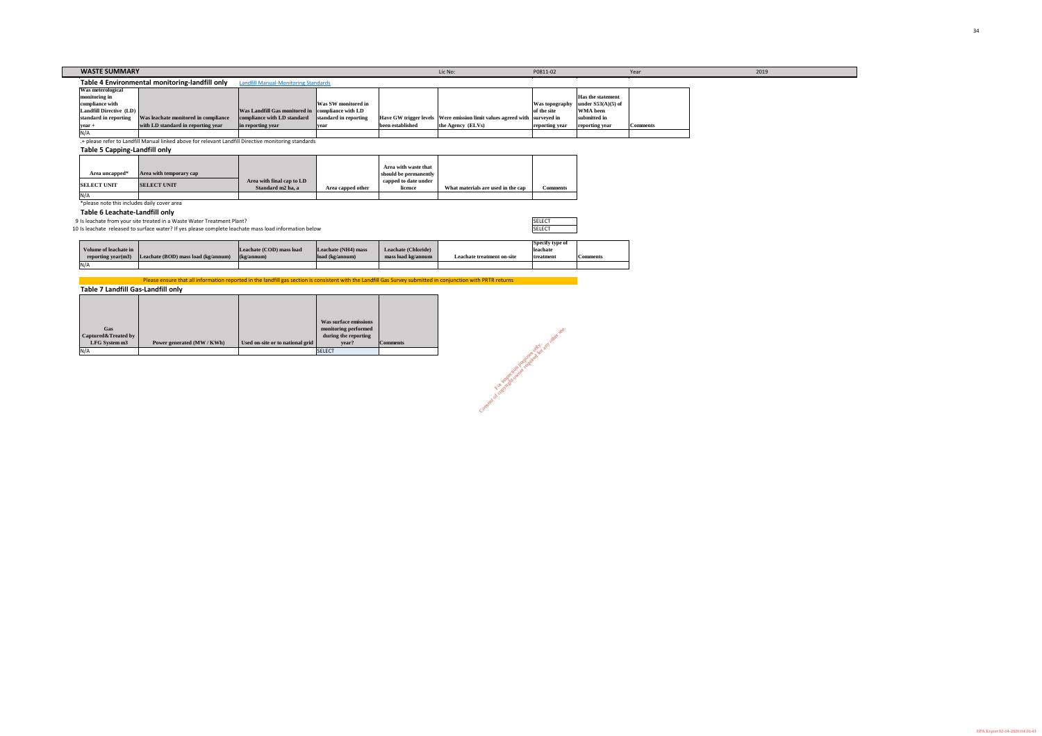| <b>WASTE SUMMARY</b>     |                                                |                                                   |                            |                  | Lic No:                                                                   | P0811-02       |                          | Year            |
|--------------------------|------------------------------------------------|---------------------------------------------------|----------------------------|------------------|---------------------------------------------------------------------------|----------------|--------------------------|-----------------|
|                          | Table 4 Environmental monitoring-landfill only | <b>Landfill Manual-Monitoring Standards</b>       |                            |                  |                                                                           |                |                          |                 |
| <b>Was meterological</b> |                                                |                                                   |                            |                  |                                                                           |                |                          |                 |
| monitoring in            |                                                |                                                   |                            |                  |                                                                           |                | <b>Has the statement</b> |                 |
| compliance with          |                                                |                                                   | <b>Was SW monitored in</b> |                  |                                                                           | Was topography | y   under $S53(A)(5)$ of |                 |
| Landfill Directive (LD)  |                                                | Was Landfill Gas monitored in compliance with LD  |                            |                  |                                                                           | of the site    | <b>WMA</b> been          |                 |
| standard in reporting    | Was leachate monitored in compliance           | compliance with LD standard standard in reporting |                            |                  | Have GW trigger levels Were emission limit values agreed with surveyed in |                | submitted in             |                 |
| $vear +$                 | with LD standard in reporting year             | in reporting year                                 | <b>year</b>                | been established | the Agency (ELVs)                                                         | reporting year | reporting year           | <b>Comments</b> |
|                          |                                                |                                                   |                            |                  |                                                                           |                |                          |                 |

.+ please refer to Landfill Manual linked above for relevant Landfill Directive monitoring standards

**Table 5 Capping-Landfill only**

**Table 6 Leachate-Landfill only**

9 Is leachate from your site treated in a Waste Water Treatment Plant?

10 Is leachate released to surface water? If yes please complete leachate mass load information below

| Volume of leachate in<br>reporting year(m3) | [Leachate (BOD) mass load (kg/annum) | Leachate (COD) mass load<br>(kg/annum) | Leachate (NH4) mass<br>$\lambda$ load (kg/annum) | <b>Leachate (Chloride)</b><br>mass load kg/annum | Leachate treatment on-site |
|---------------------------------------------|--------------------------------------|----------------------------------------|--------------------------------------------------|--------------------------------------------------|----------------------------|
| N/A                                         |                                      |                                        |                                                  |                                                  |                            |

| <b>SELECT</b> | nent on-site | Specify type of<br>leachate<br>treatment | <b>Comments</b> |
|---------------|--------------|------------------------------------------|-----------------|
|               |              |                                          |                 |
|               |              | <b>SELECT</b>                            |                 |

Consent of copyright owner required for any other use.

|                     |                         |                           |                   | Area with waste that  |                                    |          |
|---------------------|-------------------------|---------------------------|-------------------|-----------------------|------------------------------------|----------|
| Area uncapped*      | Area with temporary cap |                           |                   | should be permanently |                                    |          |
| <b>ISELECT UNIT</b> | <b>SELECT UNIT</b>      | Area with final cap to LD |                   | capped to date under  |                                    |          |
|                     |                         | Standard m2 ha, a         | Area capped other | licence               | What materials are used in the cap | Comments |
| N/A                 |                         |                           |                   |                       |                                    |          |

\*please note this includes daily cover area

|                     |                            |                                  | Was surface emissions |          |
|---------------------|----------------------------|----------------------------------|-----------------------|----------|
| <b>Gas</b>          |                            |                                  | monitoring performed  |          |
| Captured&Treated by |                            |                                  | during the reporting  |          |
| LFG System m3       | Power generated (MW / KWh) | Used on-site or to national grid | year?                 | Comments |
| N/A                 |                            |                                  | <b>ISELECT</b>        |          |

**Table 7 Landfill Gas-Landfill only** Please ensure that all information reported in the landfill gas section is consistent with the Landfill Gas Survey submitted in conjunction with PRTR returns

EPA Export 02-04-2020:04:16:43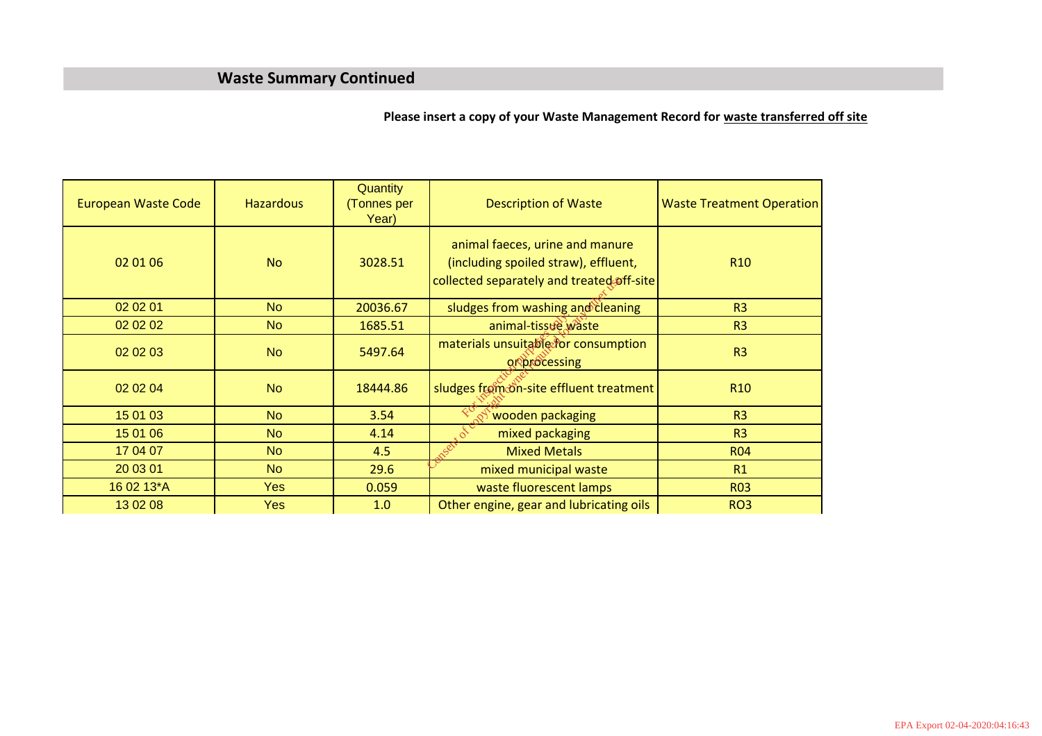### **Waste Summary Continued**

**Please insert a copy of your Waste Management Record for waste transferred off site**

| <b>European Waste Code</b> | <b>Hazardous</b> | <b>Quantity</b><br>(Tonnes per<br>Year) | <b>Description of Waste</b>                                                                                          | <b>Waste Treatment Operation</b> |
|----------------------------|------------------|-----------------------------------------|----------------------------------------------------------------------------------------------------------------------|----------------------------------|
| 02 01 06                   | <b>No</b>        | 3028.51                                 | animal faeces, urine and manure<br>(including spoiled straw), effluent,<br>collected separately and treated off-site | R <sub>10</sub>                  |
| 02 02 01                   | N <sub>o</sub>   | 20036.67                                | sludges from washing and cleaning                                                                                    | R <sub>3</sub>                   |
| 02 02 02                   | N <sub>o</sub>   | 1685.51                                 | animal-tissue waste                                                                                                  | R <sub>3</sub>                   |
| 02 02 03                   | <b>No</b>        | 5497.64                                 | materials unsuitable for consumption<br><b>QRDrocessing</b>                                                          | R <sub>3</sub>                   |
| 02 02 04                   | <b>No</b>        | 18444.86                                | sludges from on-site effluent treatment                                                                              | R <sub>10</sub>                  |
| 15 01 03                   | <b>No</b>        | 3.54                                    | wooden packaging                                                                                                     | R <sub>3</sub>                   |
| 15 01 06                   | <b>No</b>        | 4.14                                    | mixed packaging                                                                                                      | R <sub>3</sub>                   |
| 17 04 07                   | <b>No</b>        | 4.5                                     | <b>Mixed Metals</b>                                                                                                  | <b>R04</b>                       |
| 20 03 01                   | <b>No</b>        | 29.6                                    | mixed municipal waste                                                                                                | R1                               |
| 16 02 13*A                 | <b>Yes</b>       | 0.059                                   | waste fluorescent lamps                                                                                              | <b>R03</b>                       |
| 13 02 08                   | <b>Yes</b>       | 1.0                                     | Other engine, gear and lubricating oils                                                                              | RO <sub>3</sub>                  |